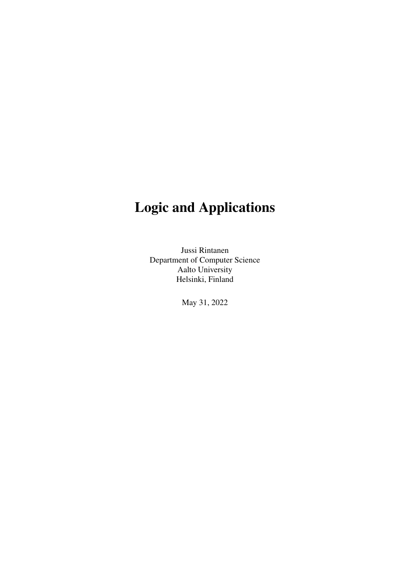# Logic and Applications

Jussi Rintanen Department of Computer Science Aalto University Helsinki, Finland

May 31, 2022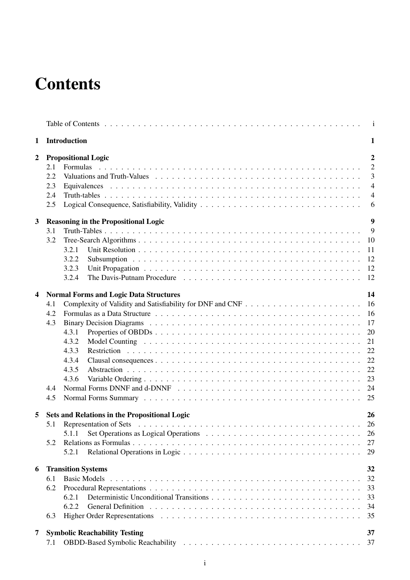# **Contents**

|                         |                                 | $\mathbf{i}$                                                                                                                                                                                                                                                                                                      |  |  |  |  |
|-------------------------|---------------------------------|-------------------------------------------------------------------------------------------------------------------------------------------------------------------------------------------------------------------------------------------------------------------------------------------------------------------|--|--|--|--|
| 1                       | <b>Introduction</b>             |                                                                                                                                                                                                                                                                                                                   |  |  |  |  |
| $\overline{2}$          | 2.1<br>2.2<br>2.3<br>2.4<br>2.5 | $\overline{2}$<br><b>Propositional Logic</b><br>$\overline{2}$<br>Formulas<br>3<br>$\overline{4}$<br>$\overline{4}$<br>6                                                                                                                                                                                          |  |  |  |  |
| 3                       | 3.1<br>3.2                      | 9<br><b>Reasoning in the Propositional Logic</b><br>9<br>10<br>3.2.1<br><sup>11</sup><br><sup>12</sup><br>3.2.2<br>3.2.3<br>The Davis-Putnam Procedure $\dots \dots \dots \dots \dots \dots \dots \dots \dots \dots \dots \dots \dots \dots$<br>-12<br>3.2.4                                                      |  |  |  |  |
| $\overline{\mathbf{4}}$ | 4.1<br>4.2<br>4.3<br>4.4<br>4.5 | 14<br><b>Normal Forms and Logic Data Structures</b><br>16<br>16<br>17<br>20<br>4.3.1<br>4.3.2<br>21<br>22<br>4.3.3<br>22<br>4.3.4<br>22<br>4.3.5<br>23<br>4.3.6<br>25                                                                                                                                             |  |  |  |  |
| 5                       | 5.1<br>5.2                      | Sets and Relations in the Propositional Logic<br>26<br>26<br>26<br>5.1.1<br>27<br>29<br>5.2.1                                                                                                                                                                                                                     |  |  |  |  |
| 6                       | 6.1<br>6.2<br>6.3               | <b>Transition Systems</b><br>32<br>32<br>33<br>33<br>6.2.1<br>6.2.2<br>General Definition response to the contract of the contract of the contract of the contract of the contract of the contract of the contract of the contract of the contract of the contract of the contract of the contract of<br>34<br>35 |  |  |  |  |
| 7                       | 7.1                             | <b>Symbolic Reachability Testing</b><br>37                                                                                                                                                                                                                                                                        |  |  |  |  |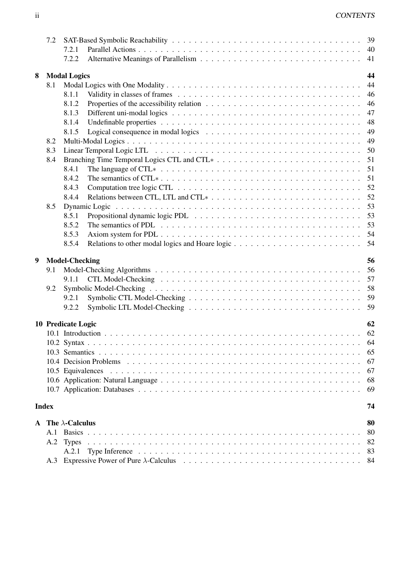|   | 7.2          |                           |               |    |
|---|--------------|---------------------------|---------------|----|
|   |              | 7.2.1                     |               |    |
|   |              | 7.2.2                     |               | 41 |
| 8 |              | <b>Modal Logics</b>       |               | 44 |
|   | 8.1          |                           |               | 44 |
|   |              | 8.1.1                     |               | 46 |
|   |              | 8.1.2                     |               | 46 |
|   |              | 8.1.3                     |               | 47 |
|   |              | 8.1.4                     |               | 48 |
|   |              | 8.1.5                     |               | 49 |
|   |              |                           |               | 49 |
|   | 8.2          |                           |               |    |
|   | 8.3          |                           |               | 50 |
|   | 8.4          |                           |               | 51 |
|   |              | 8.4.1                     |               | 51 |
|   |              | 8.4.2                     |               | 51 |
|   |              | 8.4.3                     |               | 52 |
|   |              | 8.4.4                     |               | 52 |
|   | 8.5          |                           | Dynamic Logic | 53 |
|   |              | 8.5.1                     |               | 53 |
|   |              | 8.5.2                     |               | 53 |
|   |              | 8.5.3                     |               | 54 |
|   |              | 8.5.4                     |               | 54 |
|   |              |                           |               |    |
|   |              |                           |               |    |
| 9 |              | <b>Model-Checking</b>     |               | 56 |
|   | 9.1          |                           |               | 56 |
|   |              | 9.1.1                     |               | 57 |
|   | 9.2          |                           |               | 58 |
|   |              | 9.2.1                     |               | 59 |
|   |              | 9.2.2                     |               | 59 |
|   |              | 10 Predicate Logic        |               | 62 |
|   |              |                           |               |    |
|   |              |                           |               |    |
|   |              |                           |               | 65 |
|   |              |                           |               | 67 |
|   |              |                           |               | 67 |
|   |              |                           |               | 68 |
|   |              |                           |               | 69 |
|   |              |                           |               |    |
|   | <b>Index</b> |                           |               | 74 |
|   |              | A The $\lambda$ -Calculus |               | 80 |
|   | A.1          |                           |               | 80 |
|   | A.2          | <b>Types</b>              |               | 82 |
|   |              | A.2.1                     |               | 83 |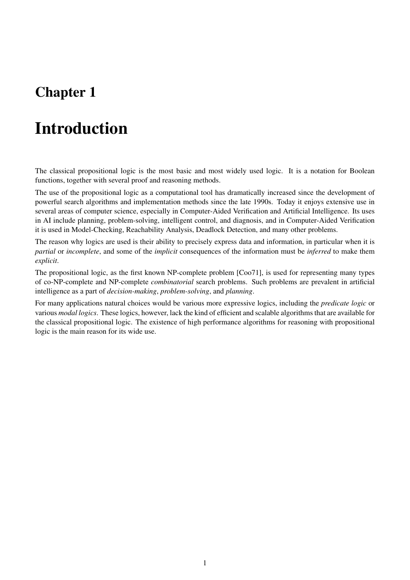## Chapter 1

# Introduction

The classical propositional logic is the most basic and most widely used logic. It is a notation for Boolean functions, together with several proof and reasoning methods.

The use of the propositional logic as a computational tool has dramatically increased since the development of powerful search algorithms and implementation methods since the late 1990s. Today it enjoys extensive use in several areas of computer science, especially in Computer-Aided Verification and Artificial Intelligence. Its uses in AI include planning, problem-solving, intelligent control, and diagnosis, and in Computer-Aided Verification it is used in Model-Checking, Reachability Analysis, Deadlock Detection, and many other problems.

The reason why logics are used is their ability to precisely express data and information, in particular when it is *partial* or *incomplete*, and some of the *implicit* consequences of the information must be *inferred* to make them *explicit*.

The propositional logic, as the first known NP-complete problem [Coo71], is used for representing many types of co-NP-complete and NP-complete *combinatorial* search problems. Such problems are prevalent in artificial intelligence as a part of *decision-making*, *problem-solving*, and *planning*.

For many applications natural choices would be various more expressive logics, including the *predicate logic* or various *modal logics*. These logics, however, lack the kind of efficient and scalable algorithms that are available for the classical propositional logic. The existence of high performance algorithms for reasoning with propositional logic is the main reason for its wide use.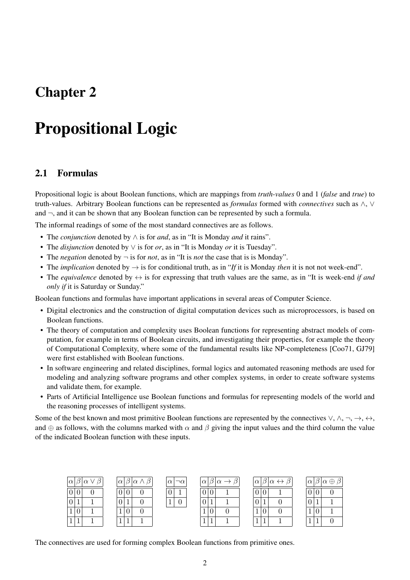## Chapter 2

# Propositional Logic

### 2.1 Formulas

Propositional logic is about Boolean functions, which are mappings from *truth-values* 0 and 1 (*false* and *true*) to truth-values. Arbitrary Boolean functions can be represented as *formulas* formed with *connectives* such as ∧, ∨ and  $\neg$ , and it can be shown that any Boolean function can be represented by such a formula.

The informal readings of some of the most standard connectives are as follows.

- The *conjunction* denoted by ∧ is for *and*, as in "It is Monday *and* it rains".
- The *disjunction* denoted by ∨ is for *or*, as in "It is Monday *or* it is Tuesday".
- The *negation* denoted by  $\neg$  is for *not*, as in "It is *not* the case that is is Monday".
- The *implication* denoted by → is for conditional truth, as in "*If* it is Monday *then* it is not not week-end".
- The *equivalence* denoted by  $\leftrightarrow$  is for expressing that truth values are the same, as in "It is week-end *if and only if* it is Saturday or Sunday."

Boolean functions and formulas have important applications in several areas of Computer Science.

- Digital electronics and the construction of digital computation devices such as microprocessors, is based on Boolean functions.
- The theory of computation and complexity uses Boolean functions for representing abstract models of computation, for example in terms of Boolean circuits, and investigating their properties, for example the theory of Computational Complexity, where some of the fundamental results like NP-completeness [Coo71, GJ79] were first established with Boolean functions.
- In software engineering and related disciplines, formal logics and automated reasoning methods are used for modeling and analyzing software programs and other complex systems, in order to create software systems and validate them, for example.
- Parts of Artificial Intelligence use Boolean functions and formulas for representing models of the world and the reasoning processes of intelligent systems.

Some of the best known and most primitive Boolean functions are represented by the connectives  $\vee, \wedge, \neg, \rightarrow, \leftrightarrow, \wedge$ and  $\oplus$  as follows, with the columns marked with  $\alpha$  and  $\beta$  giving the input values and the third column the value of the indicated Boolean function with these inputs.

| $\beta$<br>$ \alpha \beta \alpha \vee$ | $ \alpha \beta \alpha\wedge\beta $ | $\alpha$<br>$\neg \alpha$ | $0.5\alpha$<br>$\alpha$ | $ \alpha \beta \alpha \leftrightarrow \beta $ | $ \alpha \beta \alpha \oplus$ |
|----------------------------------------|------------------------------------|---------------------------|-------------------------|-----------------------------------------------|-------------------------------|
| U                                      | v                                  | $\mathbf{U}^+$            | U<br>$\cup$             | U<br>U                                        | $\theta$                      |
| O                                      | ◡                                  |                           | 0                       |                                               | 0                             |
| v<br>ᅩ                                 | v                                  |                           | v                       | J.                                            | T.                            |
|                                        |                                    |                           |                         |                                               |                               |

The connectives are used for forming complex Boolean functions from primitive ones.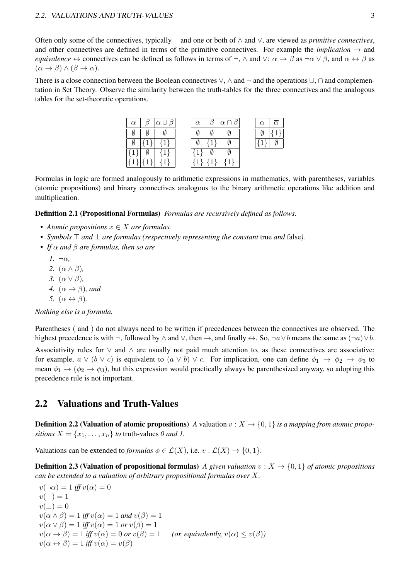#### 2.2. VALUATIONS AND TRUTH-VALUES 3

Often only some of the connectives, typically ¬ and one or both of ∧ and ∨, are viewed as *primitive connectives*, and other connectives are defined in terms of the primitive connectives. For example the *implication*  $\rightarrow$  and *equivalence*  $\leftrightarrow$  connectives can be defined as follows in terms of  $\neg$ ,  $\wedge$  and  $\vee$ :  $\alpha \rightarrow \beta$  as  $\neg \alpha \vee \beta$ , and  $\alpha \leftrightarrow \beta$  as  $(\alpha \to \beta) \land (\beta \to \alpha).$ 

There is a close connection between the Boolean connectives  $\vee$ ,  $\wedge$  and  $\neg$  and the operations  $\cup$ ,  $\cap$  and complementation in Set Theory. Observe the similarity between the truth-tables for the three connectives and the analogous tables for the set-theoretic operations.

| $\alpha$ | $\beta$ $\alpha \cup \beta$ | $\alpha$ | $\beta$ $\alpha \cap \beta$ | $\alpha$ |  |
|----------|-----------------------------|----------|-----------------------------|----------|--|
|          |                             |          |                             |          |  |
|          |                             |          |                             |          |  |
|          |                             |          |                             |          |  |
|          |                             |          |                             |          |  |

Formulas in logic are formed analogously to arithmetic expressions in mathematics, with parentheses, variables (atomic propositions) and binary connectives analogous to the binary arithmetic operations like addition and multiplication.

Definition 2.1 (Propositional Formulas) *Formulas are recursively defined as follows.*

- *Atomic propositions* x ∈ X *are formulas.*
- *Symbols* ⊤ *and* ⊥ *are formulas (respectively representing the constant* true *and* false*).*
- *If* α *and* β *are formulas, then so are*
	- *1.* ¬α*,*
	- *2.* (α ∧ β)*,*
	- *3.* (α ∨ β)*,*
	- *4.*  $(\alpha \rightarrow \beta)$ *, and*
	- *5.*  $(\alpha \leftrightarrow \beta)$ .

*Nothing else is a formula.*

Parentheses ( and ) do not always need to be written if precedences between the connectives are observed. The highest precedence is with  $\neg$ , followed by  $\land$  and  $\lor$ , then  $\rightarrow$ , and finally  $\leftrightarrow$ . So,  $\neg a \lor b$  means the same as  $(\neg a) \lor b$ .

Associativity rules for ∨ and ∧ are usually not paid much attention to, as these connectives are associative: for example,  $a \vee (b \vee c)$  is equivalent to  $(a \vee b) \vee c$ . For implication, one can define  $\phi_1 \to \phi_2 \to \phi_3$  to mean  $\phi_1 \to (\phi_2 \to \phi_3)$ , but this expression would practically always be parenthesized anyway, so adopting this precedence rule is not important.

### 2.2 Valuations and Truth-Values

**Definition 2.2 (Valuation of atomic propositions)** A valuation  $v: X \to \{0, 1\}$  *is a mapping from atomic propositions*  $X = \{x_1, \ldots, x_n\}$  *to* truth-values 0 and 1.

Valuations can be extended to *formulas*  $\phi \in \mathcal{L}(X)$ , i.e.  $v : \mathcal{L}(X) \to \{0, 1\}$ .

**Definition 2.3 (Valuation of propositional formulas)** *A given valuation*  $v : X \to \{0, 1\}$  *of atomic propositions can be extended to a valuation of arbitrary propositional formulas over* X*.*

 $v(\neg \alpha) = 1$  *iff*  $v(\alpha) = 0$  $v(T) = 1$  $v(\perp)=0$  $v(\alpha \wedge \beta) = 1$  *iff*  $v(\alpha) = 1$  *and*  $v(\beta) = 1$  $v(\alpha \vee \beta) = 1$  *iff*  $v(\alpha) = 1$  *or*  $v(\beta) = 1$  $v(\alpha \to \beta) = 1$  *iff*  $v(\alpha) = 0$  *or*  $v(\beta) = 1$  *(or, equivalently,*  $v(\alpha) \le v(\beta)$ *)*  $v(\alpha \leftrightarrow \beta) = 1$  *iff*  $v(\alpha) = v(\beta)$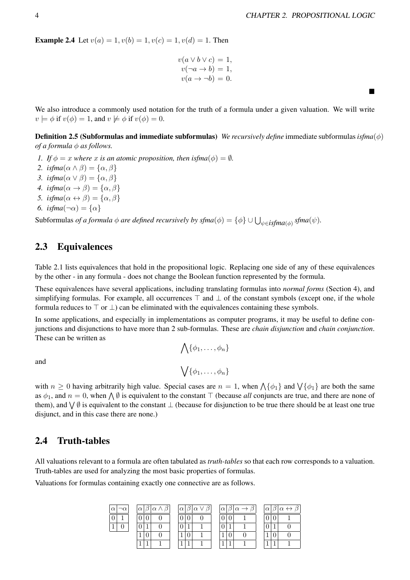■

**Example 2.4** Let  $v(a) = 1, v(b) = 1, v(c) = 1, v(d) = 1$ . Then

$$
v(a \lor b \lor c) = 1,
$$
  
\n
$$
v(\neg a \to b) = 1,
$$
  
\n
$$
v(a \to \neg b) = 0.
$$

We also introduce a commonly used notation for the truth of a formula under a given valuation. We will write  $v \models \phi$  if  $v(\phi) = 1$ , and  $v \not\models \phi$  if  $v(\phi) = 0$ .

Definition 2.5 (Subformulas and immediate subformulas) *We recursively define* immediate subformulas*isfma*(ϕ) *of a formula*  $\phi$  *as follows.* 

- *1. If*  $\phi = x$  *where* x *is an atomic proposition, then isfma* $(\phi) = \emptyset$ *.*
- 2. *isfma* $(\alpha \wedge \beta) = {\alpha, \beta}$
- *3. isfma* $(\alpha \vee \beta) = {\alpha, \beta}$
- *4.*  $isfma(\alpha \rightarrow \beta) = {\alpha, \beta}$
- *5. isfma* $(\alpha \leftrightarrow \beta) = {\alpha, \beta}$
- *6. isfma* $(\neg \alpha) = {\alpha}$

Subformulas *of a formula*  $\phi$  *are defined recursively by sfma* $(\phi) = {\phi} \cup \bigcup_{\psi \in \text{isfma}(\phi)} \text{sfma}(\psi)$ .

### 2.3 Equivalences

Table 2.1 lists equivalences that hold in the propositional logic. Replacing one side of any of these equivalences by the other - in any formula - does not change the Boolean function represented by the formula.

These equivalences have several applications, including translating formulas into *normal forms* (Section 4), and simplifying formulas. For example, all occurrences  $\top$  and  $\bot$  of the constant symbols (except one, if the whole formula reduces to  $\top$  or  $\bot$ ) can be eliminated with the equivalences containing these symbols.

In some applications, and especially in implementations as computer programs, it may be useful to define conjunctions and disjunctions to have more than 2 sub-formulas. These are *chain disjunction* and *chain conjunction*. These can be written as

$$
\bigwedge \{\phi_1, \dots, \phi_n\}
$$

$$
\bigvee \{\phi_1, \dots, \phi_n\}
$$

and

with  $n \geq 0$  having arbitrarily high value. Special cases are  $n = 1$ , when  $\Lambda\{\phi_1\}$  and  $\Lambda\{\phi_1\}$  are both the same as  $\phi_1$ , and  $n = 0$ , when  $\bigwedge \emptyset$  is equivalent to the constant  $\top$  (because *all* conjuncts are true, and there are none of them), and  $\bigvee \emptyset$  is equivalent to the constant  $\bot$  (because for disjunction to be true there should be at least one true disjunct, and in this case there are none.)

### 2.4 Truth-tables

All valuations relevant to a formula are often tabulated as *truth-tables* so that each row corresponds to a valuation. Truth-tables are used for analyzing the most basic properties of formulas.

Valuations for formulas containing exactly one connective are as follows.

| $\neg \alpha$<br>$\alpha$ | $\alpha$ $\beta$ $\alpha$ $\wedge$ $\beta$ $\beta$ | $ \alpha \beta \alpha\vee\beta $ | $ \alpha \beta \alpha \rightarrow \beta $ | $ \alpha \beta \alpha \leftrightarrow \beta$ |
|---------------------------|----------------------------------------------------|----------------------------------|-------------------------------------------|----------------------------------------------|
|                           |                                                    |                                  | 0 0                                       |                                              |
| и                         |                                                    |                                  | $\overline{0}$                            |                                              |
|                           |                                                    |                                  |                                           |                                              |
|                           |                                                    | -1                               |                                           |                                              |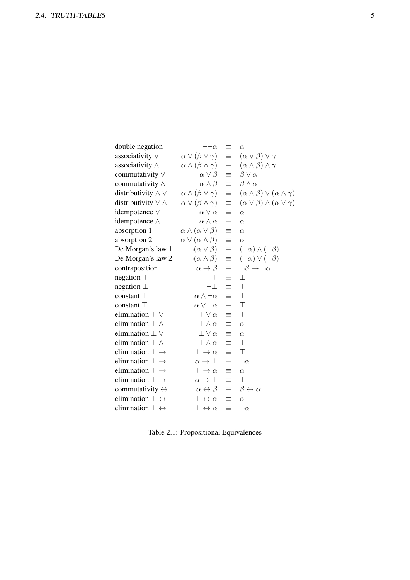| double negation                    | $\neg\neg\alpha$                      | $\equiv$ | $\alpha$                                            |
|------------------------------------|---------------------------------------|----------|-----------------------------------------------------|
| associativity $\vee$               | $\alpha \vee (\beta \vee \gamma)$     | $\equiv$ | $(\alpha \vee \beta) \vee \gamma$                   |
| associativity $\wedge$             | $\alpha \wedge (\beta \wedge \gamma)$ | $\equiv$ | $(\alpha \wedge \beta) \wedge \gamma$               |
| commutativity $\vee$               | $\alpha \vee \beta$                   | $\equiv$ | $\beta \vee \alpha$                                 |
| commutativity $\wedge$             | $\alpha \wedge \beta$                 | $\equiv$ | $\beta \wedge \alpha$                               |
| distributivity $\wedge \vee$       | $\alpha \wedge (\beta \vee \gamma)$   | $\equiv$ | $(\alpha \wedge \beta) \vee (\alpha \wedge \gamma)$ |
| distributivity $\vee \wedge$       | $\alpha \vee (\beta \wedge \gamma)$   | $\equiv$ | $(\alpha \vee \beta) \wedge (\alpha \vee \gamma)$   |
| idempotence V                      | $\alpha \vee \alpha$                  | $\equiv$ | $\alpha$                                            |
| idempotence $\wedge$               | $\alpha \wedge \alpha$                | $\equiv$ | $\alpha$                                            |
| absorption 1                       | $\alpha \wedge (\alpha \vee \beta)$   | $\equiv$ | $\alpha$                                            |
| absorption 2                       | $\alpha \vee (\alpha \wedge \beta)$   | $\equiv$ | $\alpha$                                            |
| De Morgan's law 1                  | $\neg(\alpha \vee \beta)$             | $\equiv$ | $(\neg \alpha) \wedge (\neg \beta)$                 |
| De Morgan's law 2                  | $\neg(\alpha \wedge \beta)$           | $\equiv$ | $(\neg \alpha) \vee (\neg \beta)$                   |
| contraposition                     | $\alpha \rightarrow \beta$            | $\equiv$ | $\neg \beta \rightarrow \neg \alpha$                |
| negation $\top$                    | $\neg$ T                              | $\equiv$ | $\perp$                                             |
| negation $\perp$                   | ⊣⊥                                    | $\equiv$ | $\top$                                              |
| constant $\perp$                   | $\alpha \wedge \neg \alpha$           | $\equiv$ | $\perp$                                             |
| constant T                         | $\alpha \vee \neg \alpha$             | $\equiv$ | $\top$                                              |
| elimination $\top \vee$            | $\top \vee \alpha$                    | $\equiv$ | $\top$                                              |
| elimination $\top \wedge$          | $\top \wedge \alpha$                  | ≡        | $\alpha$                                            |
| elimination $\perp$ $\vee$         | $\perp \vee \alpha$                   | $\equiv$ | $\alpha$                                            |
| elimination $\perp \wedge$         | $\perp \wedge \alpha$                 | $\equiv$ | $\perp$                                             |
| elimination $\bot \rightarrow$     | $\perp \rightarrow \alpha$            | $\equiv$ | $\top$                                              |
| elimination $\perp \rightarrow$    | $\alpha \rightarrow \perp$            | ≡        | $\neg \alpha$                                       |
| elimination $\top \rightarrow$     | $\top \rightarrow \alpha$             | $\equiv$ | $\alpha$                                            |
| elimination $\top \rightarrow$     | $\alpha \rightarrow \top$             | $\equiv$ | $\top$                                              |
| commutativity $\leftrightarrow$    | $\alpha \leftrightarrow \beta$        | $\equiv$ | $\beta \leftrightarrow \alpha$                      |
| elimination $\top \leftrightarrow$ | $\top \leftrightarrow \alpha$         | $\equiv$ | $\alpha$                                            |
| elimination $\bot \leftrightarrow$ | $\bot \leftrightarrow \alpha$         | $\equiv$ | $\neg\alpha$                                        |

Table 2.1: Propositional Equivalences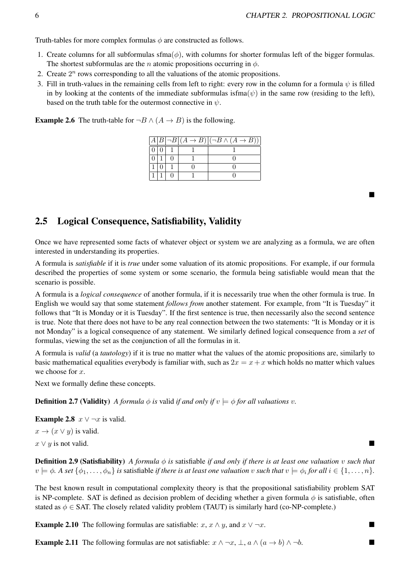Truth-tables for more complex formulas  $\phi$  are constructed as follows.

- 1. Create columns for all subformulas sfma $(\phi)$ , with columns for shorter formulas left of the bigger formulas. The shortest subformulas are the *n* atomic propositions occurring in  $\phi$ .
- 2. Create  $2^n$  rows corresponding to all the valuations of the atomic propositions.
- 3. Fill in truth-values in the remaining cells from left to right: every row in the column for a formula  $\psi$  is filled in by looking at the contents of the immediate subformulas isfma $(\psi)$  in the same row (residing to the left), based on the truth table for the outermost connective in  $\psi$ .

**Example 2.6** The truth-table for  $\neg B \land (A \rightarrow B)$  is the following.

|  |  | $\overline{A B \neg B (A\to B)} (\neg B\wedge (A\to B))$ |
|--|--|----------------------------------------------------------|
|  |  |                                                          |
|  |  |                                                          |
|  |  |                                                          |
|  |  |                                                          |

### 2.5 Logical Consequence, Satisfiability, Validity

Once we have represented some facts of whatever object or system we are analyzing as a formula, we are often interested in understanding its properties.

A formula is *satisfiable* if it is *true* under some valuation of its atomic propositions. For example, if our formula described the properties of some system or some scenario, the formula being satisfiable would mean that the scenario is possible.

A formula is a *logical consequence* of another formula, if it is necessarily true when the other formula is true. In English we would say that some statement *follows from* another statement. For example, from "It is Tuesday" it follows that "It is Monday or it is Tuesday". If the first sentence is true, then necessarily also the second sentence is true. Note that there does not have to be any real connection between the two statements: "It is Monday or it is not Monday" is a logical consequence of any statement. We similarly defined logical consequence from a *set* of formulas, viewing the set as the conjunction of all the formulas in it.

A formula is *valid* (a *tautology*) if it is true no matter what the values of the atomic propositions are, similarly to basic mathematical equalities everybody is familiar with, such as  $2x = x + x$  which holds no matter which values we choose for  $x$ .

Next we formally define these concepts.

**Definition 2.7 (Validity)** *A formula*  $\phi$  *is* valid *if and only if*  $v \models \phi$  *for all valuations v.* 

**Example 2.8**  $x \vee \neg x$  is valid.

 $x \rightarrow (x \vee y)$  is valid.  $x \vee y$  is not valid.

**Definition 2.9 (Satisfiability)** *A formula*  $\phi$  *is* satisfiable *if and only if there is at least one valuation* v *such that*  $v \models \phi$ . A set  $\{\phi_1,\ldots,\phi_n\}$  is satisfiable if there is at least one valuation v such that  $v \models \phi_i$  for all  $i \in \{1,\ldots,n\}$ .

The best known result in computational complexity theory is that the propositional satisfiability problem SAT is NP-complete. SAT is defined as decision problem of deciding whether a given formula  $\phi$  is satisfiable, often stated as  $\phi \in$  SAT. The closely related validity problem (TAUT) is similarly hard (co-NP-complete.)

**Example 2.10** The following formulas are satisfiable:  $x, x \wedge y$ , and  $x \vee \neg x$ .

**Example 2.11** The following formulas are not satisfiable:  $x \wedge \neg x, \bot, a \wedge (a \rightarrow b) \wedge \neg b$ .

■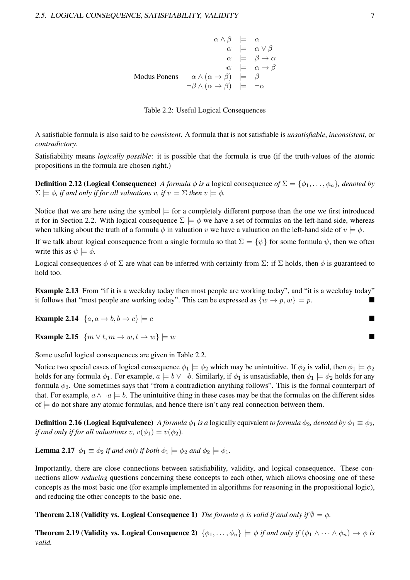$$
\alpha \land \beta \models \alpha
$$
\n
$$
\alpha \models \alpha \lor \beta
$$
\n
$$
\alpha \models \beta \to \alpha
$$
\n
$$
\neg \alpha \models \alpha \to \beta
$$
\nModus Ponens

\n
$$
\alpha \land (\alpha \to \beta) \models \beta
$$
\n
$$
\neg \beta \land (\alpha \to \beta) \models \neg \alpha
$$

| Table 2.2: Useful Logical Consequences |  |  |  |  |
|----------------------------------------|--|--|--|--|
|----------------------------------------|--|--|--|--|

A satisfiable formula is also said to be *consistent*. A formula that is not satisfiable is *unsatisfiable*, *inconsistent*, or *contradictory*.

Satisfiability means *logically possible*: it is possible that the formula is true (if the truth-values of the atomic propositions in the formula are chosen right.)

**Definition 2.12 (Logical Consequence)** *A formula*  $\phi$  *is a* logical consequence of  $\Sigma = \{\phi_1, \ldots, \phi_n\}$ *, denoted by*  $\Sigma \models \phi$ , if and only if for all valuations v, if  $v \models \Sigma$  then  $v \models \phi$ .

Notice that we are here using the symbol  $\models$  for a completely different purpose than the one we first introduced it for in Section 2.2. With logical consequence  $\Sigma \models \phi$  we have a set of formulas on the left-hand side, whereas when talking about the truth of a formula  $\phi$  in valuation v we have a valuation on the left-hand side of  $v \models \phi$ .

If we talk about logical consequence from a single formula so that  $\Sigma = {\psi}$  for some formula  $\psi$ , then we often write this as  $\psi \models \phi$ .

Logical consequences  $\phi$  of  $\Sigma$  are what can be inferred with certainty from  $\Sigma$ : if  $\Sigma$  holds, then  $\phi$  is guaranteed to hold too.

Example 2.13 From "if it is a weekday today then most people are working today", and "it is a weekday today" it follows that "most people are working today". This can be expressed as  $\{w \to p, w\} \models p$ .

**Example 2.14**  $\{a, a \rightarrow b, b \rightarrow c\} \models c$ 

**Example 2.15**  $\{m \vee t, m \rightarrow w, t \rightarrow w\} \models w$ 

Some useful logical consequences are given in Table 2.2.

Notice two special cases of logical consequence  $\phi_1 \models \phi_2$  which may be unintuitive. If  $\phi_2$  is valid, then  $\phi_1 \models \phi_2$ holds for any formula  $\phi_1$ . For example,  $a \models b \lor \neg b$ . Similarly, if  $\phi_1$  is unsatisfiable, then  $\phi_1 \models \phi_2$  holds for any formula  $\phi_2$ . One sometimes says that "from a contradiction anything follows". This is the formal counterpart of that. For example,  $a \wedge \neg a \models b$ . The unintuitive thing in these cases may be that the formulas on the different sides of  $\models$  do not share any atomic formulas, and hence there isn't any real connection between them.

**Definition 2.16 (Logical Equivalence)** *A formula*  $\phi_1$  *is a* logically equivalent *to formula*  $\phi_2$ *, denoted by*  $\phi_1 \equiv \phi_2$ *, if and only if for all valuations* v,  $v(\phi_1) = v(\phi_2)$ .

**Lemma 2.17**  $\phi_1 \equiv \phi_2$  *if and only if both*  $\phi_1 \models \phi_2$  *and*  $\phi_2 \models \phi_1$ *.* 

Importantly, there are close connections between satisfiability, validity, and logical consequence. These connections allow *reducing* questions concerning these concepts to each other, which allows choosing one of these concepts as the most basic one (for example implemented in algorithms for reasoning in the propositional logic), and reducing the other concepts to the basic one.

**Theorem 2.18 (Validity vs. Logical Consequence 1)** *The formula*  $\phi$  *is valid if and only if*  $\emptyset \models \phi$ *.* 

Theorem 2.19 (Validity vs. Logical Consequence 2)  $\{\phi_1,\ldots,\phi_n\} \models \phi$  *if and only if*  $(\phi_1 \land \cdots \land \phi_n) \rightarrow \phi$  *is valid.*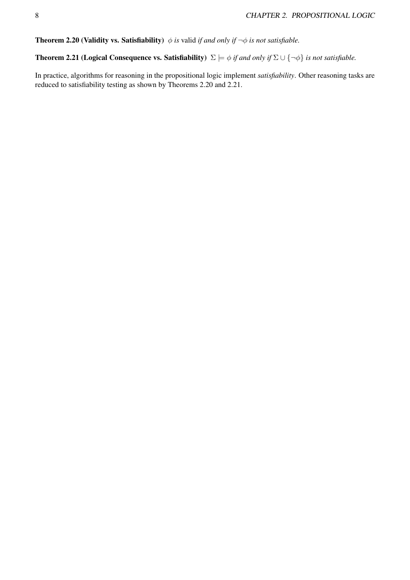**Theorem 2.20 (Validity vs. Satisfiability)**  $\phi$  *is* valid *if and only if*  $\neg \phi$  *is not satisfiable.* 

Theorem 2.21 (Logical Consequence vs. Satisfiability)  $\Sigma \models \phi$  *if and only if*  $\Sigma \cup {\neg \phi}$  *is not satisfiable.* 

In practice, algorithms for reasoning in the propositional logic implement *satisfiability*. Other reasoning tasks are reduced to satisfiability testing as shown by Theorems 2.20 and 2.21.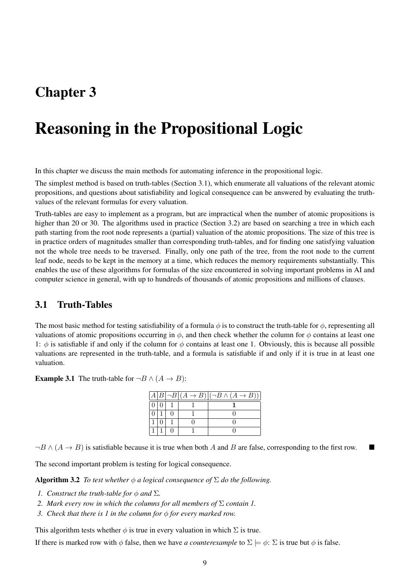## Chapter 3

# Reasoning in the Propositional Logic

In this chapter we discuss the main methods for automating inference in the propositional logic.

The simplest method is based on truth-tables (Section 3.1), which enumerate all valuations of the relevant atomic propositions, and questions about satisfiability and logical consequence can be answered by evaluating the truthvalues of the relevant formulas for every valuation.

Truth-tables are easy to implement as a program, but are impractical when the number of atomic propositions is higher than 20 or 30. The algorithms used in practice (Section 3.2) are based on searching a tree in which each path starting from the root node represents a (partial) valuation of the atomic propositions. The size of this tree is in practice orders of magnitudes smaller than corresponding truth-tables, and for finding one satisfying valuation not the whole tree needs to be traversed. Finally, only one path of the tree, from the root node to the current leaf node, needs to be kept in the memory at a time, which reduces the memory requirements substantially. This enables the use of these algorithms for formulas of the size encountered in solving important problems in AI and computer science in general, with up to hundreds of thousands of atomic propositions and millions of clauses.

### 3.1 Truth-Tables

The most basic method for testing satisfiability of a formula  $\phi$  is to construct the truth-table for  $\phi$ , representing all valuations of atomic propositions occurring in  $\phi$ , and then check whether the column for  $\phi$  contains at least one 1:  $\phi$  is satisfiable if and only if the column for  $\phi$  contains at least one 1. Obviously, this is because all possible valuations are represented in the truth-table, and a formula is satisfiable if and only if it is true in at least one valuation.

**Example 3.1** The truth-table for  $\neg B \land (A \rightarrow B)$ :

|  |  | $A B \neg B (A \to B) (\neg B \land (A \to B)) $ |
|--|--|--------------------------------------------------|
|  |  |                                                  |
|  |  |                                                  |
|  |  |                                                  |
|  |  |                                                  |

 $\neg B \land (A \rightarrow B)$  is satisfiable because it is true when both A and B are false, corresponding to the first row.

The second important problem is testing for logical consequence.

**Algorithm 3.2** *To test whether*  $\phi$  *a logical consequence of*  $\Sigma$  *do the following.* 

- *1. Construct the truth-table for*  $\phi$  *and*  $\Sigma$ *.*
- *2. Mark every row in which the columns for all members of* Σ *contain 1.*
- *3. Check that there is 1 in the column for* ϕ *for every marked row.*

This algorithm tests whether  $\phi$  is true in every valuation in which  $\Sigma$  is true.

If there is marked row with  $\phi$  false, then we have *a counterexample* to  $\Sigma \models \phi$ :  $\Sigma$  is true but  $\phi$  is false.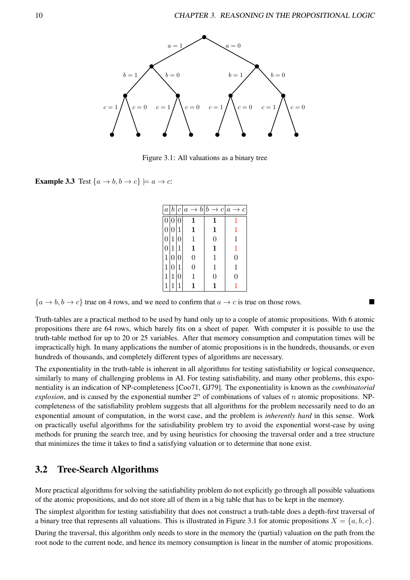

Figure 3.1: All valuations as a binary tree

**Example 3.3** Test  $\{a \rightarrow b, b \rightarrow c\} \models a \rightarrow c$ :

|                  |                |                  | $a b c a \rightarrow b b \rightarrow c a \rightarrow c$ |                |                |
|------------------|----------------|------------------|---------------------------------------------------------|----------------|----------------|
| $\theta$         | $\overline{0}$ | $\overline{0}$   | 1                                                       |                |                |
|                  | 0 0            | 1                | $\mathbf{1}$                                            | 1              | 1              |
| 0                | 1 0            |                  | $\mathbf{1}$                                            | $\overline{0}$ | 1              |
| $\boldsymbol{0}$ | 1              |                  |                                                         | 1              | 1              |
|                  | 1 0 0          |                  | 0                                                       | 1              | $\overline{0}$ |
| 1                | $\Omega$       |                  | 0                                                       | 1              | 1              |
| 1                |                | $\left( \right)$ |                                                         | 0              | 0              |
|                  |                |                  |                                                         |                |                |

 ${a \rightarrow b, b \rightarrow c}$  true on 4 rows, and we need to confirm that  $a \rightarrow c$  is true on those rows.

Truth-tables are a practical method to be used by hand only up to a couple of atomic propositions. With 6 atomic propositions there are 64 rows, which barely fits on a sheet of paper. With computer it is possible to use the truth-table method for up to 20 or 25 variables. After that memory consumption and computation times will be impractically high. In many applications the number of atomic propositions is in the hundreds, thousands, or even hundreds of thousands, and completely different types of algorithms are necessary.

The exponentiality in the truth-table is inherent in all algorithms for testing satisfiability or logical consequence, similarly to many of challenging problems in AI. For testing satisfiability, and many other problems, this exponentiality is an indication of NP-completeness [Coo71, GJ79]. The exponentiality is known as the *combinatorial*  $explosion$ , and is caused by the exponential number  $2<sup>n</sup>$  of combinations of values of n atomic propositions. NPcompleteness of the satisfiability problem suggests that all algorithms for the problem necessarily need to do an exponential amount of computation, in the worst case, and the problem is *inherently hard* in this sense. Work on practically useful algorithms for the satisfiability problem try to avoid the exponential worst-case by using methods for pruning the search tree, and by using heuristics for choosing the traversal order and a tree structure that minimizes the time it takes to find a satisfying valuation or to determine that none exist.

### 3.2 Tree-Search Algorithms

More practical algorithms for solving the satisfiability problem do not explicitly go through all possible valuations of the atomic propositions, and do not store all of them in a big table that has to be kept in the memory.

The simplest algorithm for testing satisfiability that does not construct a truth-table does a depth-first traversal of a binary tree that represents all valuations. This is illustrated in Figure 3.1 for atomic propositions  $X = \{a, b, c\}$ .

During the traversal, this algorithm only needs to store in the memory the (partial) valuation on the path from the root node to the current node, and hence its memory consumption is linear in the number of atomic propositions.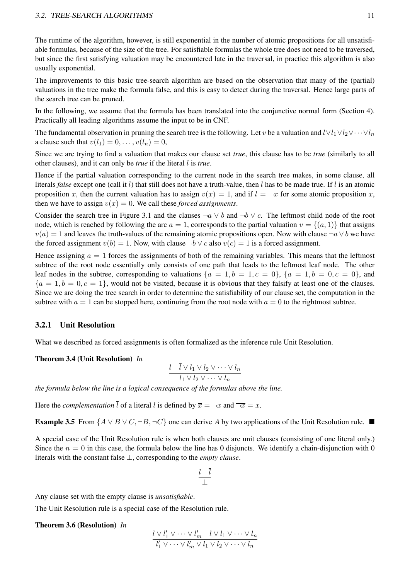#### 3.2. TREE-SEARCH ALGORITHMS 11

The runtime of the algorithm, however, is still exponential in the number of atomic propositions for all unsatisfiable formulas, because of the size of the tree. For satisfiable formulas the whole tree does not need to be traversed, but since the first satisfying valuation may be encountered late in the traversal, in practice this algorithm is also usually exponential.

The improvements to this basic tree-search algorithm are based on the observation that many of the (partial) valuations in the tree make the formula false, and this is easy to detect during the traversal. Hence large parts of the search tree can be pruned.

In the following, we assume that the formula has been translated into the conjunctive normal form (Section 4). Practically all leading algorithms assume the input to be in CNF.

The fundamental observation in pruning the search tree is the following. Let v be a valuation and  $l \vee l_1 \vee l_2 \vee \cdots \vee l_n$ a clause such that  $v(l_1) = 0, \ldots, v(l_n) = 0$ ,

Since we are trying to find a valuation that makes our clause set *true*, this clause has to be *true* (similarly to all other clauses), and it can only be *true* if the literal l is *true*.

Hence if the partial valuation corresponding to the current node in the search tree makes, in some clause, all literals *false* except one (call it l) that still does not have a truth-value, then l has to be made true. If l is an atomic proposition x, then the current valuation has to assign  $v(x) = 1$ , and if  $l = \neg x$  for some atomic proposition x, then we have to assign  $v(x) = 0$ . We call these *forced assignments*.

Consider the search tree in Figure 3.1 and the clauses  $\neg a \lor b$  and  $\neg b \lor c$ . The leftmost child node of the root node, which is reached by following the arc  $a = 1$ , corresponds to the partial valuation  $v = \{(a, 1)\}\$  that assigns  $v(a) = 1$  and leaves the truth-values of the remaining atomic propositions open. Now with clause  $\neg a \lor b$  we have the forced assignment  $v(b) = 1$ . Now, with clause  $\neg b \lor c$  also  $v(c) = 1$  is a forced assignment.

Hence assigning  $a = 1$  forces the assignments of both of the remaining variables. This means that the leftmost subtree of the root node essentially only consists of one path that leads to the leftmost leaf node. The other leaf nodes in the subtree, corresponding to valuations  $\{a = 1, b = 1, c = 0\}$ ,  $\{a = 1, b = 0, c = 0\}$ , and  ${a = 1, b = 0, c = 1}$ , would not be visited, because it is obvious that they falsify at least one of the clauses. Since we are doing the tree search in order to determine the satisfiability of our clause set, the computation in the subtree with  $a = 1$  can be stopped here, continuing from the root node with  $a = 0$  to the rightmost subtree.

#### 3.2.1 Unit Resolution

What we described as forced assignments is often formalized as the inference rule Unit Resolution.

#### Theorem 3.4 (Unit Resolution) *In*

$$
\frac{l \quad \bar{l} \lor l_1 \lor l_2 \lor \dots \lor l_n}{l_1 \lor l_2 \lor \dots \lor l_n}
$$

*the formula below the line is a logical consequence of the formulas above the line.*

Here the *complementation*  $\overline{l}$  of a literal l is defined by  $\overline{x} = \neg x$  and  $\overline{\neg x} = x$ .

**Example 3.5** From  $\{A \lor B \lor C, \neg B, \neg C\}$  one can derive A by two applications of the Unit Resolution rule. ■

A special case of the Unit Resolution rule is when both clauses are unit clauses (consisting of one literal only.) Since the  $n = 0$  in this case, the formula below the line has 0 disjuncts. We identify a chain-disjunction with 0 literals with the constant false ⊥, corresponding to the *empty clause*.

$$
\frac{l}{\perp} \frac{\bar{l}}{\perp}
$$

Any clause set with the empty clause is *unsatisfiable*.

The Unit Resolution rule is a special case of the Resolution rule.

#### Theorem 3.6 (Resolution) *In*

$$
\frac{l \vee l'_1 \vee \dots \vee l'_m \quad \bar{l} \vee l_1 \vee \dots \vee l_n}{l'_1 \vee \dots \vee l'_m \vee l_1 \vee l_2 \vee \dots \vee l_n}
$$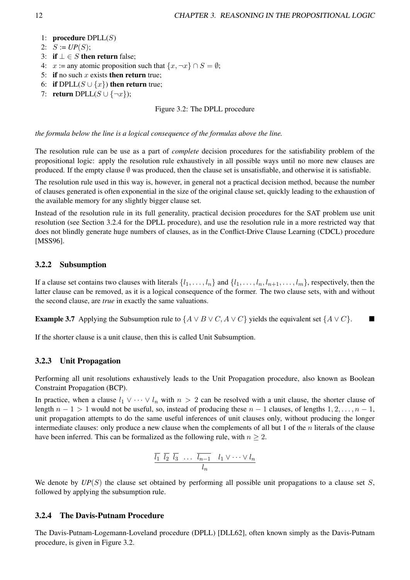- 1: procedure  $DPLL(S)$
- 2:  $S := UP(S);$
- 3: if  $\bot \in S$  then return false;
- 4:  $x := any atomic proposition such that \{x, \neg x\} \cap S = \emptyset;$
- 5: if no such x exists then return true:
- 6: if DPLL( $S \cup \{x\}$ ) then return true;
- 7: return DPLL( $S \cup \{\neg x\}$ );

#### Figure 3.2: The DPLL procedure

*the formula below the line is a logical consequence of the formulas above the line.*

The resolution rule can be use as a part of *complete* decision procedures for the satisfiability problem of the propositional logic: apply the resolution rule exhaustively in all possible ways until no more new clauses are produced. If the empty clause  $\emptyset$  was produced, then the clause set is unsatisfiable, and otherwise it is satisfiable.

The resolution rule used in this way is, however, in general not a practical decision method, because the number of clauses generated is often exponential in the size of the original clause set, quickly leading to the exhaustion of the available memory for any slightly bigger clause set.

Instead of the resolution rule in its full generality, practical decision procedures for the SAT problem use unit resolution (see Section 3.2.4 for the DPLL procedure), and use the resolution rule in a more restricted way that does not blindly generate huge numbers of clauses, as in the Conflict-Drive Clause Learning (CDCL) procedure [MSS96].

#### 3.2.2 Subsumption

If a clause set contains two clauses with literals  $\{l_1, \ldots, l_n\}$  and  $\{l_1, \ldots, l_n, l_{n+1}, \ldots, l_m\}$ , respectively, then the latter clause can be removed, as it is a logical consequence of the former. The two clause sets, with and without the second clause, are *true* in exactly the same valuations.

**Example 3.7** Applying the Subsumption rule to  $\{A \lor B \lor C, A \lor C\}$  yields the equivalent set  $\{A \lor C\}$ . ■

If the shorter clause is a unit clause, then this is called Unit Subsumption.

#### 3.2.3 Unit Propagation

Performing all unit resolutions exhaustively leads to the Unit Propagation procedure, also known as Boolean Constraint Propagation (BCP).

In practice, when a clause  $l_1 \vee \cdots \vee l_n$  with  $n > 2$  can be resolved with a unit clause, the shorter clause of length  $n - 1 > 1$  would not be useful, so, instead of producing these  $n - 1$  clauses, of lengths  $1, 2, \ldots, n - 1$ , unit propagation attempts to do the same useful inferences of unit clauses only, without producing the longer intermediate clauses: only produce a new clause when the complements of all but 1 of the  $n$  literals of the clause have been inferred. This can be formalized as the following rule, with  $n \geq 2$ .

$$
\overline{l_1} \ \overline{l_2} \ \overline{l_3} \ \ldots \ \overline{l_{n-1}} \ \ l_1 \vee \cdots \vee l_n
$$

$$
l_n
$$

We denote by  $UP(S)$  the clause set obtained by performing all possible unit propagations to a clause set S, followed by applying the subsumption rule.

#### 3.2.4 The Davis-Putnam Procedure

The Davis-Putnam-Logemann-Loveland procedure (DPLL) [DLL62], often known simply as the Davis-Putnam procedure, is given in Figure 3.2.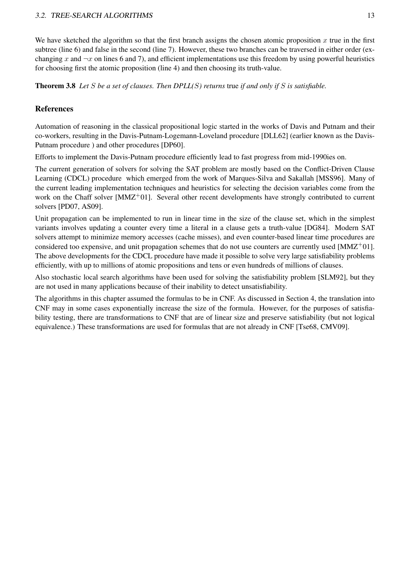We have sketched the algorithm so that the first branch assigns the chosen atomic proposition  $x$  true in the first subtree (line 6) and false in the second (line 7). However, these two branches can be traversed in either order (exchanging x and  $\neg x$  on lines 6 and 7), and efficient implementations use this freedom by using powerful heuristics for choosing first the atomic proposition (line 4) and then choosing its truth-value.

Theorem 3.8 *Let* S *be a set of clauses. Then DPLL(*S*) returns* true *if and only if* S *is satisfiable.*

#### References

Automation of reasoning in the classical propositional logic started in the works of Davis and Putnam and their co-workers, resulting in the Davis-Putnam-Logemann-Loveland procedure [DLL62] (earlier known as the Davis-Putnam procedure ) and other procedures [DP60].

Efforts to implement the Davis-Putnam procedure efficiently lead to fast progress from mid-1990ies on.

The current generation of solvers for solving the SAT problem are mostly based on the Conflict-Driven Clause Learning (CDCL) procedure which emerged from the work of Marques-Silva and Sakallah [MSS96]. Many of the current leading implementation techniques and heuristics for selecting the decision variables come from the work on the Chaff solver  $[MMZ^+01]$ . Several other recent developments have strongly contributed to current solvers [PD07, AS09].

Unit propagation can be implemented to run in linear time in the size of the clause set, which in the simplest variants involves updating a counter every time a literal in a clause gets a truth-value [DG84]. Modern SAT solvers attempt to minimize memory accesses (cache misses), and even counter-based linear time procedures are considered too expensive, and unit propagation schemes that do not use counters are currently used  $[MMZ^+01]$ . The above developments for the CDCL procedure have made it possible to solve very large satisfiability problems efficiently, with up to millions of atomic propositions and tens or even hundreds of millions of clauses.

Also stochastic local search algorithms have been used for solving the satisfiability problem [SLM92], but they are not used in many applications because of their inability to detect unsatisfiability.

The algorithms in this chapter assumed the formulas to be in CNF. As discussed in Section 4, the translation into CNF may in some cases exponentially increase the size of the formula. However, for the purposes of satisfiability testing, there are transformations to CNF that are of linear size and preserve satisfiability (but not logical equivalence.) These transformations are used for formulas that are not already in CNF [Tse68, CMV09].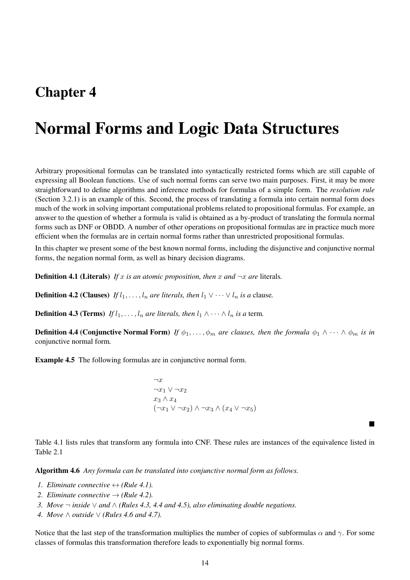## Chapter 4

# Normal Forms and Logic Data Structures

Arbitrary propositional formulas can be translated into syntactically restricted forms which are still capable of expressing all Boolean functions. Use of such normal forms can serve two main purposes. First, it may be more straightforward to define algorithms and inference methods for formulas of a simple form. The *resolution rule* (Section 3.2.1) is an example of this. Second, the process of translating a formula into certain normal form does much of the work in solving important computational problems related to propositional formulas. For example, an answer to the question of whether a formula is valid is obtained as a by-product of translating the formula normal forms such as DNF or OBDD. A number of other operations on propositional formulas are in practice much more efficient when the formulas are in certain normal forms rather than unrestricted propositional formulas.

In this chapter we present some of the best known normal forms, including the disjunctive and conjunctive normal forms, the negation normal form, as well as binary decision diagrams.

**Definition 4.1 (Literals)** If x is an atomic proposition, then x and  $\neg x$  are literals.

**Definition 4.2 (Clauses)** *If*  $l_1, \ldots, l_n$  *are literals, then*  $l_1 \vee \cdots \vee l_n$  *is a* clause.

**Definition 4.3 (Terms)** *If*  $l_1, \ldots, l_n$  *are literals, then*  $l_1 \wedge \cdots \wedge l_n$  *is a* term.

**Definition 4.4 (Conjunctive Normal Form)** *If*  $\phi_1, \ldots, \phi_m$  *are clauses, then the formula*  $\phi_1 \wedge \cdots \wedge \phi_m$  *is in* conjunctive normal form*.*

Example 4.5 The following formulas are in conjunctive normal form.

 $\neg r$  $\neg x_1 \vee \neg x_2$  $x_3 \wedge x_4$  $(x_1 \vee \neg x_1 \vee \neg x_2) \wedge \neg x_3 \wedge (x_4 \vee \neg x_5)$ 

Table 4.1 lists rules that transform any formula into CNF. These rules are instances of the equivalence listed in Table 2.1

■

Algorithm 4.6 *Any formula can be translated into conjunctive normal form as follows.*

- *1. Eliminate connective*  $\leftrightarrow$  *(Rule 4.1).*
- 2. *Eliminate connective*  $\rightarrow$  *(Rule 4.2).*
- *3. Move* ¬ *inside* ∨ *and* ∧ *(Rules 4.3, 4.4 and 4.5), also eliminating double negations.*
- *4. Move* ∧ *outside* ∨ *(Rules 4.6 and 4.7).*

Notice that the last step of the transformation multiplies the number of copies of subformulas  $\alpha$  and  $\gamma$ . For some classes of formulas this transformation therefore leads to exponentially big normal forms.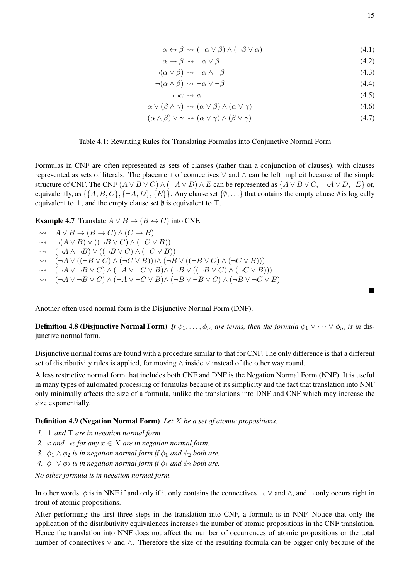$$
\alpha \leftrightarrow \beta \leadsto (\neg \alpha \lor \beta) \land (\neg \beta \lor \alpha) \tag{4.1}
$$

$$
\alpha \to \beta \leadsto \neg \alpha \lor \beta \tag{4.2}
$$

$$
\neg(\alpha \lor \beta) \leadsto \neg \alpha \land \neg \beta \tag{4.3}
$$

$$
\neg(\alpha \land \beta) \leadsto \neg\alpha \lor \neg\beta \tag{4.4}
$$

$$
\neg \neg \alpha \leadsto \alpha \tag{4.5}
$$
\n
$$
\sqrt{(3 \land \gamma)} \leadsto (\alpha \lor \beta) \land (\alpha \lor \gamma) \tag{4.6}
$$

$$
\alpha \vee (\beta \wedge \gamma) \rightsquigarrow (\alpha \vee \beta) \wedge (\alpha \vee \gamma) \tag{4.6}
$$
\n
$$
(\alpha \wedge \beta) \vee (\alpha \vee \alpha) \wedge (\alpha \vee \alpha) \tag{4.7}
$$

$$
(\alpha \wedge \beta) \vee \gamma \leadsto (\alpha \vee \gamma) \wedge (\beta \vee \gamma) \tag{4.7}
$$

#### Table 4.1: Rewriting Rules for Translating Formulas into Conjunctive Normal Form

Formulas in CNF are often represented as sets of clauses (rather than a conjunction of clauses), with clauses represented as sets of literals. The placement of connectives ∨ and ∧ can be left implicit because of the simple structure of CNF. The CNF  $(A \lor B \lor C) \land (\neg A \lor D) \land E$  can be represented as  $\{A \lor B \lor C, \neg A \lor D, E\}$  or, equivalently, as  $\{\{A, B, C\}, \{\neg A, D\}, \{E\}\}\$ . Any clause set  $\{\emptyset, \ldots\}$  that contains the empty clause  $\emptyset$  is logically equivalent to  $\bot$ , and the empty clause set  $\emptyset$  is equivalent to  $\top$ .

**Example 4.7** Translate  $A \lor B \to (B \leftrightarrow C)$  into CNF.

$$
\leadsto A \lor B \to (B \to C) \land (C \to B)
$$

- $\rightarrow \neg (A \lor B) \lor ((\neg B \lor C) \land (\neg C \lor B))$
- $\rightarrow$   $(\neg A \land \neg B) \lor ((\neg B \lor C) \land (\neg C \lor B))$
- $\rightarrow \quad (\neg A \lor ((\neg B \lor C) \land (\neg C \lor B))) \land (\neg B \lor ((\neg B \lor C) \land (\neg C \lor B)))$
- $\rightarrow$   $(\neg A \lor \neg B \lor C) \land (\neg A \lor \neg C \lor B) \land (\neg B \lor ((\neg B \lor C) \land (\neg C \lor B)))$
- $\rightarrow$   $(\neg A \lor \neg B \lor C) \land (\neg A \lor \neg C \lor B) \land (\neg B \lor \neg B \lor C) \land (\neg B \lor \neg C \lor B)$

Another often used normal form is the Disjunctive Normal Form (DNF).

**Definition 4.8 (Disjunctive Normal Form)** *If*  $\phi_1, \ldots, \phi_m$  *are terms, then the formula*  $\phi_1 \vee \cdots \vee \phi_m$  *is in* disjunctive normal form*.*

Disjunctive normal forms are found with a procedure similar to that for CNF. The only difference is that a different set of distributivity rules is applied, for moving ∧ inside ∨ instead of the other way round.

A less restrictive normal form that includes both CNF and DNF is the Negation Normal Form (NNF). It is useful in many types of automated processing of formulas because of its simplicity and the fact that translation into NNF only minimally affects the size of a formula, unlike the translations into DNF and CNF which may increase the size exponentially.

#### Definition 4.9 (Negation Normal Form) *Let* X *be a set of atomic propositions.*

- *1.* ⊥ *and* ⊤ *are in negation normal form.*
- *2. x and*  $\neg x$  *for any x* ∈ *X are in negation normal form.*
- *3.*  $\phi_1 \wedge \phi_2$  *is in negation normal form if*  $\phi_1$  *and*  $\phi_2$  *both are.*
- *4.*  $\phi_1 \vee \phi_2$  *is in negation normal form if*  $\phi_1$  *and*  $\phi_2$  *both are.*

*No other formula is in negation normal form.*

In other words,  $\phi$  is in NNF if and only if it only contains the connectives  $\neg$ ,  $\vee$  and  $\wedge$ , and  $\neg$  only occurs right in front of atomic propositions.

After performing the first three steps in the translation into CNF, a formula is in NNF. Notice that only the application of the distributivity equivalences increases the number of atomic propositions in the CNF translation. Hence the translation into NNF does not affect the number of occurrences of atomic propositions or the total number of connectives ∨ and ∧. Therefore the size of the resulting formula can be bigger only because of the

■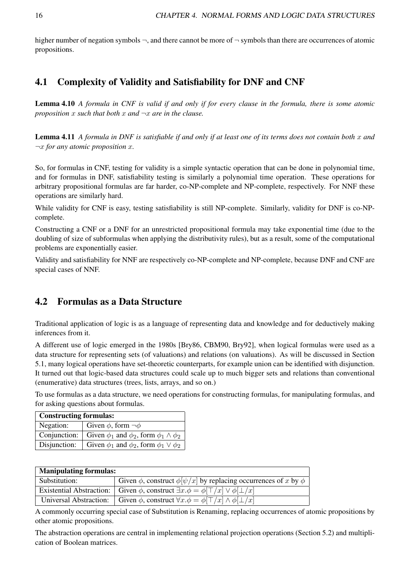higher number of negation symbols  $\neg$ , and there cannot be more of  $\neg$  symbols than there are occurrences of atomic propositions.

### 4.1 Complexity of Validity and Satisfiability for DNF and CNF

Lemma 4.10 *A formula in CNF is valid if and only if for every clause in the formula, there is some atomic proposition* x *such that both* x *and* ¬x *are in the clause.*

Lemma 4.11 *A formula in DNF is satisfiable if and only if at least one of its terms does not contain both* x *and* ¬x *for any atomic proposition* x*.*

So, for formulas in CNF, testing for validity is a simple syntactic operation that can be done in polynomial time, and for formulas in DNF, satisfiability testing is similarly a polynomial time operation. These operations for arbitrary propositional formulas are far harder, co-NP-complete and NP-complete, respectively. For NNF these operations are similarly hard.

While validity for CNF is easy, testing satisfiability is still NP-complete. Similarly, validity for DNF is co-NPcomplete.

Constructing a CNF or a DNF for an unrestricted propositional formula may take exponential time (due to the doubling of size of subformulas when applying the distributivity rules), but as a result, some of the computational problems are exponentially easier.

Validity and satisfiability for NNF are respectively co-NP-complete and NP-complete, because DNF and CNF are special cases of NNF.

### 4.2 Formulas as a Data Structure

Traditional application of logic is as a language of representing data and knowledge and for deductively making inferences from it.

A different use of logic emerged in the 1980s [Bry86, CBM90, Bry92], when logical formulas were used as a data structure for representing sets (of valuations) and relations (on valuations). As will be discussed in Section 5.1, many logical operations have set-theoretic counterparts, for example union can be identified with disjunction. It turned out that logic-based data structures could scale up to much bigger sets and relations than conventional (enumerative) data structures (trees, lists, arrays, and so on.)

To use formulas as a data structure, we need operations for constructing formulas, for manipulating formulas, and for asking questions about formulas.

| <b>Constructing formulas:</b> |                                                           |  |
|-------------------------------|-----------------------------------------------------------|--|
| Negation:                     | Given $\phi$ , form $\neg \phi$                           |  |
| Conjunction:                  | Given $\phi_1$ and $\phi_2$ , form $\phi_1 \wedge \phi_2$ |  |
| Disjunction:                  | Given $\phi_1$ and $\phi_2$ , form $\phi_1 \vee \phi_2$   |  |

| <b>Manipulating formulas:</b> |                                                                                                       |  |  |
|-------------------------------|-------------------------------------------------------------------------------------------------------|--|--|
| Substitution:                 | Given $\phi$ , construct $\phi[\psi/x]$ by replacing occurrences of x by $\phi$                       |  |  |
|                               | Existential Abstraction:   Given $\phi$ , construct $\exists x.\phi = \phi[\top/x] \vee \phi[\bot/x]$ |  |  |
| Universal Abstraction:        | Given $\phi$ , construct $\forall x.\phi = \phi[\top/x] \wedge \phi[\bot/x]$                          |  |  |

A commonly occurring special case of Substitution is Renaming, replacing occurrences of atomic propositions by other atomic propositions.

The abstraction operations are central in implementing relational projection operations (Section 5.2) and multiplication of Boolean matrices.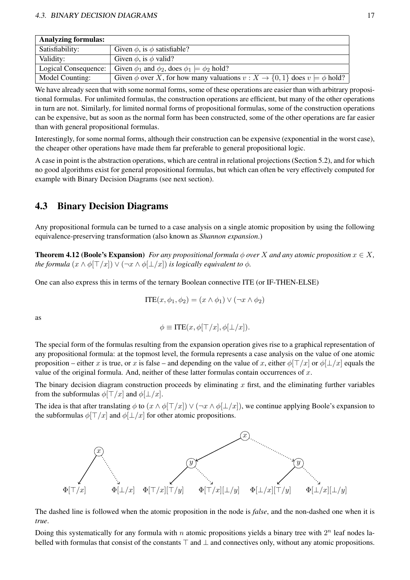| <b>Analyzing formulas:</b> |                                                                                               |
|----------------------------|-----------------------------------------------------------------------------------------------|
| Satisfiability:            | Given $\phi$ , is $\phi$ satisfiable?                                                         |
| Validity:                  | Given $\phi$ , is $\phi$ valid?                                                               |
| Logical Consequence:       | Given $\phi_1$ and $\phi_2$ , does $\phi_1 \models \phi_2$ hold?                              |
| Model Counting:            | Given $\phi$ over X, for how many valuations $v : X \to \{0, 1\}$ does $v \models \phi$ hold? |

We have already seen that with some normal forms, some of these operations are easier than with arbitrary propositional formulas. For unlimited formulas, the construction operations are efficient, but many of the other operations in turn are not. Similarly, for limited normal forms of propositional formulas, some of the construction operations can be expensive, but as soon as the normal form has been constructed, some of the other operations are far easier than with general propositional formulas.

Interestingly, for some normal forms, although their construction can be expensive (exponential in the worst case), the cheaper other operations have made them far preferable to general propositional logic.

A case in point is the abstraction operations, which are central in relational projections (Section 5.2), and for which no good algorithms exist for general propositional formulas, but which can often be very effectively computed for example with Binary Decision Diagrams (see next section).

### 4.3 Binary Decision Diagrams

Any propositional formula can be turned to a case analysis on a single atomic proposition by using the following equivalence-preserving transformation (also known as *Shannon expansion*.)

**Theorem 4.12 (Boole's Expansion)** *For any propositional formula*  $\phi$  *over* X *and any atomic proposition*  $x \in X$ , *the formula*  $(x \wedge \phi[\top/x]) \vee (\neg x \wedge \phi[\bot/x])$  *is logically equivalent to*  $\phi$ *.* 

One can also express this in terms of the ternary Boolean connective ITE (or IF-THEN-ELSE)

$$
ITE(x, \phi_1, \phi_2) = (x \land \phi_1) \lor (\neg x \land \phi_2)
$$

as

$$
\phi \equiv \text{ITE}(x, \phi[\top/x], \phi[\bot/x]).
$$

The special form of the formulas resulting from the expansion operation gives rise to a graphical representation of any propositional formula: at the topmost level, the formula represents a case analysis on the value of one atomic proposition – either x is true, or x is false – and depending on the value of x, either  $\phi[T/x]$  or  $\phi[\perp/x]$  equals the value of the original formula. And, neither of these latter formulas contain occurrences of  $x$ .

The binary decision diagram construction proceeds by eliminating x first, and the eliminating further variables from the subformulas  $\phi[\top/x]$  and  $\phi[\bot/x]$ .

The idea is that after translating  $\phi$  to  $(x \wedge \phi[\top/x]) \vee (\neg x \wedge \phi[\bot/x])$ , we continue applying Boole's expansion to the subformulas  $\phi$ [⊤/x] and  $\phi$ [⊥/x] for other atomic propositions.



The dashed line is followed when the atomic proposition in the node is *false*, and the non-dashed one when it is *true*.

Doing this systematically for any formula with n atomic propositions yields a binary tree with  $2^n$  leaf nodes labelled with formulas that consist of the constants ⊤ and ⊥ and connectives only, without any atomic propositions.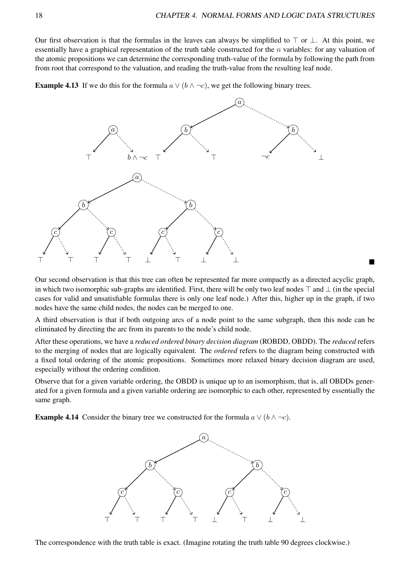Our first observation is that the formulas in the leaves can always be simplified to  $\top$  or  $\bot$ . At this point, we essentially have a graphical representation of the truth table constructed for the  $n$  variables: for any valuation of the atomic propositions we can determine the corresponding truth-value of the formula by following the path from from root that correspond to the valuation, and reading the truth-value from the resulting leaf node.

**Example 4.13** If we do this for the formula  $a \lor (b \land \neg c)$ , we get the following binary trees.



Our second observation is that this tree can often be represented far more compactly as a directed acyclic graph, in which two isomorphic sub-graphs are identified. First, there will be only two leaf nodes ⊤ and ⊥ (in the special cases for valid and unsatisfiable formulas there is only one leaf node.) After this, higher up in the graph, if two nodes have the same child nodes, the nodes can be merged to one.

A third observation is that if both outgoing arcs of a node point to the same subgraph, then this node can be eliminated by directing the arc from its parents to the node's child node.

After these operations, we have a *reduced ordered binary decision diagram* (ROBDD, OBDD). The *reduced* refers to the merging of nodes that are logically equivalent. The *ordered* refers to the diagram being constructed with a fixed total ordering of the atomic propositions. Sometimes more relaxed binary decision diagram are used, especially without the ordering condition.

Observe that for a given variable ordering, the OBDD is unique up to an isomorphism, that is, all OBDDs generated for a given formula and a given variable ordering are isomorphic to each other, represented by essentially the same graph.

**Example 4.14** Consider the binary tree we constructed for the formula  $a \vee (b \wedge \neg c)$ .



The correspondence with the truth table is exact. (Imagine rotating the truth table 90 degrees clockwise.)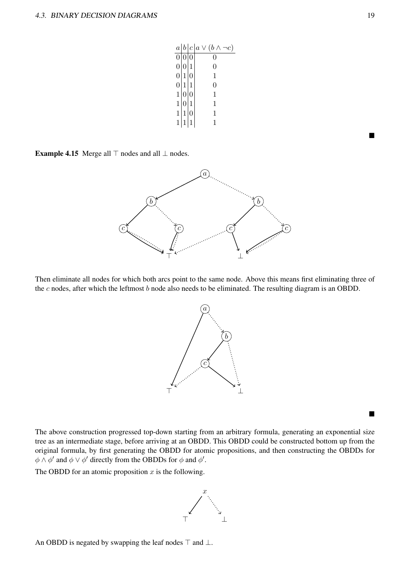|                  |              | $a b c a \vee (b \wedge \neg c)$ |
|------------------|--------------|----------------------------------|
| $\boldsymbol{0}$ |              | 0                                |
| $\overline{0}$   |              | 0                                |
| $\boldsymbol{0}$ |              | 1                                |
| $\overline{0}$   |              | 0                                |
| $\mathbf{1}$     |              |                                  |
| $\mathbf 1$      |              | 1                                |
|                  |              |                                  |
|                  |              |                                  |
|                  | $\mathbf{1}$ |                                  |

Example 4.15 Merge all  $⊤$  nodes and all  $⊥$  nodes.



Then eliminate all nodes for which both arcs point to the same node. Above this means first eliminating three of the  $c$  nodes, after which the leftmost  $b$  node also needs to be eliminated. The resulting diagram is an OBDD.



The above construction progressed top-down starting from an arbitrary formula, generating an exponential size tree as an intermediate stage, before arriving at an OBDD. This OBDD could be constructed bottom up from the original formula, by first generating the OBDD for atomic propositions, and then constructing the OBDDs for  $\phi \wedge \phi'$  and  $\phi \vee \phi'$  directly from the OBDDs for  $\phi$  and  $\phi'$ .

The OBDD for an atomic proposition  $x$  is the following.



An OBDD is negated by swapping the leaf nodes  $\top$  and  $\bot$ .

■

■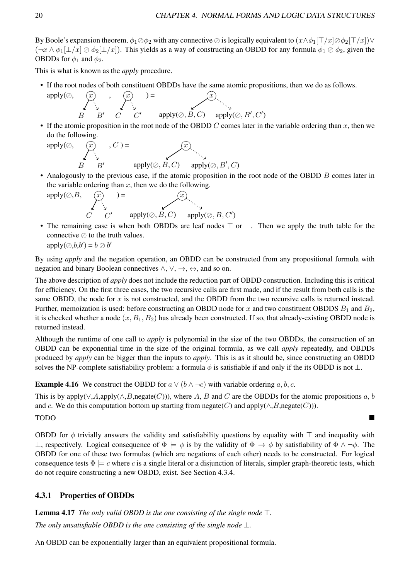By Boole's expansion theorem,  $\phi_1 \oslash \phi_2$  with any connective ⊘ is logically equivalent to  $(x \wedge \phi_1[\top/x] \oslash \phi_2[\top/x]) \vee$  $(\neg x \wedge \phi_1[\bot/x] \oslash \phi_2[\bot/x])$ . This yields as a way of constructing an OBDD for any formula  $\phi_1 \oslash \phi_2$ , given the OBDDs for  $\phi_1$  and  $\phi_2$ .

This is what is known as the *apply* procedure.

• If the root nodes of both constituent OBDDs have the same atomic propositions, then we do as follows.

$$
\text{apply}(\oslash, \underbrace{\mathcal{F}}_{B} \underbrace{\mathcal{F}}_{B'} \underbrace{\mathcal{F}}_{C} \underbrace{\mathcal{F}}_{C'} \underbrace{\mathcal{F}}_{C'} \underbrace{\mathcal{F}}_{\text{apply}(\oslash, B, C)} \underbrace{\mathcal{F}}_{\text{apply}(\oslash, B', C')}
$$

• If the atomic proposition in the root node of the OBDD C comes later in the variable ordering than x, then we do the following.

$$
\mathsf{apply}(\oslash, \underbrace{\mathcal{F}}_{B}, C) = \underbrace{\mathcal{F}}_{\mathsf{apply}(\oslash, B, C)} \underbrace{\mathcal{F}}_{\mathsf{apply}(\oslash, B', C)}
$$

• Analogously to the previous case, if the atomic proposition in the root node of the OBDD B comes later in the variable ordering than  $x$ , then we do the following.

apply(⊘,B, x C C ′ ) = x apply(⊘, B, C) apply(⊘, B, C′ )

• The remaining case is when both OBDDs are leaf nodes  $\top$  or  $\bot$ . Then we apply the truth table for the connective ⊘ to the truth values.  $apply(\oslash, b, b') = b \oslash b'$ 

By using *apply* and the negation operation, an OBDD can be constructed from any propositional formula with negation and binary Boolean connectives  $\wedge$ ,  $\vee$ ,  $\rightarrow$ ,  $\leftrightarrow$ , and so on.

The above description of *apply* does not include the reduction part of OBDD construction. Including this is critical for efficiency. On the first three cases, the two recursive calls are first made, and if the result from both calls is the same OBDD, the node for x is not constructed, and the OBDD from the two recursive calls is returned instead. Further, memoization is used: before constructing an OBDD node for x and two constituent OBDDS  $B_1$  and  $B_2$ , it is checked whether a node  $(x, B_1, B_2)$  has already been constructed. If so, that already-existing OBDD node is returned instead.

Although the runtime of one call to *apply* is polynomial in the size of the two OBDDs, the construction of an OBDD can be exponential time in the size of the original formula, as we call *apply* repeatedly, and OBDDs produced by *apply* can be bigger than the inputs to *apply*. This is as it should be, since constructing an OBDD solves the NP-complete satisfiability problem: a formula  $\phi$  is satisfiable if and only if the its OBDD is not  $\bot$ .

**Example 4.16** We construct the OBDD for  $a \lor (b \land \neg c)$  with variable ordering a, b, c.

This is by apply( $\vee$ ,A,apply( $\wedge$ ,B,negate(C))), where A, B and C are the OBDDs for the atomic propositions a, b and c. We do this computation bottom up starting from negate(C) and apply( $\land$ , B,negate(C))).

### TODO ■

OBDD for  $\phi$  trivially answers the validity and satisfiability questions by equality with ⊤ and inequality with  $\bot$ , respectively. Logical consequence of  $\Phi \models \phi$  is by the validity of  $\Phi \rightarrow \phi$  by satisfiability of  $\Phi \land \neg \phi$ . The OBDD for one of these two formulas (which are negations of each other) needs to be constructed. For logical consequence tests  $\Phi \models c$  where c is a single literal or a disjunction of literals, simpler graph-theoretic tests, which do not require constructing a new OBDD, exist. See Section 4.3.4.

### 4.3.1 Properties of OBDDs

Lemma 4.17 *The only valid OBDD is the one consisting of the single node* ⊤*. The only unsatisfiable OBDD is the one consisting of the single node* ⊥.

An OBDD can be exponentially larger than an equivalent propositional formula.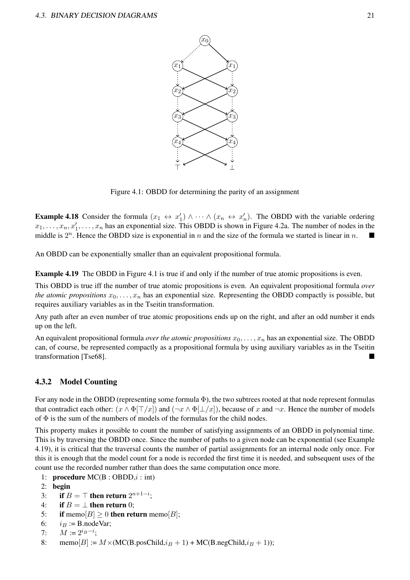

Figure 4.1: OBDD for determining the parity of an assignment

**Example 4.18** Consider the formula  $(x_1 \leftrightarrow x_1') \wedge \cdots \wedge (x_n \leftrightarrow x_n')$ . The OBDD with the variable ordering  $x_1, \ldots, x_n, x'_1, \ldots, x_n$  has an exponential size. This OBDD is shown in Figure 4.2a. The number of nodes in the middle is  $2^n$ . Hence the OBDD size is exponential in n and the size of the formula we started is linear in n.

An OBDD can be exponentially smaller than an equivalent propositional formula.

Example 4.19 The OBDD in Figure 4.1 is true if and only if the number of true atomic propositions is even.

This OBDD is true iff the number of true atomic propositions is even. An equivalent propositional formula *over the atomic propositions*  $x_0, \ldots, x_n$  has an exponential size. Representing the OBDD compactly is possible, but requires auxiliary variables as in the Tseitin transformation.

Any path after an even number of true atomic propositions ends up on the right, and after an odd number it ends up on the left.

An equivalent propositional formula *over the atomic propositions*  $x_0, \ldots, x_n$  has an exponential size. The OBDD can, of course, be represented compactly as a propositional formula by using auxiliary variables as in the Tseitin transformation [Tse68].

#### 4.3.2 Model Counting

For any node in the OBDD (representing some formula  $\Phi$ ), the two subtrees rooted at that node represent formulas that contradict each other:  $(x \wedge \Phi[\top/x])$  and  $(\neg x \wedge \Phi[\bot/x])$ , because of x and  $\neg x$ . Hence the number of models of  $\Phi$  is the sum of the numbers of models of the formulas for the child nodes.

This property makes it possible to count the number of satisfying assignments of an OBDD in polynomial time. This is by traversing the OBDD once. Since the number of paths to a given node can be exponential (see Example 4.19), it is critical that the traversal counts the number of partial assignments for an internal node only once. For this it is enough that the model count for a node is recorded the first time it is needed, and subsequent uses of the count use the recorded number rather than does the same computation once more.

- 1: **procedure**  $MC(B : OBDD, i : \text{int})$
- 2: begin
- 3: if  $B = \top$  then return  $2^{n+1-i}$ ;
- 4: if  $B = \perp$  then return 0;
- 5: if memo $[B] \geq 0$  then return memo $[B]$ ;
- 6:  $i_B := B$ .nodeVar;
- 7:  $M := 2^{i_B i}$ ;
- 8: memo[B] :=  $M \times (MC(B.posChild,i_B + 1) + MC(B.negChild,i_B + 1));$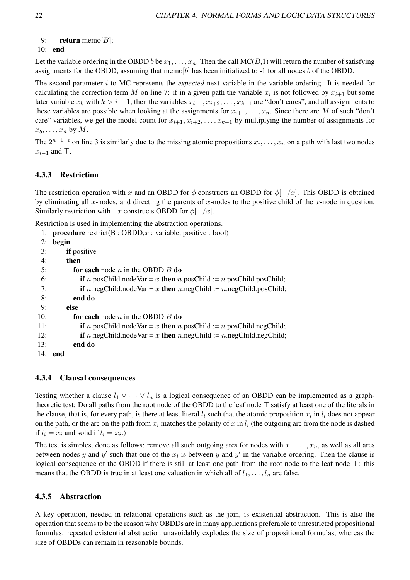```
9: return memo[B];
```
#### 10: end

Let the variable ordering in the OBDD b be  $x_1, \ldots, x_n$ . Then the call MC(B,1) will return the number of satisfying assignments for the OBDD, assuming that memo[b] has been initialized to -1 for all nodes b of the OBDD.

The second parameter i to MC represents the *expected* next variable in the variable ordering. It is needed for calculating the correction term M on line 7: if in a given path the variable  $x_i$  is not followed by  $x_{i+1}$  but some later variable  $x_k$  with  $k > i + 1$ , then the variables  $x_{i+1}, x_{i+2}, \ldots, x_{k-1}$  are "don't cares", and all assignments to these variables are possible when looking at the assignments for  $x_{i+1}, \ldots, x_n$ . Since there are M of such "don't care" variables, we get the model count for  $x_{i+1}, x_{i+2}, \ldots, x_{k-1}$  by multiplying the number of assignments for  $x_b, \ldots, x_n$  by  $M$ .

The  $2^{n+1-i}$  on line 3 is similarly due to the missing atomic propositions  $x_i, \ldots, x_n$  on a path with last two nodes  $x_{i-1}$  and ⊤.

### 4.3.3 Restriction

The restriction operation with x and an OBDD for  $\phi$  constructs an OBDD for  $\phi[T/x]$ . This OBDD is obtained by eliminating all x-nodes, and directing the parents of x-nodes to the positive child of the x-node in question. Similarly restriction with  $\neg x$  constructs OBDD for  $\phi[\perp/x]$ .

Restriction is used in implementing the abstraction operations.

1: **procedure** restrict( $B : OBDD, x : variable, positive : bool$ ) 2: begin 3: if positive 4: then 5: for each node  $n$  in the OBDD  $B$  do 6: if n.posChild.nodeVar = x then n.posChild := n.posChild.posChild; 7: if n.negChild.nodeVar = x then n.negChild := n.negChild.posChild; 8: end do 9: else 10: **for each** node *n* in the OBDD  $B$  do 11: if n.posChild.nodeVar = x then n.posChild := n.posChild.negChild; 12: if n.negChild.nodeVar = x then n.negChild := n.negChild.negChild; 13: end do 14: end

### 4.3.4 Clausal consequences

Testing whether a clause  $l_1 \vee \cdots \vee l_n$  is a logical consequence of an OBDD can be implemented as a graphtheoretic test: Do all paths from the root node of the OBDD to the leaf node ⊤ satisfy at least one of the literals in the clause, that is, for every path, is there at least literal  $l_i$  such that the atomic proposition  $x_i$  in  $l_i$  does not appear on the path, or the arc on the path from  $x_i$  matches the polarity of x in  $l_i$  (the outgoing arc from the node is dashed if  $l_i = x_i$  and solid if  $l_i = x_i$ .)

The test is simplest done as follows: remove all such outgoing arcs for nodes with  $x_1, \ldots, x_n$ , as well as all arcs between nodes y and y' such that one of the  $x_i$  is between y and y' in the variable ordering. Then the clause is logical consequence of the OBDD if there is still at least one path from the root node to the leaf node ⊤: this means that the OBDD is true in at least one valuation in which all of  $l_1, \ldots, l_n$  are false.

### 4.3.5 Abstraction

A key operation, needed in relational operations such as the join, is existential abstraction. This is also the operation that seems to be the reason why OBDDs are in many applications preferable to unrestricted propositional formulas: repeated existential abstraction unavoidably explodes the size of propositional formulas, whereas the size of OBDDs can remain in reasonable bounds.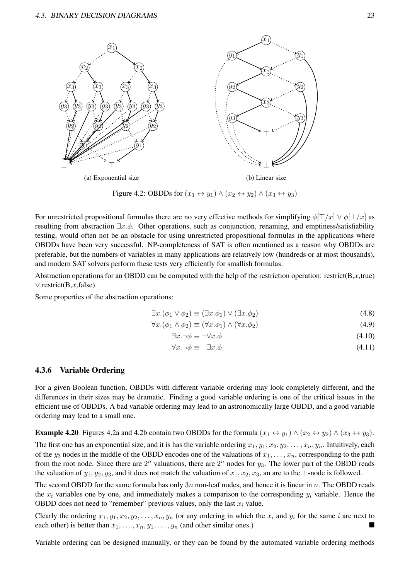

Figure 4.2: OBDDs for  $(x_1 \leftrightarrow y_1) \land (x_2 \leftrightarrow y_2) \land (x_3 \leftrightarrow y_3)$ 

For unrestricted propositional formulas there are no very effective methods for simplifying  $\phi[T/x] \vee \phi[L/x]$  as resulting from abstraction ∃x.ϕ. Other operations, such as conjunction, renaming, and emptiness/satisfiability testing, would often not be an obstacle for using unrestricted propositional formulas in the applications where OBDDs have been very successful. NP-completeness of SAT is often mentioned as a reason why OBDDs are preferable, but the numbers of variables in many applications are relatively low (hundreds or at most thousands), and modern SAT solvers perform these tests very efficiently for smallish formulas.

Abstraction operations for an OBDD can be computed with the help of the restriction operation: restrict( $B, x, true$ )  $\vee$  restrict(B,x,false).

Some properties of the abstraction operations:

$$
\exists x.(\phi_1 \lor \phi_2) \equiv (\exists x. \phi_1) \lor (\exists x. \phi_2)
$$
\n(4.8)

$$
\forall x.(\phi_1 \land \phi_2) \equiv (\forall x. \phi_1) \land (\forall x. \phi_2)
$$
\n(4.9)

$$
\exists x. \neg \phi \equiv \neg \forall x. \phi \tag{4.10}
$$

$$
\forall x. \neg \phi \equiv \neg \exists x. \phi \tag{4.11}
$$

#### 4.3.6 Variable Ordering

For a given Boolean function, OBDDs with different variable ordering may look completely different, and the differences in their sizes may be dramatic. Finding a good variable ordering is one of the critical issues in the efficient use of OBDDs. A bad variable ordering may lead to an astronomically large OBDD, and a good variable ordering may lead to a small one.

**Example 4.20** Figures 4.2a and 4.2b contain two OBDDs for the formula  $(x_1 \leftrightarrow y_1) \land (x_2 \leftrightarrow y_2) \land (x_3 \leftrightarrow y_3)$ .

The first one has an exponential size, and it is has the variable ordering  $x_1, y_1, x_2, y_2, \ldots, x_n, y_n$ . Intuitively, each of the  $y_3$  nodes in the middle of the OBDD encodes one of the valuations of  $x_1, \ldots, x_n$ , corresponding to the path from the root node. Since there are  $2^n$  valuations, there are  $2^n$  nodes for  $y_3$ . The lower part of the OBDD reads the valuation of  $y_1, y_2, y_3$ , and it does not match the valuation of  $x_1, x_2, x_3$ , an arc to the ⊥-node is followed.

The second OBDD for the same formula has only  $3n$  non-leaf nodes, and hence it is linear in n. The OBDD reads the  $x_i$  variables one by one, and immediately makes a comparison to the corresponding  $y_i$  variable. Hence the OBDD does not need to "remember" previous values, only the last  $x_i$  value.

Clearly the ordering  $x_1, y_1, x_2, y_2, \ldots, x_n, y_n$  (or any ordering in which the  $x_i$  and  $y_i$  for the same i are next to each other) is better than  $x_1, \ldots, x_n, y_1, \ldots, y_n$  (and other similar ones.)

Variable ordering can be designed manually, or they can be found by the automated variable ordering methods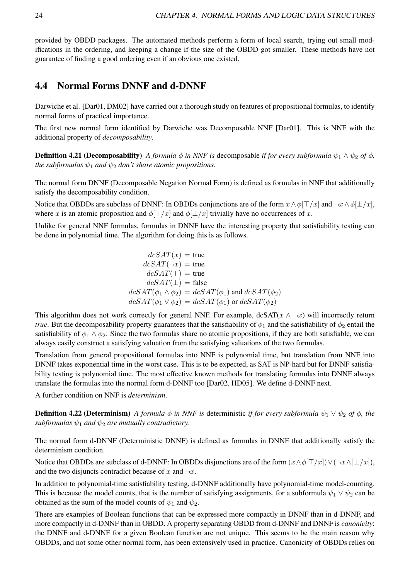provided by OBDD packages. The automated methods perform a form of local search, trying out small modifications in the ordering, and keeping a change if the size of the OBDD got smaller. These methods have not guarantee of finding a good ordering even if an obvious one existed.

### 4.4 Normal Forms DNNF and d-DNNF

Darwiche et al. [Dar01, DM02] have carried out a thorough study on features of propositional formulas, to identify normal forms of practical importance.

The first new normal form identified by Darwiche was Decomposable NNF [Dar01]. This is NNF with the additional property of *decomposability*.

**Definition 4.21 (Decomposability)** *A formula*  $\phi$  *in NNF is* decomposable *if for every subformula*  $\psi_1 \wedge \psi_2$  *of*  $\phi$ *, the subformulas*  $\psi_1$  *and*  $\psi_2$  *don't share atomic propositions.* 

The normal form DNNF (Decomposable Negation Normal Form) is defined as formulas in NNF that additionally satisfy the decomposability condition.

Notice that OBDDs are subclass of DNNF: In OBDDs conjunctions are of the form  $x \wedge \phi[\top/x]$  and  $\neg x \wedge \phi[\bot/x]$ , where x is an atomic proposition and  $\phi$ [ $\Box/x$ ] and  $\phi$ [ $\Box/x$ ] trivially have no occurrences of x.

Unlike for general NNF formulas, formulas in DNNF have the interesting property that satisfiability testing can be done in polynomial time. The algorithm for doing this is as follows.

$$
dcSAT(x) = \text{true}
$$
  
\n
$$
dcSAT(\neg x) = \text{true}
$$
  
\n
$$
dcSAT(\top) = \text{true}
$$
  
\n
$$
dcSAT(\bot) = \text{false}
$$
  
\n
$$
dcSAT(\phi_1 \land \phi_2) = dcSAT(\phi_1) \text{ and } dcSAT(\phi_2)
$$
  
\n
$$
dcSAT(\phi_1 \lor \phi_2) = dcSAT(\phi_1) \text{ or } dcSAT(\phi_2)
$$

This algorithm does not work correctly for general NNF. For example,  $d\textrm{cSAT}(x \wedge \neg x)$  will incorrectly return *true*. But the decomposability property guarantees that the satisfiability of  $\phi_1$  and the satisfiability of  $\phi_2$  entail the satisfiability of  $\phi_1 \wedge \phi_2$ . Since the two formulas share no atomic propositions, if they are both satisfiable, we can always easily construct a satisfying valuation from the satisfying valuations of the two formulas.

Translation from general propositional formulas into NNF is polynomial time, but translation from NNF into DNNF takes exponential time in the worst case. This is to be expected, as SAT is NP-hard but for DNNF satisfiability testing is polynomial time. The most effective known methods for translating formulas into DNNF always translate the formulas into the normal form d-DNNF too [Dar02, HD05]. We define d-DNNF next.

A further condition on NNF is *determinism*.

**Definition 4.22 (Determinism)** *A formula*  $\phi$  *in NNF is* deterministic *if for every subformula*  $\psi_1 \vee \psi_2$  *of*  $\phi$ *, the subformulas*  $\psi_1$  *and*  $\psi_2$  *are mutually contradictory.* 

The normal form d-DNNF (Deterministic DNNF) is defined as formulas in DNNF that additionally satisfy the determinism condition.

Notice that OBDDs are subclass of d-DNNF: In OBDDs disjunctions are of the form  $(x \wedge \phi[\top/x]) \vee (\neg x \wedge [\bot/x])$ , and the two disjuncts contradict because of x and  $\neg x$ .

In addition to polynomial-time satisfiability testing, d-DNNF additionally have polynomial-time model-counting. This is because the model counts, that is the number of satisfying assignments, for a subformula  $\psi_1 \vee \psi_2$  can be obtained as the sum of the model-counts of  $\psi_1$  and  $\psi_2$ .

There are examples of Boolean functions that can be expressed more compactly in DNNF than in d-DNNF, and more compactly in d-DNNF than in OBDD. A property separating OBDD from d-DNNF and DNNF is *canonicity*: the DNNF and d-DNNF for a given Boolean function are not unique. This seems to be the main reason why OBDDs, and not some other normal form, has been extensively used in practice. Canonicity of OBDDs relies on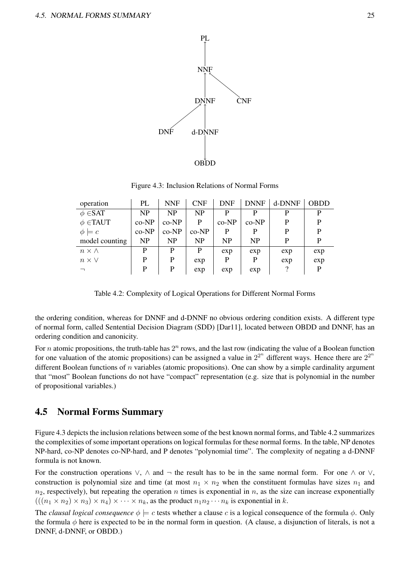

Figure 4.3: Inclusion Relations of Normal Forms

| operation         | PL    | <b>NNF</b> | <b>CNF</b>     | <b>DNF</b> | <b>DNNF</b> | d-DNNF | OBDD |
|-------------------|-------|------------|----------------|------------|-------------|--------|------|
| $\phi \in$ SAT    | NP    | <b>NP</b>  | NP             | D          | D           |        | P    |
| $\phi$ $\in$ TAUT | co-NP | $co-NP$    | P              | $co-NP$    | $co-NP$     | D      | P    |
| $\phi \models c$  | co-NP | $co-NP$    | $co-NP$        | P          | P           | P      | P    |
| model counting    | NP    | <b>NP</b>  | N <sub>P</sub> | <b>NP</b>  | NP          | P      | P    |
| $n \times \wedge$ | D     | P          | P              | exp        | exp         | exp    | exp  |
| $n \times V$      | D     | P          | exp            | P          | P           | exp    | exp  |
|                   | P     | P          | exp            | exp        | exp         |        | P    |

Table 4.2: Complexity of Logical Operations for Different Normal Forms

the ordering condition, whereas for DNNF and d-DNNF no obvious ordering condition exists. A different type of normal form, called Sentential Decision Diagram (SDD) [Dar11], located between OBDD and DNNF, has an ordering condition and canonicity.

For *n* atomic propositions, the truth-table has  $2^n$  rows, and the last row (indicating the value of a Boolean function for one valuation of the atomic propositions) can be assigned a value in  $2^{2^n}$  different ways. Hence there are  $2^{2^n}$ different Boolean functions of  $n$  variables (atomic propositions). One can show by a simple cardinality argument that "most" Boolean functions do not have "compact" representation (e.g. size that is polynomial in the number of propositional variables.)

### 4.5 Normal Forms Summary

Figure 4.3 depicts the inclusion relations between some of the best known normal forms, and Table 4.2 summarizes the complexities of some important operations on logical formulas for these normal forms. In the table, NP denotes NP-hard, co-NP denotes co-NP-hard, and P denotes "polynomial time". The complexity of negating a d-DNNF formula is not known.

For the construction operations  $\vee$ ,  $\wedge$  and  $\neg$  the result has to be in the same normal form. For one  $\wedge$  or  $\vee$ , construction is polynomial size and time (at most  $n_1 \times n_2$  when the constituent formulas have sizes  $n_1$  and  $n_2$ , respectively), but repeating the operation n times is exponential in n, as the size can increase exponentially  $(((n_1 \times n_2) \times n_3) \times n_4) \times \cdots \times n_k$ , as the product  $n_1 n_2 \cdots n_k$  is exponential in k.

The *clausal logical consequence*  $\phi \models c$  tests whether a clause c is a logical consequence of the formula  $\phi$ . Only the formula  $\phi$  here is expected to be in the normal form in question. (A clause, a disjunction of literals, is not a DNNF, d-DNNF, or OBDD.)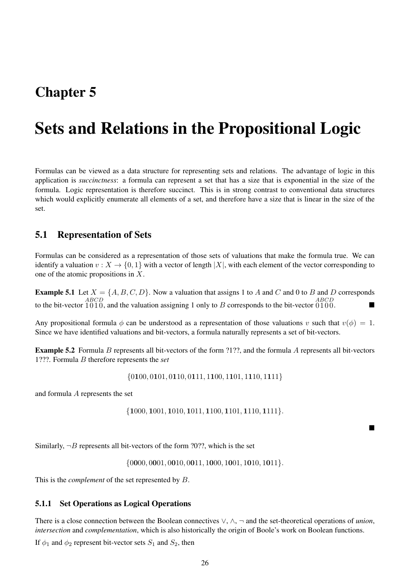## Chapter 5

# Sets and Relations in the Propositional Logic

Formulas can be viewed as a data structure for representing sets and relations. The advantage of logic in this application is *succinctness*: a formula can represent a set that has a size that is exponential in the size of the formula. Logic representation is therefore succinct. This is in strong contrast to conventional data structures which would explicitly enumerate all elements of a set, and therefore have a size that is linear in the size of the set.

### 5.1 Representation of Sets

Formulas can be considered as a representation of those sets of valuations that make the formula true. We can identify a valuation  $v: X \to \{0, 1\}$  with a vector of length |X|, with each element of the vector corresponding to one of the atomic propositions in X.

**Example 5.1** Let  $X = \{A, B, C, D\}$ . Now a valuation that assigns 1 to A and C and 0 to B and D corresponds to the bit-vector 1010, and the valuation assigning 1 only to B corresponds to the bit-vector 0100.

Any propositional formula  $\phi$  can be understood as a representation of those valuations v such that  $v(\phi) = 1$ . Since we have identified valuations and bit-vectors, a formula naturally represents a set of bit-vectors.

Example 5.2 Formula B represents all bit-vectors of the form ?1??, and the formula A represents all bit-vectors 1???. Formula B therefore represents the *set*

{0100, 0101, 0110, 0111, 1100, 1101, 1110, 1111}

and formula A represents the set

{1000, 1001, 1010, 1011, 1100, 1101, 1110, 1111}.

■

Similarly,  $\neg B$  represents all bit-vectors of the form ?0??, which is the set

 $\{0000, 0001, 0010, 0011, 1000, 1001, 1010, 1011\}.$ 

This is the *complement* of the set represented by B.

#### 5.1.1 Set Operations as Logical Operations

There is a close connection between the Boolean connectives ∨, ∧, ¬ and the set-theoretical operations of *union*, *intersection* and *complementation*, which is also historically the origin of Boole's work on Boolean functions. If  $\phi_1$  and  $\phi_2$  represent bit-vector sets  $S_1$  and  $S_2$ , then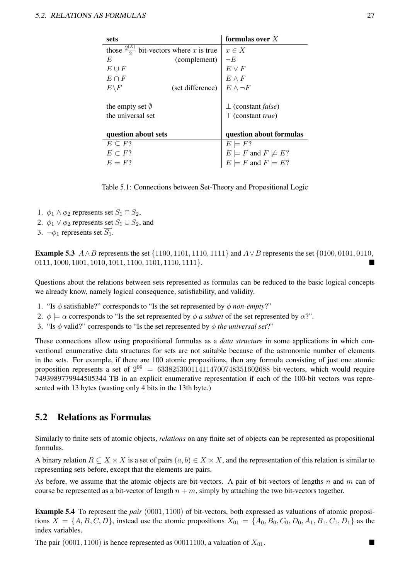| sets                                                  |                  | formulas over $X$                     |
|-------------------------------------------------------|------------------|---------------------------------------|
| those $\frac{2^{ X }}{2}$ bit-vectors where x is true |                  | $x \in X$                             |
| E                                                     | (complement)     | $\neg E$                              |
| $E \cup F$                                            |                  | $E \vee F$                            |
| $E \cap F$                                            |                  | $E \wedge F$                          |
| $E\backslash F$                                       | (set difference) | $E \wedge \neg F$                     |
|                                                       |                  |                                       |
| the empty set $\emptyset$                             |                  | $\perp$ (constant <i>false</i> )      |
| the universal set                                     |                  | $\top$ (constant <i>true</i> )        |
|                                                       |                  |                                       |
| question about sets                                   |                  | question about formulas               |
| $E \subset F?$                                        |                  | $E \models F?$                        |
| $E \subset F$ ?                                       |                  | $E \models F$ and $F \not\models E$ ? |
| $E = F$ ?                                             |                  | $E \models F$ and $F \models E$ ?     |
|                                                       |                  |                                       |

Table 5.1: Connections between Set-Theory and Propositional Logic

- 1.  $\phi_1 \wedge \phi_2$  represents set  $S_1 \cap S_2$ ,
- 2.  $\phi_1 \lor \phi_2$  represents set  $S_1 \cup S_2$ , and
- 3.  $\neg \phi_1$  represents set  $\overline{S_1}$ .

**Example 5.3**  $A \wedge B$  represents the set {1100, 1101, 1110, 1111} and  $A \vee B$  represents the set {0100, 0101, 0110,  $0111, 1000, 1001, 1010, 1011, 1100, 1101, 1110, 1111$ .

Questions about the relations between sets represented as formulas can be reduced to the basic logical concepts we already know, namely logical consequence, satisfiability, and validity.

- 1. "Is  $\phi$  satisfiable?" corresponds to "Is the set represented by  $\phi$  *non-empty*?"
- 2.  $\phi \models \alpha$  corresponds to "Is the set represented by  $\phi$  *a subset* of the set represented by  $\alpha$ ?".
- 3. "Is ϕ valid?" corresponds to "Is the set represented by ϕ *the universal set*?"

These connections allow using propositional formulas as a *data structure* in some applications in which conventional enumerative data structures for sets are not suitable because of the astronomic number of elements in the sets. For example, if there are 100 atomic propositions, then any formula consisting of just one atomic proposition represents a set of  $2^{99} = 633825300114114700748351602688$  bit-vectors, which would require 7493989779944505344 TB in an explicit enumerative representation if each of the 100-bit vectors was represented with 13 bytes (wasting only 4 bits in the 13th byte.)

### 5.2 Relations as Formulas

Similarly to finite sets of atomic objects, *relations* on any finite set of objects can be represented as propositional formulas.

A binary relation  $R \subseteq X \times X$  is a set of pairs  $(a, b) \in X \times X$ , and the representation of this relation is similar to representing sets before, except that the elements are pairs.

As before, we assume that the atomic objects are bit-vectors. A pair of bit-vectors of lengths n and m can of course be represented as a bit-vector of length  $n + m$ , simply by attaching the two bit-vectors together.

Example 5.4 To represent the *pair* (0001, 1100) of bit-vectors, both expressed as valuations of atomic propositions  $X = \{A, B, C, D\}$ , instead use the atomic propositions  $X_{01} = \{A_0, B_0, C_0, D_0, A_1, B_1, C_1, D_1\}$  as the index variables.

The pair (0001, 1100) is hence represented as 00011100, a valuation of  $X_{01}$ .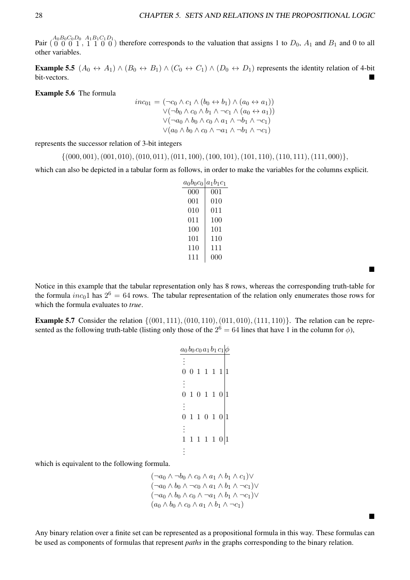■

■

Pair  $\binom{A_0B_0C_0D_0}{0\ 0\ 1}$ ,  $\frac{A_1B_1C_1D_1}{1\ 0\ 0}$  therefore corresponds to the valuation that assigns 1 to  $D_0$ ,  $A_1$  and  $B_1$  and 0 to all other variables.

**Example 5.5**  $(A_0 \leftrightarrow A_1) \wedge (B_0 \leftrightarrow B_1) \wedge (C_0 \leftrightarrow C_1) \wedge (D_0 \leftrightarrow D_1)$  represents the identity relation of 4-bit bit-vectors.

Example 5.6 The formula

$$
inc_{01} = (\neg c_0 \land c_1 \land (b_0 \leftrightarrow b_1) \land (a_0 \leftrightarrow a_1))
$$
  
 
$$
\lor (\neg b_0 \land c_0 \land b_1 \land \neg c_1 \land (a_0 \leftrightarrow a_1))
$$
  
 
$$
\lor (\neg a_0 \land b_0 \land c_0 \land a_1 \land \neg b_1 \land \neg c_1)
$$
  
 
$$
\lor (a_0 \land b_0 \land c_0 \land \neg a_1 \land \neg b_1 \land \neg c_1)
$$

represents the successor relation of 3-bit integers

 $\{(000, 001), (001, 010), (010, 011), (011, 100), (100, 101), (101, 110), (110, 111), (111, 000)\},\$ 

which can also be depicted in a tabular form as follows, in order to make the variables for the columns explicit.

| $a_0b_0c_0 a_1b_1c_1$ |          |
|-----------------------|----------|
| 000                   | 001      |
| $001\,$               | 010      |
| 010                   | 011      |
| 011                   | 100      |
| $100\,$               | 101      |
| 101                   | 110      |
| 110                   | 111      |
| 111                   | (1()()() |

Notice in this example that the tabular representation only has 8 rows, whereas the corresponding truth-table for the formula  $inc_01$  has  $2^6 = 64$  rows. The tabular representation of the relation only enumerates those rows for which the formula evaluates to *true*.

**Example 5.7** Consider the relation  $\{(001, 111), (010, 110), (011, 010), (111, 110)\}$ . The relation can be represented as the following truth-table (listing only those of the  $2^6 = 64$  lines that have 1 in the column for  $\phi$ ),

| $a_0b_0c_0a_1b_1c_1$   $\phi$ |  |                    |  |  |
|-------------------------------|--|--------------------|--|--|
|                               |  |                    |  |  |
| $\overline{0}$                |  | 0 1 1 1 1          |  |  |
|                               |  |                    |  |  |
|                               |  | 1 0 1 1 0          |  |  |
|                               |  |                    |  |  |
| $\boldsymbol{0}$              |  | 1 1 0 1 0          |  |  |
|                               |  |                    |  |  |
|                               |  | $1\ 1\ 1\ 0\vert1$ |  |  |
|                               |  |                    |  |  |

which is equivalent to the following formula.

 $(\neg a_0 \wedge \neg b_0 \wedge c_0 \wedge a_1 \wedge b_1 \wedge c_1) \vee$  $(\neg a_0 \land b_0 \land \neg c_0 \land a_1 \land b_1 \land \neg c_1) \lor$  $(\neg a_0 \land b_0 \land c_0 \land \neg a_1 \land b_1 \land \neg c_1) \lor$  $(a_0 \wedge b_0 \wedge c_0 \wedge a_1 \wedge b_1 \wedge \neg c_1)$ 

Any binary relation over a finite set can be represented as a propositional formula in this way. These formulas can be used as components of formulas that represent *paths* in the graphs corresponding to the binary relation.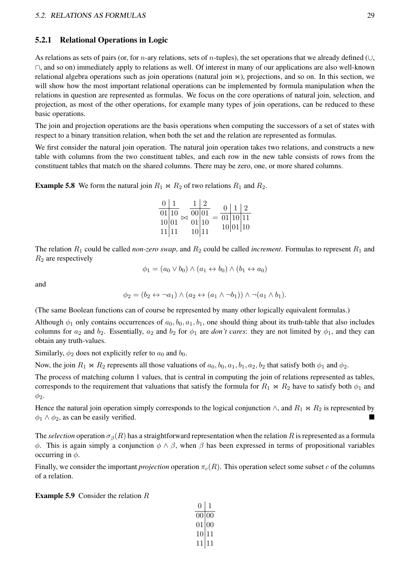#### 5.2.1 Relational Operations in Logic

As relations as sets of pairs (or, for *n*-ary relations, sets of *n*-tuples), the set operations that we already defined ( $\cup$ , ∩, and so on) immediately apply to relations as well. Of interest in many of our applications are also well-known relational algebra operations such as join operations (natural join ⋈), projections, and so on. In this section, we will show how the most important relational operations can be implemented by formula manipulation when the relations in question are represented as formulas. We focus on the core operations of natural join, selection, and projection, as most of the other operations, for example many types of join operations, can be reduced to these basic operations.

The join and projection operations are the basis operations when computing the successors of a set of states with respect to a binary transition relation, when both the set and the relation are represented as formulas.

We first consider the natural join operation. The natural join operation takes two relations, and constructs a new table with columns from the two constituent tables, and each row in the new table consists of rows from the constituent tables that match on the shared columns. There may be zero, one, or more shared columns.

**Example 5.8** We form the natural join  $R_1 \bowtie R_2$  of two relations  $R_1$  and  $R_2$ .

| $0 \mid 1$         |       | $1\vert 2$         |  | 0   1   2          |  |
|--------------------|-------|--------------------|--|--------------------|--|
| $\overline{01 10}$ |       | $\overline{00 01}$ |  | $\boxed{01 10 11}$ |  |
| 10 01              |       | 01 10              |  | 10 01 10           |  |
|                    | 11 11 | 10 11              |  |                    |  |

The relation  $R_1$  could be called *non-zero swap*, and  $R_2$  could be called *increment*. Formulas to represent  $R_1$  and  $R_2$  are respectively

$$
\phi_1 = (a_0 \lor b_0) \land (a_1 \leftrightarrow b_0) \land (b_1 \leftrightarrow a_0)
$$

and

$$
\phi_2 = (b_2 \leftrightarrow \neg a_1) \land (a_2 \leftrightarrow (a_1 \land \neg b_1)) \land \neg (a_1 \land b_1).
$$

(The same Boolean functions can of course be represented by many other logically equivalent formulas.)

Although  $\phi_1$  only contains occurrences of  $a_0, b_0, a_1, b_1$ , one should thing about its truth-table that also includes columns for  $a_2$  and  $b_2$ . Essentially,  $a_2$  and  $b_2$  for  $\phi_1$  are *don't cares*: they are not limited by  $\phi_1$ , and they can obtain any truth-values.

Similarly,  $\phi_2$  does not explicitly refer to  $a_0$  and  $b_0$ .

Now, the join  $R_1 \bowtie R_2$  represents all those valuations of  $a_0, b_0, a_1, b_1, a_2, b_2$  that satisfy both  $\phi_1$  and  $\phi_2$ .

The process of matching column 1 values, that is central in computing the join of relations represented as tables, corresponds to the requirement that valuations that satisfy the formula for  $R_1 \bowtie R_2$  have to satisfy both  $\phi_1$  and  $\phi_2$ .

Hence the natural join operation simply corresponds to the logical conjunction  $\wedge$ , and  $R_1 \bowtie R_2$  is represented by  $\phi_1 \wedge \phi_2$ , as can be easily verified.

The *selection* operation  $\sigma_{\beta}(R)$  has a straightforward representation when the relation R is represented as a formula  $\phi$ . This is again simply a conjunction  $\phi \wedge \beta$ , when  $\beta$  has been expressed in terms of propositional variables occurring in  $\phi$ .

Finally, we consider the important *projection* operation  $\pi_c(R)$ . This operation select some subset c of the columns of a relation.

**Example 5.9** Consider the relation  $R$ 

| $\mathbf{\Omega}$ | $\mathbf{I}$ |
|-------------------|--------------|
| 00                | 00           |
| 01                | 00           |
| 10                | 11           |
| 11                | $\perp$      |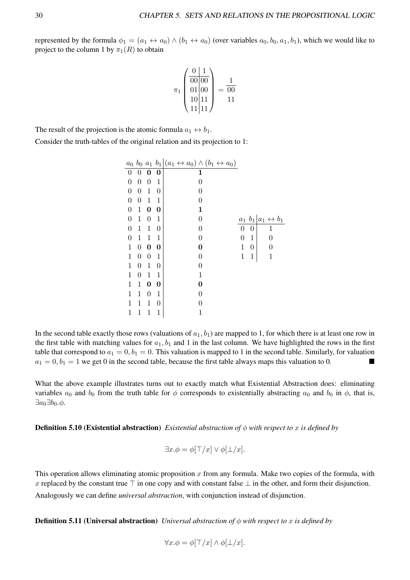represented by the formula  $\phi_1 = (a_1 \leftrightarrow a_0) \land (b_1 \leftrightarrow a_0)$  (over variables  $a_0, b_0, a_1, b_1$ ), which we would like to project to the column 1 by  $\pi_1(R)$  to obtain

$$
\pi_1 \begin{pmatrix} 0 & 1 \\ 0 & 0 & 0 \\ 0 & 1 & 0 \\ 10 & 11 & 1 \\ 11 & 11 & 1 \end{pmatrix} = \frac{1}{00}
$$

The result of the projection is the atomic formula  $a_1 \leftrightarrow b_1$ .

Consider the truth-tables of the original relation and its projection to 1:

|   |                |                  |                  | $a_0$ $b_0$ $a_1$ $b_1 (a_1 \leftrightarrow a_0) \wedge (b_1 \leftrightarrow a_0)$ |                |                |                                       |
|---|----------------|------------------|------------------|------------------------------------------------------------------------------------|----------------|----------------|---------------------------------------|
| 0 | 0              | 0                | 0                | 1                                                                                  |                |                |                                       |
| 0 | 0              | $\overline{0}$   | 1                | 0                                                                                  |                |                |                                       |
| 0 | 0              | $\mathbf{1}$     | $\boldsymbol{0}$ |                                                                                    |                |                |                                       |
| 0 | 0              | $\mathbf{1}$     | 1                | 0                                                                                  |                |                |                                       |
| 0 | 1              | 0                | 0                | 1                                                                                  |                |                |                                       |
| 0 | 1              | 0                | 1                | 0                                                                                  |                |                | $a_1$ $b_1   a_1 \leftrightarrow b_1$ |
| 0 | 1              | $\mathbf{1}$     | $\boldsymbol{0}$ | 0                                                                                  | 0              | 0              | 1                                     |
| 0 | 1              | 1                | 1                | 0                                                                                  | $\overline{0}$ | $\mathbf{1}$   | 0                                     |
| 1 | 0              | 0                | 0                | 0                                                                                  | $\mathbf 1$    | $\overline{0}$ | 0                                     |
| 1 | 0              | $\boldsymbol{0}$ | 1                | 0                                                                                  | $\mathbf{1}$   | 1              | $\mathbf{1}$                          |
| 1 | $\overline{0}$ | $\mathbf{1}$     | 0                | 0                                                                                  |                |                |                                       |
| 1 | $\overline{0}$ | $\mathbf{1}$     | 1                | $\mathbf{1}$                                                                       |                |                |                                       |
| 1 | 1              | 0                | 0                | 0                                                                                  |                |                |                                       |
| 1 | 1              | 0                | 1                | 0                                                                                  |                |                |                                       |
| 1 | 1              | 1                | 0                | 0                                                                                  |                |                |                                       |
| 1 | 1              | 1                | 1                | 1                                                                                  |                |                |                                       |

In the second table exactly those rows (valuations of  $a_1, b_1$ ) are mapped to 1, for which there is at least one row in the first table with matching values for  $a_1$ ,  $b_1$  and 1 in the last column. We have highlighted the rows in the first table that correspond to  $a_1 = 0, b_1 = 0$ . This valuation is mapped to 1 in the second table. Similarly, for valuation  $a_1 = 0, b_1 = 1$  we get 0 in the second table, because the first table always maps this valuation to 0.

What the above example illustrates turns out to exactly match what Existential Abstraction does: eliminating variables  $a_0$  and  $b_0$  from the truth table for  $\phi$  corresponds to existentially abstracting  $a_0$  and  $b_0$  in  $\phi$ , that is,  $\exists a_0 \exists b_0.\phi.$ 

Definition 5.10 (Existential abstraction) *Existential abstraction of* ϕ *with respect to* x *is defined by*

$$
\exists x.\phi = \phi[\top/x] \lor \phi[\bot/x].
$$

This operation allows eliminating atomic proposition x from any formula. Make two copies of the formula, with x replaced by the constant true ⊤ in one copy and with constant false  $\perp$  in the other, and form their disjunction. Analogously we can define *universal abstraction*, with conjunction instead of disjunction.

**Definition 5.11 (Universal abstraction)** *Universal abstraction of*  $\phi$  *with respect to* x *is defined by* 

$$
\forall x.\phi = \phi[\top/x] \land \phi[\bot/x].
$$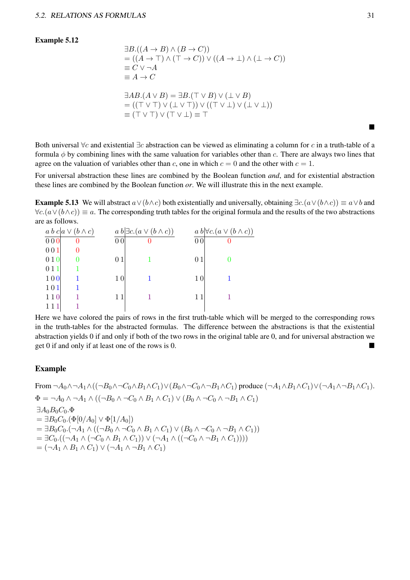#### Example 5.12

$$
\exists B.((A \to B) \land (B \to C))
$$
  
= ((A \to T) \land (T \to C)) \lor ((A \to \bot) \land (\bot \to C))  

$$
\equiv C \lor \neg A
$$
  

$$
\equiv A \to C
$$
  

$$
\exists AB.(A \lor B) = \exists B.(T \lor B) \lor (\bot \lor B)
$$
  
= ((T \lor T) \lor (\bot \lor T)) \lor ((T \lor \bot) \lor (\bot \lor \bot))

 $\equiv$  (T ∨ T)  $\lor$  (T  $\lor$   $\perp$ )  $\equiv$  T

Both universal  $\forall c$  and existential  $\exists c$  abstraction can be viewed as eliminating a column for c in a truth-table of a formula  $\phi$  by combining lines with the same valuation for variables other than c. There are always two lines that agree on the valuation of variables other than c, one in which  $c = 0$  and the other with  $c = 1$ .

For universal abstraction these lines are combined by the Boolean function *and*, and for existential abstraction these lines are combined by the Boolean function *or*. We will illustrate this in the next example.

**Example 5.13** We will abstract  $a \vee (b \wedge c)$  both existentially and universally, obtaining  $\exists c.(a \vee (b \wedge c)) \equiv a \vee b$  and  $\forall c.(a \lor (b \land c)) \equiv a$ . The corresponding truth tables for the original formula and the results of the two abstractions are as follows.

|     | $a b c   a \vee (b \wedge c)$ |                | $a b \exists c.(a \vee (b \wedge c))$ |                | $a b \forall c.(a \vee (b \wedge c))$ |
|-----|-------------------------------|----------------|---------------------------------------|----------------|---------------------------------------|
| 000 | 0                             | 0 <sub>0</sub> |                                       | 0 <sub>0</sub> | 0                                     |
| 001 |                               |                |                                       |                |                                       |
| 010 |                               | 01             |                                       | 01             |                                       |
| 011 |                               |                |                                       |                |                                       |
| 100 |                               | 10             |                                       | 10             |                                       |
| 101 |                               |                |                                       |                |                                       |
| 110 |                               | 11             |                                       | 11             |                                       |
|     |                               |                |                                       |                |                                       |

Here we have colored the pairs of rows in the first truth-table which will be merged to the corresponding rows in the truth-tables for the abstracted formulas. The difference between the abstractions is that the existential abstraction yields 0 if and only if both of the two rows in the original table are 0, and for universal abstraction we get  $0$  if and only if at least one of the rows is  $0$ .

#### Example

```
From \neg A_0 \wedge \neg A_1 \wedge ((\neg B_0 \wedge \neg C_0 \wedge B_1 \wedge C_1) \vee (B_0 \wedge \neg C_0 \wedge \neg B_1 \wedge C_1)) produce (\neg A_1 \wedge B_1 \wedge C_1) \vee (\neg A_1 \wedge \neg B_1 \wedge C_1).
\Phi = \neg A_0 \wedge \neg A_1 \wedge ((\neg B_0 \wedge \neg C_0 \wedge B_1 \wedge C_1) \vee (B_0 \wedge \neg C_0 \wedge \neg B_1 \wedge C_1))\exists A_0B_0C_0.\Phi= \exists B_0 C_0.(\Phi[0/A_0] \vee \Phi[1/A_0])= \exists B_0C_0.(\neg A_1 \wedge ((\neg B_0 \wedge \neg C_0 \wedge B_1 \wedge C_1) \vee (B_0 \wedge \neg C_0 \wedge \neg B_1 \wedge C_1))= \exists C_0.((\neg A_1 \land (\neg C_0 \land B_1 \land C_1)) \lor (\neg A_1 \land ((\neg C_0 \land \neg B_1 \land C_1))))=(\neg A_1 \wedge B_1 \wedge C_1) \vee (\neg A_1 \wedge \neg B_1 \wedge C_1)
```
■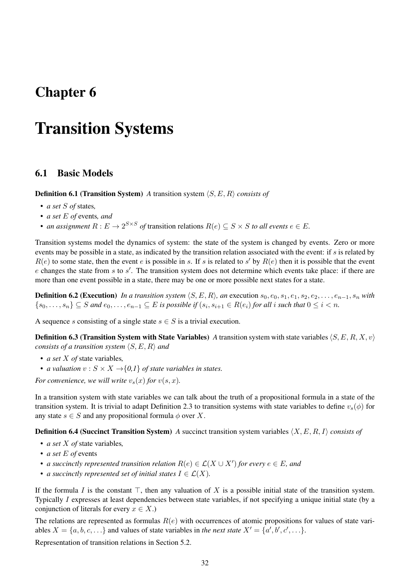## Chapter 6

## Transition Systems

### 6.1 Basic Models

Definition 6.1 (Transition System) *A* transition system ⟨S, E, R⟩ *consists of*

- *a set* S *of* states*,*
- *a set* E *of* events*, and*
- *an assignment*  $R: E \to 2^{S \times S}$  *of* transition relations  $R(e) \subseteq S \times S$  *to all events*  $e \in E$ .

Transition systems model the dynamics of system: the state of the system is changed by events. Zero or more events may be possible in a state, as indicated by the transition relation associated with the event: if s is related by  $R(e)$  to some state, then the event e is possible in s. If s is related to s' by  $R(e)$  then it is possible that the event  $e$  changes the state from  $s$  to  $s'$ . The transition system does not determine which events take place: if there are more than one event possible in a state, there may be one or more possible next states for a state.

**Definition 6.2 (Execution)** *In a transition system*  $\langle S, E, R \rangle$ *, an* execution  $s_0, e_0, s_1, e_1, s_2, e_2, \ldots, e_{n-1}, s_n$  *with*  ${s_0, \ldots, s_n} \subseteq S$  and  $e_0, \ldots, e_{n-1} \subseteq E$  is possible if  $(s_i, s_{i+1} \in R(e_i)$  for all i such that  $0 \le i < n$ .

A sequence s consisting of a single state  $s \in S$  is a trivial execution.

**Definition 6.3 (Transition System with State Variables)** *A* transition system with state variables  $\langle S, E, R, X, v \rangle$ *consists of a transition system* ⟨S, E, R⟩ *and*

- *a set* X *of* state variables*,*
- *a valuation*  $v : S \times X \rightarrow \{0,1\}$  *of state variables in states.*

*For convenience, we will write*  $v_s(x)$  *for*  $v(s, x)$ *.* 

In a transition system with state variables we can talk about the truth of a propositional formula in a state of the transition system. It is trivial to adapt Definition 2.3 to transition systems with state variables to define  $v_s(\phi)$  for any state  $s \in S$  and any propositional formula  $\phi$  over X.

Definition 6.4 (Succinct Transition System) *A* succinct transition system variables ⟨X, E, R, I⟩ *consists of*

- *a set* X *of* state variables*,*
- *a set* E *of* events
- *a succinctly represented transition relation*  $R(e) \in \mathcal{L}(X \cup X')$  *for every*  $e \in E$ *, and*
- *a succinctly represented set of initial states*  $I \in \mathcal{L}(X)$ .

If the formula I is the constant  $\top$ , then any valuation of X is a possible initial state of the transition system. Typically I expresses at least dependencies between state variables, if not specifying a unique initial state (by a conjunction of literals for every  $x \in X$ .)

The relations are represented as formulas  $R(e)$  with occurrences of atomic propositions for values of state variables  $X = \{a, b, c, ...\}$  and values of state variables in *the next state*  $X' = \{a', b', c', ...\}$ .

Representation of transition relations in Section 5.2.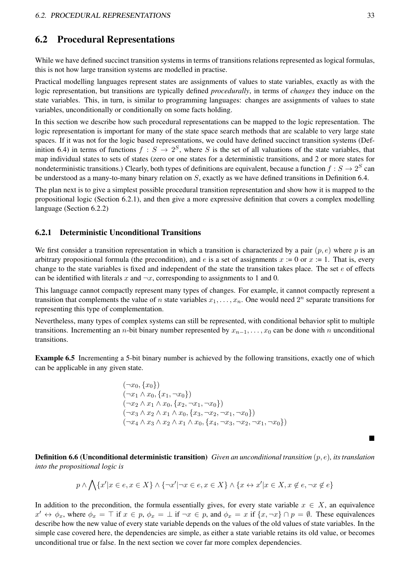### 6.2 Procedural Representations

While we have defined succinct transition systems in terms of transitions relations represented as logical formulas, this is not how large transition systems are modelled in practise.

Practical modelling languages represent states are assignments of values to state variables, exactly as with the logic representation, but transitions are typically defined *procedurally*, in terms of *changes* they induce on the state variables. This, in turn, is similar to programming languages: changes are assignments of values to state variables, unconditionally or conditionally on some facts holding.

In this section we describe how such procedural representations can be mapped to the logic representation. The logic representation is important for many of the state space search methods that are scalable to very large state spaces. If it was not for the logic based representations, we could have defined succinct transition systems (Definition 6.4) in terms of functions  $f : S \to 2^S$ , where S is the set of all valuations of the state variables, that map individual states to sets of states (zero or one states for a deterministic transitions, and 2 or more states for nondeterministic transitions.) Clearly, both types of definitions are equivalent, because a function  $f: S \to 2^S$  can be understood as a many-to-many binary relation on  $S$ , exactly as we have defined transitions in Definition 6.4.

The plan next is to give a simplest possible procedural transition representation and show how it is mapped to the propositional logic (Section 6.2.1), and then give a more expressive definition that covers a complex modelling language (Section 6.2.2)

#### 6.2.1 Deterministic Unconditional Transitions

We first consider a transition representation in which a transition is characterized by a pair  $(p, e)$  where p is an arbitrary propositional formula (the precondition), and e is a set of assignments  $x := 0$  or  $x := 1$ . That is, every change to the state variables is fixed and independent of the state the transition takes place. The set  $e$  of effects can be identified with literals x and  $\neg x$ , corresponding to assignments to 1 and 0.

This language cannot compactly represent many types of changes. For example, it cannot compactly represent a transition that complements the value of *n* state variables  $x_1, \ldots, x_n$ . One would need  $2^n$  separate transitions for representing this type of complementation.

Nevertheless, many types of complex systems can still be represented, with conditional behavior split to multiple transitions. Incrementing an *n*-bit binary number represented by  $x_{n-1}, \ldots, x_0$  can be done with *n* unconditional transitions.

Example 6.5 Incrementing a 5-bit binary number is achieved by the following transitions, exactly one of which can be applicable in any given state.

$$
(\neg x_0, \{x_0\})
$$
  
\n
$$
(\neg x_1 \land x_0, \{x_1, \neg x_0\})
$$
  
\n
$$
(\neg x_2 \land x_1 \land x_0, \{x_2, \neg x_1, \neg x_0\})
$$
  
\n
$$
(\neg x_3 \land x_2 \land x_1 \land x_0, \{x_3, \neg x_2, \neg x_1, \neg x_0\})
$$
  
\n
$$
(\neg x_4 \land x_3 \land x_2 \land x_1 \land x_0, \{x_4, \neg x_3, \neg x_2, \neg x_1, \neg x_0\})
$$

Definition 6.6 (Unconditional deterministic transition) *Given an unconditional transition* (p, e)*, its translation into the propositional logic is*

$$
p \land \bigwedge \{x'|x \in e, x \in X\} \land \{\neg x'| \neg x \in e, x \in X\} \land \{x \leftrightarrow x'|x \in X, x \notin e, \neg x \notin e\}
$$

In addition to the precondition, the formula essentially gives, for every state variable  $x \in X$ , an equivalence  $x' \leftrightarrow \phi_x$ , where  $\phi_x = \top$  if  $x \in p$ ,  $\phi_x = \bot$  if  $\neg x \in p$ , and  $\phi_x = x$  if  $\{x, \neg x\} \cap p = \emptyset$ . These equivalences describe how the new value of every state variable depends on the values of the old values of state variables. In the simple case covered here, the dependencies are simple, as either a state variable retains its old value, or becomes unconditional true or false. In the next section we cover far more complex dependencies.

■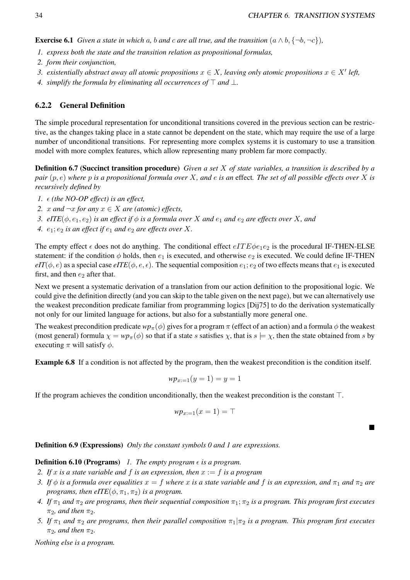**Exercise 6.1** *Given a state in which a, b and c are all true, and the transition*  $(a \wedge b, \{\neg b, \neg c\})$ *,* 

- *1. express both the state and the transition relation as propositional formulas,*
- *2. form their conjunction,*
- *3. existentially abstract away all atomic propositions*  $x \in X$ , *leaving only atomic propositions*  $x \in X'$  *left,*
- *4. simplify the formula by eliminating all occurrences of* ⊤ *and* ⊥*.*

#### 6.2.2 General Definition

The simple procedural representation for unconditional transitions covered in the previous section can be restrictive, as the changes taking place in a state cannot be dependent on the state, which may require the use of a large number of unconditional transitions. For representing more complex systems it is customary to use a transition model with more complex features, which allow representing many problem far more compactly.

Definition 6.7 (Succinct transition procedure) *Given a set* X *of state variables, a transition is described by a pair* (p, e) *where* p *is a propositional formula over* X*, and* e *is an* effect*. The set of all possible effects over* X *is recursively defined by*

- *1.*  $\epsilon$  (the NO-OP effect) is an effect,
- *2. x and*  $\neg x$  *for any x* ∈ *X are (atomic) effects,*
- *3. eITE*( $\phi$ ,  $e_1$ ,  $e_2$ ) *is an effect if*  $\phi$  *is a formula over* X *and*  $e_1$  *and*  $e_2$  *are effects over* X, *and*
- 4.  $e_1$ ;  $e_2$  *is an effect if*  $e_1$  *and*  $e_2$  *are effects over* X.

The empty effect  $\epsilon$  does not do anything. The conditional effect  $eITE\phi e_1e_2$  is the procedural IF-THEN-ELSE statement: if the condition  $\phi$  holds, then  $e_1$  is executed, and otherwise  $e_2$  is executed. We could define IF-THEN  $eIT(\phi, e)$  as a special case  $eITE(\phi, e, \epsilon)$ . The sequential composition  $e_1$ ;  $e_2$  of two effects means that  $e_1$  is executed first, and then  $e_2$  after that.

Next we present a systematic derivation of a translation from our action definition to the propositional logic. We could give the definition directly (and you can skip to the table given on the next page), but we can alternatively use the weakest precondition predicate familiar from programming logics [Dij75] to do the derivation systematically not only for our limited language for actions, but also for a substantially more general one.

The weakest precondition predicate  $wp_\pi(\phi)$  gives for a program  $\pi$  (effect of an action) and a formula  $\phi$  the weakest (most general) formula  $\chi = w p_{\pi}(\phi)$  so that if a state s satisfies  $\chi$ , that is  $s \models \chi$ , then the state obtained from s by executing  $\pi$  will satisfy  $\phi$ .

Example 6.8 If a condition is not affected by the program, then the weakest precondition is the condition itself.

$$
wp_{x:=1}(y=1)=y=1
$$

If the program achieves the condition unconditionally, then the weakest precondition is the constant ⊤.

$$
wp_{x:=1}(x=1)=\top
$$

■

Definition 6.9 (Expressions) *Only the constant symbols 0 and 1 are expressions.*

#### **Definition 6.10 (Programs)** *1. The empty program*  $\epsilon$  *is a program.*

- *2.* If x is a state variable and f is an expression, then  $x := f$  is a program
- *3. If*  $\phi$  *is a formula over equalities*  $x = f$  *where* x *is a state variable and* f *is an expression, and*  $\pi_1$  *and*  $\pi_2$  *are programs, then eITE*( $\phi$ ,  $\pi$ <sub>1</sub>,  $\pi$ <sub>2</sub>) *is a program.*
- *4. If*  $\pi_1$  *and*  $\pi_2$  *are programs, then their sequential composition*  $\pi_1$ ;  $\pi_2$  *is a program. This program first executes*  $\pi_2$ *, and then*  $\pi_2$ *.*
- *5. If*  $\pi_1$  *and*  $\pi_2$  *are programs, then their parallel composition*  $\pi_1 | \pi_2$  *is a program. This program first executes*  $\pi_2$ *, and then*  $\pi_2$ *.*

*Nothing else is a program.*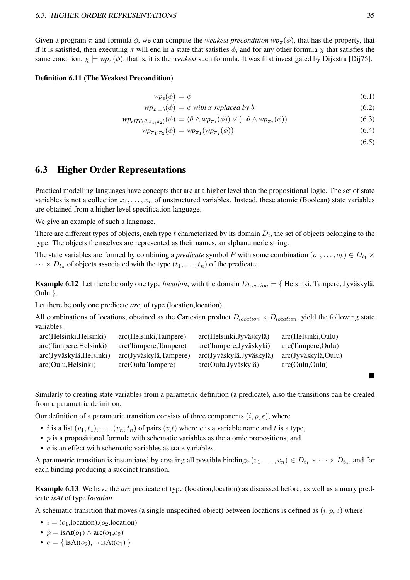Given a program  $\pi$  and formula  $\phi$ , we can compute the *weakest precondition*  $wp_{\pi}(\phi)$ , that has the property, that if it is satisfied, then executing  $\pi$  will end in a state that satisfies  $\phi$ , and for any other formula  $\chi$  that satisfies the same condition,  $\chi \models wp_{\pi}(\phi)$ , that is, it is the *weakest* such formula. It was first investigated by Dijkstra [Dij75].

#### Definition 6.11 (The Weakest Precondition)

$$
wp_{\epsilon}(\phi) = \phi \tag{6.1}
$$

$$
wp_{x:=b}(\phi) = \phi \text{ with } x \text{ replaced by } b \tag{6.2}
$$

$$
w p_{\text{eITE}(\theta, \pi_1, \pi_2)}(\phi) = (\theta \wedge w p_{\pi_1}(\phi)) \vee (\neg \theta \wedge w p_{\pi_2}(\phi))
$$
\n(6.3)

$$
wp_{\pi_1;\pi_2}(\phi) = wp_{\pi_1}(wp_{\pi_2}(\phi))
$$
\n(6.4)

 $(6.5)$ 

■

### 6.3 Higher Order Representations

Practical modelling languages have concepts that are at a higher level than the propositional logic. The set of state variables is not a collection  $x_1, \ldots, x_n$  of unstructured variables. Instead, these atomic (Boolean) state variables are obtained from a higher level specification language.

We give an example of such a language.

There are different types of objects, each type  $t$  characterized by its domain  $D_t$ , the set of objects belonging to the type. The objects themselves are represented as their names, an alphanumeric string.

The state variables are formed by combining a *predicate* symbol P with some combination  $(o_1, \ldots, o_k) \in D_{t_1} \times$  $\cdots \times D_{t_n}$  of objects associated with the type  $(t_1, \ldots, t_n)$  of the predicate.

Example 6.12 Let there be only one type *location*, with the domain  $D_{location} = \{$  Helsinki, Tampere, Jyväskylä, Oulu }.

Let there be only one predicate *arc*, of type (location,location).

All combinations of locations, obtained as the Cartesian product  $D_{location} \times D_{location}$ , yield the following state variables.

| arc(Helsinki,Tampere)  | arc(Helsinki, Jyväskylä) | arc(Helsinki,Oulu)  |
|------------------------|--------------------------|---------------------|
| arc(Tampere,Tampere)   | arc(Tampere, Jyväskylä)  | arc(Tampere, Oulu)  |
| arc(Jyväskylä,Tampere) | arc(Jyväskylä,Jyväskylä) | arc(Jyväskylä,Oulu) |
| arc(Out, Tampere)      | arc(Out, Jyväskylä)      | arc(Qulu, Oulu)     |
|                        |                          |                     |

Similarly to creating state variables from a parametric definition (a predicate), also the transitions can be created from a parametric definition.

Our definition of a parametric transition consists of three components  $(i, p, e)$ , where

- *i* is a list  $(v_1, t_1), \ldots, (v_n, t_n)$  of pairs  $(v,t)$  where v is a variable name and t is a type,
- $p$  is a propositional formula with schematic variables as the atomic propositions, and
- *e* is an effect with schematic variables as state variables.

A parametric transition is instantiated by creating all possible bindings  $(v_1, \ldots, v_n) \in D_{t_1} \times \cdots \times D_{t_n}$ , and for each binding producing a succinct transition.

Example 6.13 We have the *arc* predicate of type (location,location) as discussed before, as well as a unary predicate *isAt* of type *location*.

A schematic transition that moves (a single unspecified object) between locations is defined as  $(i, p, e)$  where

•  $i = (o_1, location), (o_2, location)$ 

• 
$$
p = isAt(o_1) \land arc(o_1, o_2)
$$

•  $e = \{ isAt(o_2), \neg isAt(o_1) \}$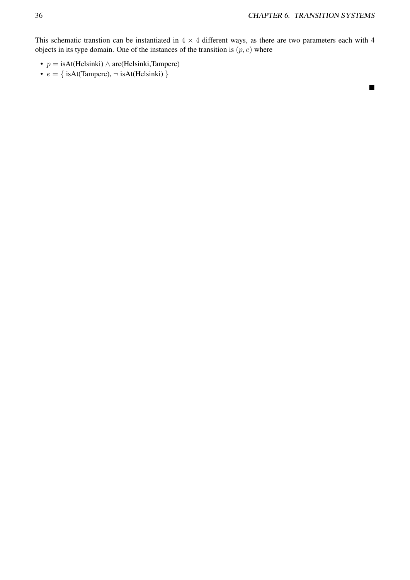■

This schematic transtion can be instantiated in  $4 \times 4$  different ways, as there are two parameters each with 4 objects in its type domain. One of the instances of the transition is  $(p, e)$  where

- $p = i$ sAt(Helsinki) ∧ arc(Helsinki,Tampere)
- $e = \{ isAt(Tampere), \neg isAt(Helsinki) \}$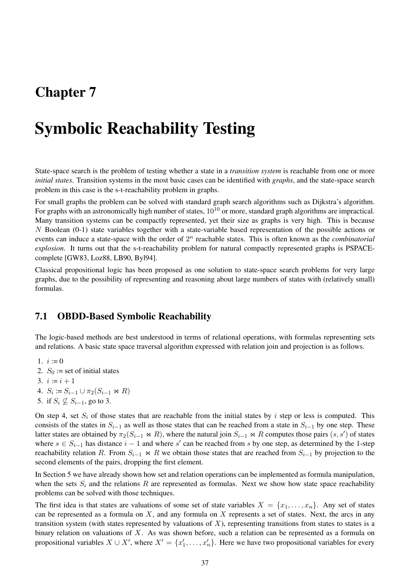## Chapter 7

# Symbolic Reachability Testing

State-space search is the problem of testing whether a state in a *transition system* is reachable from one or more *initial states*. Transition systems in the most basic cases can be identified with *graphs*, and the state-space search problem in this case is the s-t-reachability problem in graphs.

For small graphs the problem can be solved with standard graph search algorithms such as Dijkstra's algorithm. For graphs with an astronomically high number of states,  $10^{10}$  or more, standard graph algorithms are impractical. Many transition systems can be compactly represented, yet their size as graphs is very high. This is because N Boolean (0-1) state variables together with a state-variable based representation of the possible actions or events can induce a state-space with the order of  $2<sup>n</sup>$  reachable states. This is often known as the *combinatorial explosion*. It turns out that the s-t-reachability problem for natural compactly represented graphs is PSPACEcomplete [GW83, Loz88, LB90, Byl94].

Classical propositional logic has been proposed as one solution to state-space search problems for very large graphs, due to the possibility of representing and reasoning about large numbers of states with (relatively small) formulas.

## 7.1 OBDD-Based Symbolic Reachability

The logic-based methods are best understood in terms of relational operations, with formulas representing sets and relations. A basic state space traversal algorithm expressed with relation join and projection is as follows.

- 1.  $i := 0$
- 2.  $S_0 := \text{set of initial states}$
- 3.  $i := i + 1$
- 4.  $S_i := S_{i-1} \cup \pi_2(S_{i-1} \bowtie R)$
- 5. if  $S_i \nsubseteq S_{i-1}$ , go to 3.

On step 4, set  $S_i$  of those states that are reachable from the initial states by i step or less is computed. This consists of the states in  $S_{i-1}$  as well as those states that can be reached from a state in  $S_{i-1}$  by one step. These latter states are obtained by  $\pi_2(S_{i-1} \bowtie R)$ , where the natural join  $S_{i-1} \bowtie R$  computes those pairs  $(s, s')$  of states where  $s \in S_{i-1}$  has distance  $i-1$  and where s' can be reached from s by one step, as determined by the 1-step reachability relation R. From  $S_{i-1} \Join R$  we obtain those states that are reached from  $S_{i-1}$  by projection to the second elements of the pairs, dropping the first element.

In Section 5 we have already shown how set and relation operations can be implemented as formula manipulation, when the sets  $S_i$  and the relations R are represented as formulas. Next we show how state space reachability problems can be solved with those techniques.

The first idea is that states are valuations of some set of state variables  $X = \{x_1, \ldots, x_n\}$ . Any set of states can be represented as a formula on  $X$ , and any formula on  $X$  represents a set of states. Next, the arcs in any transition system (with states represented by valuations of  $X$ ), representing transitions from states to states is a binary relation on valuations of  $X$ . As was shown before, such a relation can be represented as a formula on propositional variables  $X \cup X'$ , where  $X' = \{x'_1, \ldots, x'_n\}$ . Here we have two propositional variables for every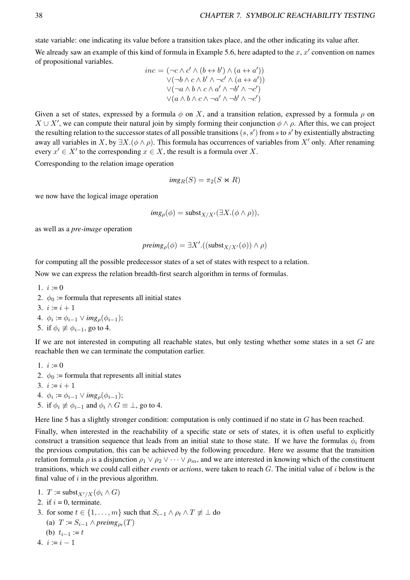state variable: one indicating its value before a transition takes place, and the other indicating its value after. We already saw an example of this kind of formula in Example 5.6, here adapted to the  $x, x'$  convention on names of propositional variables.

$$
inc = (\neg c \land c' \land (b \leftrightarrow b') \land (a \leftrightarrow a'))
$$
  
\n
$$
\lor (\neg b \land c \land b' \land \neg c' \land (a \leftrightarrow a'))
$$
  
\n
$$
\lor (\neg a \land b \land c \land a' \land \neg b' \land \neg c')
$$
  
\n
$$
\lor (a \land b \land c \land \neg a' \land \neg b' \land \neg c')
$$

Given a set of states, expressed by a formula  $\phi$  on X, and a transition relation, expressed by a formula  $\rho$  on  $X \cup X'$ , we can compute their natural join by simply forming their conjunction  $\phi \land \rho$ . After this, we can project the resulting relation to the successor states of all possible transitions  $(s, s')$  from s to s' by existentially abstracting away all variables in X, by  $\exists X.(\phi \land \rho)$ . This formula has occurrences of variables from X' only. After renaming every  $x' \in X'$  to the corresponding  $x \in X$ , the result is a formula over X.

Corresponding to the relation image operation

$$
img_R(S) = \pi_2(S \bowtie R)
$$

we now have the logical image operation

$$
img_{\rho}(\phi) = \text{subst}_{X/X'}(\exists X.(\phi \land \rho)),
$$

as well as a *pre-image* operation

preimg<sub>$$
\rho
$$</sub>( $\phi$ ) =  $\exists X'.$ ((subst<sub>*X*/*X'*</sub>( $\phi$ ))  $\land$   $\rho$ )

for computing all the possible predecessor states of a set of states with respect to a relation.

Now we can express the relation breadth-first search algorithm in terms of formulas.

- 1.  $i := 0$
- 2.  $\phi_0$  := formula that represents all initial states
- 3.  $i := i + 1$
- 4.  $\phi_i := \phi_{i-1} \vee img_{\rho}(\phi_{i-1});$
- 5. if  $\phi_i \not\equiv \phi_{i-1}$ , go to 4.

If we are not interested in computing all reachable states, but only testing whether some states in a set  $G$  are reachable then we can terminate the computation earlier.

- 1.  $i := 0$
- 2.  $\phi_0$  := formula that represents all initial states
- 3.  $i := i + 1$
- 4.  $\phi_i := \phi_{i-1} \vee img_{\rho}(\phi_{i-1});$
- 5. if  $\phi_i \not\equiv \phi_{i-1}$  and  $\phi_i \wedge G \equiv \bot$ , go to 4.

Here line 5 has a slightly stronger condition: computation is only continued if no state in G has been reached.

Finally, when interested in the reachability of a specific state or sets of states, it is often useful to explicitly construct a transition sequence that leads from an initial state to those state. If we have the formulas  $\phi_i$  from the previous computation, this can be achieved by the following procedure. Here we assume that the transition relation formula  $\rho$  is a disjunction  $\rho_1 \vee \rho_2 \vee \cdots \vee \rho_m$ , and we are interested in knowing which of the constituent transitions, which we could call either *events* or *actions*, were taken to reach G. The initial value of i below is the final value of  $i$  in the previous algorithm.

- 1.  $T := \text{subst}_{X'/X}(\phi_i \wedge G)$
- 2. if  $i = 0$ , terminate.
- 3. for some  $t \in \{1, \ldots, m\}$  such that  $S_{i-1} \wedge \rho_t \wedge T \neq \bot$  do (a)  $T := S_{i-1} \wedge \text{preimg}_{\rho_t}(T)$ (b)  $t_{i-1} := t$
- 4.  $i := i 1$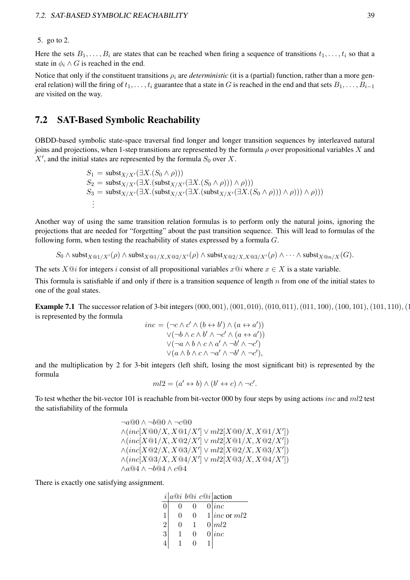#### 5. go to 2.

Here the sets  $B_1, \ldots, B_i$  are states that can be reached when firing a sequence of transitions  $t_1, \ldots, t_i$  so that a state in  $\phi_i \wedge G$  is reached in the end.

Notice that only if the constituent transitions  $\rho_i$  are *deterministic* (it is a (partial) function, rather than a more general relation) will the firing of  $t_1, \ldots, t_i$  guarantee that a state in G is reached in the end and that sets  $B_1, \ldots, B_{i-1}$ are visited on the way.

## 7.2 SAT-Based Symbolic Reachability

OBDD-based symbolic state-space traversal find longer and longer transition sequences by interleaved natural joins and projections, when 1-step transitions are represented by the formula  $\rho$  over propositional variables X and  $X'$ , and the initial states are represented by the formula  $S_0$  over X.

> $S_1 = \text{subst}_{X/X'}(\exists X . (S_0 \land \rho)))$  $S_2 = \text{subst}_{X/X'}(\exists X.(\text{subst}_{X/X'}(\exists X. (S_0 \land \rho))) \land \rho)))$  $S_3 = \text{subst}_{X/X'}(\exists X.(\text{subst}_{X/X'}(\exists X.(\text{subst}_{X/X'}(\exists X.(\text{S}_0 \land \rho))) \land \rho))) \land \rho)))$ . . .

Another way of using the same transition relation formulas is to perform only the natural joins, ignoring the projections that are needed for "forgetting" about the past transition sequence. This will lead to formulas of the following form, when testing the reachability of states expressed by a formula  $G$ .

$$
S_0 \wedge \mathsf{subst}_{X @1/X'}(\rho) \wedge \mathsf{subst}_{X @1/X,X @2/X'}(\rho) \wedge \mathsf{subst}_{X @2/X,X @3/X'}(\rho) \wedge \cdots \wedge \mathsf{subst}_{X @n/X}(G).
$$

The sets  $X@i$  for integers i consist of all propositional variables  $x@i$  where  $x \in X$  is a state variable.

This formula is satisfiable if and only if there is a transition sequence of length  $n$  from one of the initial states to one of the goal states.

**Example 7.1** The successor relation of 3-bit integers  $(000, 001), (001, 010), (010, 011), (011, 100), (100, 101), (101, 110), (111, 110)$ is represented by the formula

$$
inc = (\neg c \land c' \land (b \leftrightarrow b') \land (a \leftrightarrow a'))
$$
  
\n
$$
\lor (\neg b \land c \land b' \land \neg c' \land (a \leftrightarrow a'))
$$
  
\n
$$
\lor (\neg a \land b \land c \land a' \land \neg b' \land \neg c')
$$
  
\n
$$
\lor (a \land b \land c \land \neg a' \land \neg b' \land \neg c'),
$$

and the multiplication by 2 for 3-bit integers (left shift, losing the most significant bit) is represented by the formula

$$
ml2 = (a' \leftrightarrow b) \land (b' \leftrightarrow c) \land \neg c'.
$$

To test whether the bit-vector 101 is reachable from bit-vector 000 by four steps by using actions *inc* and  $ml2$  test the satisfiability of the formula

$$
\neg a@0 \wedge \neg b@0 \wedge \neg c@0
$$
  
\n
$$
\wedge (inc[X@0/X, X@1/X'] \vee ml2[X@0/X, X@1/X'])
$$
  
\n
$$
\wedge (inc[X@1/X, X@2/X'] \vee ml2[X@1/X, X@2/X'])
$$
  
\n
$$
\wedge (inc[X@2/X, X@3/X'] \vee ml2[X@2/X, X@3/X'])
$$
  
\n
$$
\wedge (inc[X@3/X, X@4/X'] \vee ml2[X@3/X, X@4/X'])
$$
  
\n
$$
\wedge a@4 \wedge \neg b@4 \wedge c@4
$$

There is exactly one satisfying assignment.

|                |   | $i a@i b@i c@i $ action |
|----------------|---|-------------------------|
|                |   | inc                     |
|                |   | $1 inc$ or $ml2$        |
| $\overline{2}$ |   | 0   ml2                 |
| 3              | 0 | inc                     |
|                |   |                         |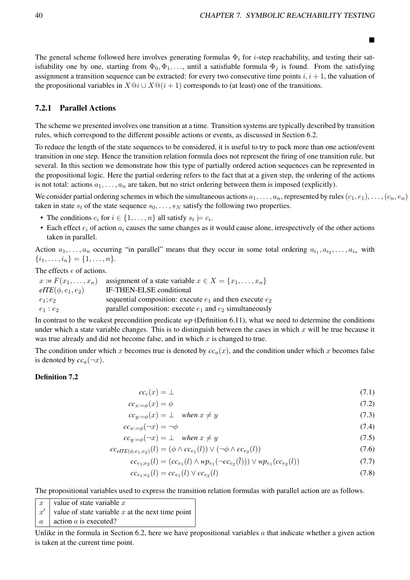■

The general scheme followed here involves generating formulas  $\Phi_i$  for *i*-step reachability, and testing their satisfiability one by one, starting from  $\Phi_0, \Phi_1, \ldots$ , until a satisfiable formula  $\Phi_i$  is found. From the satisfying assignment a transition sequence can be extracted: for every two consecutive time points  $i, i + 1$ , the valuation of the propositional variables in  $X@i \cup X@i + 1$  corresponds to (at least) one of the transitions.

#### 7.2.1 Parallel Actions

The scheme we presented involves one transition at a time. Transition systems are typically described by transition rules, which correspond to the different possible actions or events, as discussed in Section 6.2.

To reduce the length of the state sequences to be considered, it is useful to try to pack more than one action/event transition in one step. Hence the transition relation formula does not represent the firing of one transition rule, but several. In this section we demonstrate how this type of partially ordered action sequences can be represented in the propositional logic. Here the partial ordering refers to the fact that at a given step, the ordering of the actions is not total: actions  $a_1, \ldots, a_n$  are taken, but no strict ordering between them is imposed (explicitly).

We consider partial ordering schemes in which the simultaneous actions  $a_1, \ldots, a_n$ , represented by rules  $(c_1, e_1), \ldots, (c_n, e_n)$ taken in state  $s_t$  of the state sequence  $s_0, \ldots, s_N$  satisfy the following two properties.

- The conditions  $c_i$  for  $i \in \{1, \ldots, n\}$  all satisfy  $s_t \models c_i$ .
- Each effect  $e_i$  of action  $a_i$  causes the same changes as it would cause alone, irrespectively of the other actions taken in parallel.

Action  $a_1, \ldots, a_n$  occurring "in parallel" means that they occur in some total ordering  $a_{i_1}, a_{i_2}, \ldots, a_{i_n}$  with  $\{i_1, \ldots, i_n\} = \{1, \ldots, n\}.$ 

The effects e of actions.

|                        | $x := F(x_1, \ldots, x_n)$ assignment of a state variable $x \in X = \{x_1, \ldots, x_n\}$ |
|------------------------|--------------------------------------------------------------------------------------------|
| $eITE(\phi, e_1, e_2)$ | IF-THEN-ELSE conditional                                                                   |
| $e_1; e_2$             | sequential composition: execute $e_1$ and then execute $e_2$                               |
| $e_1$ : $e_2$          | parallel composition: execute $e_1$ and $e_2$ simultaneously                               |

In contrast to the weakest precondition predicate *wp* (Definition 6.11), what we need to determine the conditions under which a state variable changes. This is to distinguish between the cases in which  $x$  will be true because it was true already and did not become false, and in which  $x$  is changed to true.

The condition under which x becomes true is denoted by  $cc_a(x)$ , and the condition under which x becomes false is denoted by  $cc_a(\neg x)$ .

#### Definition 7.2

$$
cc_{\epsilon}(x) = \bot \tag{7.1}
$$

$$
cc_{x:=\phi}(x) = \phi \tag{7.2}
$$

$$
cc_{y:=\phi}(x) = \bot \quad when \ x \neq y \tag{7.3}
$$

$$
cc_{x:=\phi}(\neg x) = \neg \phi \tag{7.4}
$$

$$
cc_{y:=\phi}(\neg x) = \bot \quad when \ x \neq y \tag{7.5}
$$

$$
cc_{\text{effE}(\phi,e_1,e_2)}(l) = (\phi \land cc_{e_1}(l)) \lor (\neg \phi \land cc_{e_2}(l))
$$
\n(7.6)

$$
cc_{e_1;e_2}(l) = (cc_{e_1}(l) \land wp_{e_1}(\neg cc_{e_2}(\bar{l}))) \lor wp_{e_1}(cc_{e_2}(l))
$$
\n(7.7)

$$
cc_{e_1:e_2}(l) = cc_{e_1}(l) \vee cc_{e_2}(l) \tag{7.8}
$$

The propositional variables used to express the transition relation formulas with parallel action are as follows.

 $x$  value of state variable x  $x'$ value of state variable  $x$  at the next time point  $a \mid \text{action } a \text{ is executed?}$ 

Unlike in the formula in Section 6.2, here we have propositional variables  $a$  that indicate whether a given action is taken at the current time point.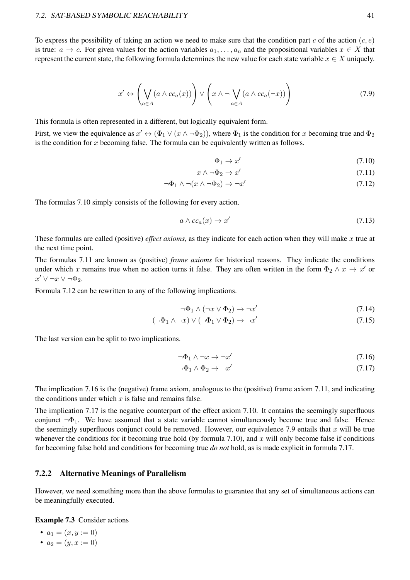#### 7.2. SAT-BASED SYMBOLIC REACHABILITY 41

To express the possibility of taking an action we need to make sure that the condition part c of the action  $(c, e)$ is true:  $a \to c$ . For given values for the action variables  $a_1, \ldots, a_n$  and the propositional variables  $x \in X$  that represent the current state, the following formula determines the new value for each state variable  $x \in X$  uniquely.

$$
x' \leftrightarrow \left(\bigvee_{a \in A} (a \land cc_a(x))\right) \lor \left(x \land \neg \bigvee_{a \in A} (a \land cc_a(\neg x))\right)
$$
 (7.9)

This formula is often represented in a different, but logically equivalent form.

First, we view the equivalence as  $x' \leftrightarrow (\Phi_1 \vee (x \wedge \neg \Phi_2))$ , where  $\Phi_1$  is the condition for x becoming true and  $\Phi_2$ is the condition for x becoming false. The formula can be equivalently written as follows.

$$
\Phi_1 \to x' \tag{7.10}
$$

$$
x \wedge \neg \Phi_2 \to x' \tag{7.11}
$$

$$
\neg \Phi_1 \land \neg (x \land \neg \Phi_2) \to \neg x'
$$
\n(7.12)

The formulas 7.10 simply consists of the following for every action.

$$
a \wedge cc_a(x) \to x'
$$
 (7.13)

These formulas are called (positive) *effect axioms*, as they indicate for each action when they will make x true at the next time point.

The formulas 7.11 are known as (positive) *frame axioms* for historical reasons. They indicate the conditions under which x remains true when no action turns it false. They are often written in the form  $\Phi_2 \wedge x \to x'$  or  $x' \vee \neg x \vee \neg \Phi_2.$ 

Formula 7.12 can be rewritten to any of the following implications.

$$
\neg \Phi_1 \land (\neg x \lor \Phi_2) \to \neg x'
$$
\n(7.14)

$$
(\neg \Phi_1 \land \neg x) \lor (\neg \Phi_1 \lor \Phi_2) \to \neg x'
$$
\n(7.15)

The last version can be split to two implications.

$$
\neg \Phi_1 \land \neg x \to \neg x' \tag{7.16}
$$

$$
\neg \Phi_1 \land \Phi_2 \to \neg x' \tag{7.17}
$$

The implication 7.16 is the (negative) frame axiom, analogous to the (positive) frame axiom 7.11, and indicating the conditions under which  $x$  is false and remains false.

The implication 7.17 is the negative counterpart of the effect axiom 7.10. It contains the seemingly superfluous conjunct  $\neg \Phi_1$ . We have assumed that a state variable cannot simultaneously become true and false. Hence the seemingly superfluous conjunct could be removed. However, our equivalence 7.9 entails that  $x$  will be true whenever the conditions for it becoming true hold (by formula 7.10), and  $x$  will only become false if conditions for becoming false hold and conditions for becoming true *do not* hold, as is made explicit in formula 7.17.

#### 7.2.2 Alternative Meanings of Parallelism

However, we need something more than the above formulas to guarantee that any set of simultaneous actions can be meaningfully executed.

Example 7.3 Consider actions

$$
\bullet \ \ a_1=(x,y:=0)
$$

•  $a_2 = (y, x := 0)$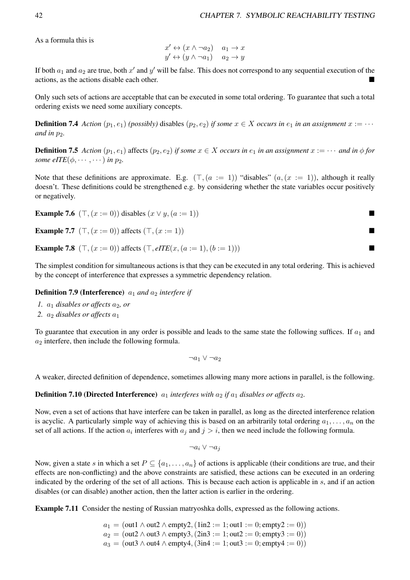As a formula this is

$$
x' \leftrightarrow (x \land \neg a_2) \quad a_1 \to x
$$
  

$$
y' \leftrightarrow (y \land \neg a_1) \quad a_2 \to y
$$

If both  $a_1$  and  $a_2$  are true, both  $x'$  and  $y'$  will be false. This does not correspond to any sequential execution of the actions, as the actions disable each other.

Only such sets of actions are acceptable that can be executed in some total ordering. To guarantee that such a total ordering exists we need some auxiliary concepts.

**Definition 7.4** *Action*  $(p_1, e_1)$  *(possibly)* disables  $(p_2, e_2)$  *if some*  $x \in X$  *occurs in*  $e_1$  *in an assignment*  $x := \cdots$ *and in*  $p_2$ *.* 

**Definition 7.5** Action  $(p_1, e_1)$  affects  $(p_2, e_2)$  *if some*  $x \in X$  *occurs in*  $e_1$  *in an assignment*  $x := \cdots$  *and in*  $\phi$  *for some eITE*( $\phi$ ,  $\cdots$ ,  $\cdots$ ) *in*  $p_2$ *.* 

Note that these definitions are approximate. E.g.  $(T, (a := 1))$  "disables"  $(a, (x := 1))$ , although it really doesn't. These definitions could be strengthened e.g. by considering whether the state variables occur positively or negatively.

**Example 7.6**  $(\top, (x := 0))$  disables  $(x \lor y, (a := 1))$ 

**Example 7.7** 
$$
(T, (x := 0))
$$
 affects  $(T, (x := 1))$ 

**Example 7.8**  $(\top, (x := 0))$  affects  $(\top, e \text{ITE}(x, (a := 1), (b := 1)))$ 

The simplest condition for simultaneous actions is that they can be executed in any total ordering. This is achieved by the concept of interference that expresses a symmetric dependency relation.

#### **Definition 7.9 (Interference)**  $a_1$  and  $a_2$  interfere if

- *1.*  $a_1$  *disables or affects*  $a_2$ *, or*
- 2.  $a_2$  *disables or affects*  $a_1$

To guarantee that execution in any order is possible and leads to the same state the following suffices. If  $a_1$  and  $a_2$  interfere, then include the following formula.

$$
\neg a_1 \vee \neg a_2
$$

A weaker, directed definition of dependence, sometimes allowing many more actions in parallel, is the following.

**Definition 7.10 (Directed Interference)**  $a_1$  *interferes with*  $a_2$  *if*  $a_1$  *disables or affects*  $a_2$ *.* 

Now, even a set of actions that have interfere can be taken in parallel, as long as the directed interference relation is acyclic. A particularly simple way of achieving this is based on an arbitrarily total ordering  $a_1, \ldots, a_n$  on the set of all actions. If the action  $a_i$  interferes with  $a_j$  and  $j > i$ , then we need include the following formula.

$$
\neg a_i \vee \neg a_j
$$

Now, given a state s in which a set  $P \subseteq \{a_1, \ldots, a_n\}$  of actions is applicable (their conditions are true, and their effects are non-conflicting) and the above constraints are satisfied, these actions can be executed in an ordering indicated by the ordering of the set of all actions. This is because each action is applicable in s, and if an action disables (or can disable) another action, then the latter action is earlier in the ordering.

Example 7.11 Consider the nesting of Russian matryoshka dolls, expressed as the following actions.

 $a_1 = (out1 \wedge out2 \wedge empty2, (1in2 := 1; out1 := 0; empty2 := 0))$  $a_2 = (out2 \wedge out3 \wedge empty3, (2in3 := 1; out2 := 0; empty3 := 0))$  $a_3 = (out3 \wedge out4 \wedge empty4, (3in4 := 1; out3 := 0; empty4 := 0))$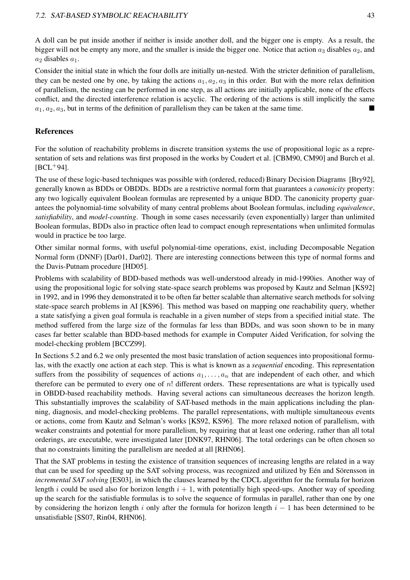A doll can be put inside another if neither is inside another doll, and the bigger one is empty. As a result, the bigger will not be empty any more, and the smaller is inside the bigger one. Notice that action  $a_3$  disables  $a_2$ , and  $a_2$  disables  $a_1$ .

Consider the initial state in which the four dolls are initially un-nested. With the stricter definition of parallelism, they can be nested one by one, by taking the actions  $a_1, a_2, a_3$  in this order. But with the more relax definition of parallelism, the nesting can be performed in one step, as all actions are initially applicable, none of the effects conflict, and the directed interference relation is acyclic. The ordering of the actions is still implicitly the same  $a_1, a_2, a_3$ , but in terms of the definition of parallelism they can be taken at the same time.

### References

For the solution of reachability problems in discrete transition systems the use of propositional logic as a representation of sets and relations was first proposed in the works by Coudert et al. [CBM90, CM90] and Burch et al.  $[BCL+94]$ .

The use of these logic-based techniques was possible with (ordered, reduced) Binary Decision Diagrams [Bry92], generally known as BDDs or OBDDs. BDDs are a restrictive normal form that guarantees a *canonicity* property: any two logically equivalent Boolean formulas are represented by a unique BDD. The canonicity property guarantees the polynomial-time solvability of many central problems about Boolean formulas, including *equivalence*, *satisfiability*, and *model-counting*. Though in some cases necessarily (even exponentially) larger than unlimited Boolean formulas, BDDs also in practice often lead to compact enough representations when unlimited formulas would in practice be too large.

Other similar normal forms, with useful polynomial-time operations, exist, including Decomposable Negation Normal form (DNNF) [Dar01, Dar02]. There are interesting connections between this type of normal forms and the Davis-Putnam procedure [HD05].

Problems with scalability of BDD-based methods was well-understood already in mid-1990ies. Another way of using the propositional logic for solving state-space search problems was proposed by Kautz and Selman [KS92] in 1992, and in 1996 they demonstrated it to be often far better scalable than alternative search methods for solving state-space search problems in AI [KS96]. This method was based on mapping one reachability query, whether a state satisfying a given goal formula is reachable in a given number of steps from a specified initial state. The method suffered from the large size of the formulas far less than BDDs, and was soon shown to be in many cases far better scalable than BDD-based methods for example in Computer Aided Verification, for solving the model-checking problem [BCCZ99].

In Sections 5.2 and 6.2 we only presented the most basic translation of action sequences into propositional formulas, with the exactly one action at each step. This is what is known as a *sequential* encoding. This representation suffers from the possibility of sequences of actions  $a_1, \ldots, a_n$  that are independent of each other, and which therefore can be permuted to every one of n! different orders. These representations are what is typically used in OBDD-based reachability methods. Having several actions can simultaneous decreases the horizon length. This substantially improves the scalability of SAT-based methods in the main applications including the planning, diagnosis, and model-checking problems. The parallel representations, with multiple simultaneous events or actions, come from Kautz and Selman's works [KS92, KS96]. The more relaxed notion of parallelism, with weaker constraints and potential for more parallelism, by requiring that at least one ordering, rather than all total orderings, are executable, were investigated later [DNK97, RHN06]. The total orderings can be often chosen so that no constraints limiting the parallelism are needed at all [RHN06].

That the SAT problems in testing the existence of transition sequences of increasing lengths are related in a way that can be used for speeding up the SAT solving process, was recognized and utilized by Eén and Sörensson in *incremental SAT solving* [ES03], in which the clauses learned by the CDCL algorithm for the formula for horizon length i could be used also for horizon length  $i + 1$ , with potentially high speed-ups. Another way of speeding up the search for the satisfiable formulas is to solve the sequence of formulas in parallel, rather than one by one by considering the horizon length i only after the formula for horizon length  $i - 1$  has been determined to be unsatisfiable [SS07, Rin04, RHN06].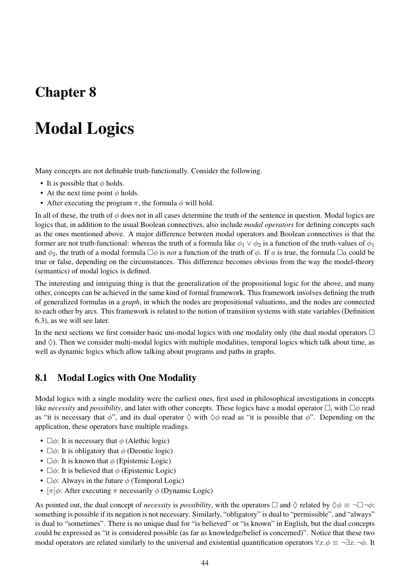## Chapter 8

# Modal Logics

Many concepts are not definable truth-functionally. Consider the following.

- It is possible that  $\phi$  holds.
- At the next time point  $\phi$  holds.
- After executing the program  $\pi$ , the formula  $\phi$  will hold.

In all of these, the truth of  $\phi$  does not in all cases determine the truth of the sentence in question. Modal logics are logics that, in addition to the usual Boolean connectives, also include *modal operators* for defining concepts such as the ones mentioned above. A major difference between modal operators and Boolean connectives is that the former are not truth-functional: whereas the truth of a formula like  $\phi_1 \vee \phi_2$  is a function of the truth-values of  $\phi_1$ and  $\phi_2$ , the truth of a modal formula  $\Box \phi$  is *not* a function of the truth of  $\phi$ . If a is true, the formula  $\Box a$  could be true or false, depending on the circumstances. This difference becomes obvious from the way the model-theory (semantics) of modal logics is defined.

The interesting and intriguing thing is that the generalization of the propositional logic for the above, and many other, concepts can be achieved in the same kind of formal framework. This framework involves defining the truth of generalized formulas in a *graph*, in which the nodes are propositional valuations, and the nodes are connected to each other by arcs. This framework is related to the notion of transition systems with state variables (Definition 6.3), as we will see later.

In the next sections we first consider basic uni-modal logics with one modality only (the dual modal operators  $\Box$ and  $\Diamond$ ). Then we consider multi-modal logics with multiple modalities, temporal logics which talk about time, as well as dynamic logics which allow talking about programs and paths in graphs.

## 8.1 Modal Logics with One Modality

Modal logics with a single modality were the earliest ones, first used in philosophical investigations in concepts like *necessity* and *possibility*, and later with other concepts. These logics have a modal operator □, with □ϕ read as "it is necessary that  $\phi$ ", and its dual operator  $\Diamond$  with  $\Diamond \phi$  read as "it is possible that  $\phi$ ". Depending on the application, these operators have multiple readings.

- $\square \phi$ : It is necessary that  $\phi$  (Alethic logic)
- $\square \phi$ : It is obligatory that  $\phi$  (Deontic logic)
- $\square \phi$ : It is known that  $\phi$  (Epistemic Logic)
- $\square \phi$ : It is believed that  $\phi$  (Epistemic Logic)
- $\square \phi$ : Always in the future  $\phi$  (Temporal Logic)
- $\pi$   $\phi$ : After executing  $\pi$  necessarily  $\phi$  (Dynamic Logic)

As pointed out, the dual concept of *necessity* is *possibility*, with the operators  $\Box$  and  $\Diamond$  related by  $\Diamond \phi \equiv \neg \Box \neg \phi$ : something is possible if its negation is not necessary. Similarly, "obligatory" is dual to "permissible", and "always" is dual to "sometimes". There is no unique dual for "is believed" or "is known" in English, but the dual concepts could be expressed as "it is considered possible (as far as knowledge/belief is concerned)". Notice that these two modal operators are related similarly to the universal and existential quantification operators  $\forall x.\phi \equiv \neg \exists x.\neg \phi$ . It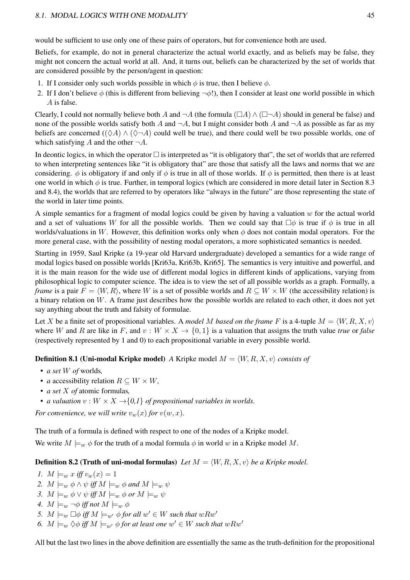#### 8.1. MODAL LOGICS WITH ONE MODALITY 45

would be sufficient to use only one of these pairs of operators, but for convenience both are used.

Beliefs, for example, do not in general characterize the actual world exactly, and as beliefs may be false, they might not concern the actual world at all. And, it turns out, beliefs can be characterized by the set of worlds that are considered possible by the person/agent in question:

- 1. If I consider only such worlds possible in which  $\phi$  is true, then I believe  $\phi$ .
- 2. If I don't believe  $\phi$  (this is different from believing  $\neg \phi$ !), then I consider at least one world possible in which A is false.

Clearly, I could not normally believe both A and  $\neg A$  (the formula  $(\Box A) \wedge (\Box \neg A)$  should in general be false) and none of the possible worlds satisfy both A and  $\neg A$ , but I might consider both A and  $\neg A$  as possible as far as my beliefs are concerned ( $(\Diamond A) \land (\Diamond \neg A)$  could well be true), and there could well be two possible worlds, one of which satisfying A and the other  $\neg A$ .

In deontic logics, in which the operator  $\Box$  is interpreted as "it is obligatory that", the set of worlds that are referred to when interpreting sentences like "it is obligatory that" are those that satisfy all the laws and norms that we are considering.  $\phi$  is obligatory if and only if  $\phi$  is true in all of those worlds. If  $\phi$  is permitted, then there is at least one world in which  $\phi$  is true. Further, in temporal logics (which are considered in more detail later in Section 8.3 and 8.4), the worlds that are referred to by operators like "always in the future" are those representing the state of the world in later time points.

A simple semantics for a fragment of modal logics could be given by having a valuation  $w$  for the actual world and a set of valuations W for all the possible worlds. Then we could say that  $\square \phi$  is true if  $\phi$  is true in all worlds/valuations in W. However, this definition works only when  $\phi$  does not contain modal operators. For the more general case, with the possibility of nesting modal operators, a more sophisticated semantics is needed.

Starting in 1959, Saul Kripke (a 19-year old Harvard undergraduate) developed a semantics for a wide range of modal logics based on possible worlds [Kri63a, Kri63b, Kri65]. The semantics is very intuitive and powerful, and it is the main reason for the wide use of different modal logics in different kinds of applications, varying from philosophical logic to computer science. The idea is to view the set of all possible worlds as a graph. Formally, a *frame* is a pair  $F = \langle W, R \rangle$ , where W is a set of possible worlds and  $R \subseteq W \times W$  (the accessibility relation) is a binary relation on  $W$ . A frame just describes how the possible worlds are related to each other, it does not yet say anything about the truth and falsity of formulae.

Let X be a finite set of propositional variables. A *model M based on the frame* F is a 4-tuple  $M = \langle W, R, X, v \rangle$ where W and R are like in F, and  $v : W \times X \to \{0, 1\}$  is a valuation that assigns the truth value *true* or *false* (respectively represented by 1 and 0) to each propositional variable in every possible world.

**Definition 8.1 (Uni-modal Kripke model)** *A* Kripke model  $M = \langle W, R, X, v \rangle$  *consists of* 

- *a set* W *of* worlds*,*
- *a* accessibility relation  $R \subseteq W \times W$ ,
- *a set* X *of* atomic formulas*,*
- *a valuation*  $v : W \times X \rightarrow \{0,1\}$  *of propositional variables in worlds.*

*For convenience, we will write*  $v_w(x)$  *for*  $v(w, x)$ *.* 

The truth of a formula is defined with respect to one of the nodes of a Kripke model.

We write  $M \models_w \phi$  for the truth of a modal formula  $\phi$  in world w in a Kripke model M.

**Definition 8.2 (Truth of uni-modal formulas)** Let  $M = \langle W, R, X, v \rangle$  be a Kripke model.

- *1.*  $M \models_w x \text{ iff } v_w(x) = 1$ *2.*  $M \models_w \phi \land \psi$  *iff*  $M \models_w \phi$  *and*  $M \models_w \psi$ *3.*  $M \models_w \phi \lor \psi$  *iff*  $M \models_w \phi$  *or*  $M \models_w \psi$ *4.*  $M \models_w \neg \phi$  *iff not*  $M \models_w \phi$
- 5.  $M \models_w \Box \phi$  *iff*  $M \models_{w'} \phi$  for all  $w' \in W$  such that  $wRw'$
- 6.  $M \models_w \Diamond \phi$  *iff*  $M \models_{w'} \phi$  *for at least one*  $w' \in W$  *such that*  $wRw'$

All but the last two lines in the above definition are essentially the same as the truth-definition for the propositional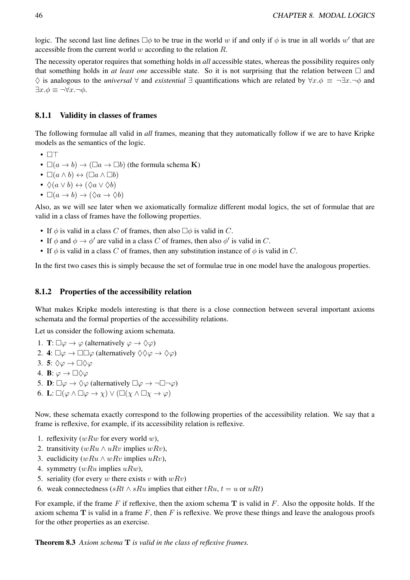logic. The second last line defines  $\Box \phi$  to be true in the world w if and only if  $\phi$  is true in all worlds w' that are accessible from the current world  $w$  according to the relation  $R$ .

The necessity operator requires that something holds in *all* accessible states, whereas the possibility requires only that something holds in *at least one* accessible state. So it is not surprising that the relation between  $\Box$  and ♢ is analogous to the *universal* ∀ and *existential* ∃ quantifications which are related by ∀x.ϕ ≡ ¬∃x.¬ϕ and  $\exists x.\phi \equiv \neg \forall x.\neg \phi.$ 

#### 8.1.1 Validity in classes of frames

The following formulae all valid in *all* frames, meaning that they automatically follow if we are to have Kripke models as the semantics of the logic.

- □⊤
- $\square(a \to b) \to (\square a \to \square b)$  (the formula schema **K**)
- $\Box(a \land b) \leftrightarrow (\Box a \land \Box b)$
- $\Diamond(a \vee b) \leftrightarrow (\Diamond a \vee \Diamond b)$
- $\Box(a \to b) \to (\Diamond a \to \Diamond b)$

Also, as we will see later when we axiomatically formalize different modal logics, the set of formulae that are valid in a class of frames have the following properties.

- If  $\phi$  is valid in a class C of frames, then also  $\Box \phi$  is valid in C.
- If  $\phi$  and  $\phi \rightarrow \phi'$  are valid in a class C of frames, then also  $\phi'$  is valid in C.
- If  $\phi$  is valid in a class C of frames, then any substitution instance of  $\phi$  is valid in C.

In the first two cases this is simply because the set of formulae true in one model have the analogous properties.

#### 8.1.2 Properties of the accessibility relation

What makes Kripke models interesting is that there is a close connection between several important axioms schemata and the formal properties of the accessibility relations.

Let us consider the following axiom schemata.

- 1. **T**:  $\square \varphi \rightarrow \varphi$  (alternatively  $\varphi \rightarrow \Diamond \varphi$ )
- 2. 4:  $\Box \varphi \rightarrow \Box \Box \varphi$  (alternatively  $\Diamond \Diamond \varphi \rightarrow \Diamond \varphi$ )
- 3. 5:  $\Diamond \varphi \rightarrow \Box \Diamond \varphi$
- 4. **B**:  $\varphi \to \Box \Diamond \varphi$
- 5. **D**:  $\square \varphi \rightarrow \Diamond \varphi$  (alternatively  $\square \varphi \rightarrow \neg \square \neg \varphi$ )
- 6. L:  $\square(\varphi \land \square \varphi \to \chi) \lor (\square(\chi \land \square \chi \to \varphi))$

Now, these schemata exactly correspond to the following properties of the accessibility relation. We say that a frame is reflexive, for example, if its accessibility relation is reflexive.

- 1. reflexivity  $(wRw$  for every world w),
- 2. transitivity  $(wRu \wedge uRv)$  implies  $wRv$ ),
- 3. euclidicity  $(wRu \wedge wRv)$  implies  $uRv$ ),
- 4. symmetry  $(wRu$  implies  $uRw$ ),
- 5. seriality (for every w there exists v with  $wRv$ )
- 6. weak connectedness (sRt  $\wedge$  sRu implies that either tRu,  $t = u$  or uRt)

For example, if the frame F if reflexive, then the axiom schema T is valid in F. Also the opposite holds. If the axiom schema  $T$  is valid in a frame  $F$ , then  $F$  is reflexive. We prove these things and leave the analogous proofs for the other properties as an exercise.

Theorem 8.3 *Axiom schema* T *is valid in the class of reflexive frames.*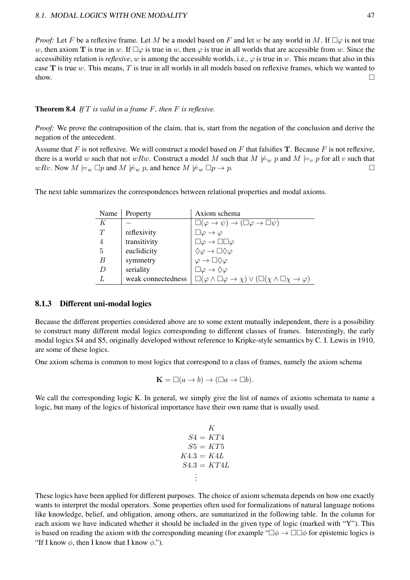*Proof:* Let F be a reflexive frame. Let M be a model based on F and let w be any world in M. If  $\square \varphi$  is not true w, then axiom T is true in w. If  $\Box \varphi$  is true in w, then  $\varphi$  is true in all worlds that are accessible from w. Since the accessibility relation is *reflexive*, w is among the accessible worlds, i.e.,  $\varphi$  is true in w. This means that also in this case  $T$  is true w. This means, T is true in all worlds in all models based on reflexive frames, which we wanted to show.  $\Box$ 

#### Theorem 8.4 *If* T *is valid in a frame* F*, then* F *is reflexive.*

*Proof:* We prove the contraposition of the claim, that is, start from the negation of the conclusion and derive the negation of the antecedent.

Assume that F is not reflexive. We will construct a model based on F that falsifies  $T$ . Because F is not reflexive, there is a world w such that not wRw. Construct a model M such that  $M \not\models_w p$  and  $M \models_v p$  for all v such that  $wRv$ . Now  $M \models_w \Box p$  and  $M \not\models_w p$ , and hence  $M \not\models_w \Box p \rightarrow p$ .

The next table summarizes the correspondences between relational properties and modal axioms.

| Name | Property           | Axiom schema                                                                                    |
|------|--------------------|-------------------------------------------------------------------------------------------------|
| K    |                    | $\Box(\varphi\rightarrow\psi)\rightarrow(\Box\varphi\rightarrow\Box\psi)$                       |
| Ŧ    | reflexivity        | $\lrcorner \varphi \to \varphi$                                                                 |
| 4    | transitivity       | $\Box \varphi \rightarrow \Box \Box \varphi$                                                    |
| 5    | euclidicity        | $\Diamond \varphi \rightarrow \Box \Diamond \varphi$                                            |
| B    | symmetry           | $\rightarrow \Box \Diamond \varphi$                                                             |
| D    | seriality          | $\Box \varphi \rightarrow \Diamond \varphi$                                                     |
|      | weak connectedness | $\Box(\varphi\wedge\Box\varphi\rightarrow\chi)\vee(\Box(\chi\wedge\Box\chi\rightarrow\varphi))$ |

#### 8.1.3 Different uni-modal logics

Because the different properties considered above are to some extent mutually independent, there is a possibility to construct many different modal logics corresponding to different classes of frames. Interestingly, the early modal logics S4 and S5, originally developed without reference to Kripke-style semantics by C. I. Lewis in 1910, are some of these logics.

One axiom schema is common to most logics that correspond to a class of frames, namely the axiom schema

$$
\mathbf{K} = \Box(a \to b) \to (\Box a \to \Box b).
$$

We call the corresponding logic K. In general, we simply give the list of names of axioms schemata to name a logic, but many of the logics of historical importance have their own name that is usually used.

$$
K
$$
  
\n
$$
S4 = KT4
$$
  
\n
$$
S5 = KT5
$$
  
\n
$$
K4.3 = K4L
$$
  
\n
$$
S4.3 = KT4L
$$
  
\n
$$
\vdots
$$

These logics have been applied for different purposes. The choice of axiom schemata depends on how one exactly wants to interpret the modal operators. Some properties often used for formalizations of natural language notions like knowledge, belief, and obligation, among others, are summarized in the following table. In the column for each axiom we have indicated whether it should be included in the given type of logic (marked with "Y"). This is based on reading the axiom with the corresponding meaning (for example " $\Box \phi \rightarrow \Box \Box \phi$  for epistemic logics is "If I know  $\phi$ , then I know that I know  $\phi$ .").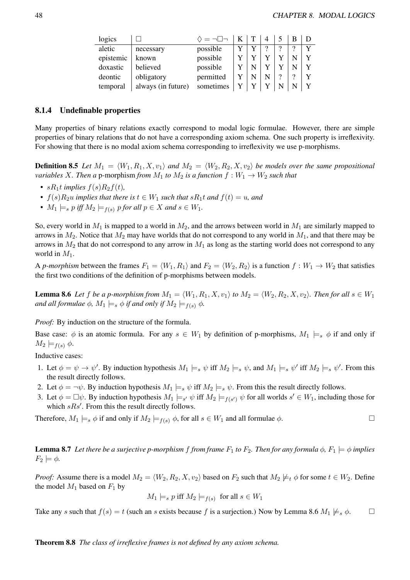| logics    |                    | $\Diamond = \neg \Box \neg$ |  |   |   |             |
|-----------|--------------------|-----------------------------|--|---|---|-------------|
| aletic    | necessary          | possible                    |  | ? | 9 |             |
| epistemic | known              | possible                    |  |   |   | $\mathbf v$ |
| doxastic  | believed           | possible                    |  |   |   | v           |
| deontic   | obligatory         | permitted                   |  | າ | റ |             |
| temporal  | always (in future) | sometimes                   |  |   |   |             |

#### 8.1.4 Undefinable properties

Many properties of binary relations exactly correspond to modal logic formulae. However, there are simple properties of binary relations that do not have a corresponding axiom schema. One such property is irreflexivity. For showing that there is no modal axiom schema corresponding to irreflexivity we use p-morphisms.

**Definition 8.5** Let  $M_1 = \langle W_1, R_1, X, v_1 \rangle$  and  $M_2 = \langle W_2, R_2, X, v_2 \rangle$  be models over the same propositional *variables* X. Then a p-morphism *from*  $M_1$  *to*  $M_2$  *is a function*  $f : W_1 \to W_2$  *such that* 

- $sR_1t$  *implies*  $f(s)R_2f(t)$ *,*
- $f(s)R_2u$  *implies that there is*  $t \in W_1$  *such that*  $sR_1t$  *and*  $f(t) = u$ *, and*
- $M_1 \models_s p$  *iff*  $M_2 \models_{f(s)} p$  *for all*  $p \in X$  *and*  $s \in W_1$ *.*

So, every world in  $M_1$  is mapped to a world in  $M_2$ , and the arrows between world in  $M_1$  are similarly mapped to arrows in  $M_2$ . Notice that  $M_2$  may have worlds that do not correspond to any world in  $M_1$ , and that there may be arrows in  $M_2$  that do not correspond to any arrow in  $M_1$  as long as the starting world does not correspond to any world in  $M_1$ .

A *p-morphism* between the frames  $F_1 = \langle W_1, R_1 \rangle$  and  $F_2 = \langle W_2, R_2 \rangle$  is a function  $f: W_1 \to W_2$  that satisfies the first two conditions of the definition of p-morphisms between models.

**Lemma 8.6** Let f be a p-morphism from  $M_1 = \langle W_1, R_1, X, v_1 \rangle$  to  $M_2 = \langle W_2, R_2, X, v_2 \rangle$ . Then for all  $s \in W_1$ *and all formulae*  $\phi$ *,*  $M_1 \models_s \phi$  *if and only if*  $M_2 \models_{f(s)} \phi$ *.* 

*Proof:* By induction on the structure of the formula.

Base case:  $\phi$  is an atomic formula. For any  $s \in W_1$  by definition of p-morphisms,  $M_1 \models_s \phi$  if and only if  $M_2 \models_{f(s)} \phi.$ 

Inductive cases:

- 1. Let  $\phi = \psi \to \psi'$ . By induction hypothesis  $M_1 \models_s \psi$  iff  $M_2 \models_s \psi$ , and  $M_1 \models_s \psi'$  iff  $M_2 \models_s \psi'$ . From this the result directly follows.
- 2. Let  $\phi = \neg \psi$ . By induction hypothesis  $M_1 \models_s \psi$  iff  $M_2 \models_s \psi$ . From this the result directly follows.
- 3. Let  $\phi = \Box \psi$ . By induction hypothesis  $M_1 \models_{s'} \psi$  iff  $M_2 \models_{f(s')} \psi$  for all worlds  $s' \in W_1$ , including those for which  $sRs'$ . From this the result directly follows.

Therefore,  $M_1 \models_s \phi$  if and only if  $M_2 \models_{f(s)} \phi$ , for all  $s \in W_1$  and all formulae  $\phi$ .

**Lemma 8.7** Let there be a surjective p-morphism f from frame  $F_1$  to  $F_2$ . Then for any formula  $\phi$ ,  $F_1 \models \phi$  implies  $F_2 \models \phi.$ 

*Proof:* Assume there is a model  $M_2 = \langle W_2, R_2, X, v_2 \rangle$  based on  $F_2$  such that  $M_2 \not\models_t \phi$  for some  $t \in W_2$ . Define the model  $M_1$  based on  $F_1$  by

$$
M_1 \models_s p
$$
 iff  $M_2 \models_{f(s)}$  for all  $s \in W_1$ 

Take any s such that  $f(s) = t$  (such an s exists because f is a surjection.) Now by Lemma 8.6  $M_1 \not\models s \phi$ .  $\Box$ 

Theorem 8.8 *The class of irreflexive frames is not defined by any axiom schema.*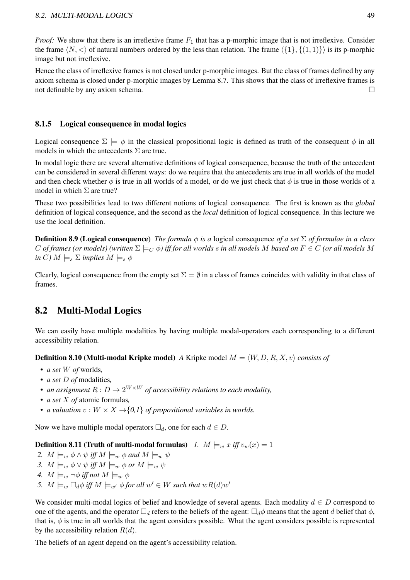*Proof:* We show that there is an irreflexive frame  $F_1$  that has a p-morphic image that is not irreflexive. Consider the frame  $\langle N, \langle \rangle$  of natural numbers ordered by the less than relation. The frame  $\langle \{1\}, \{(1, 1)\}\rangle$  is its p-morphic image but not irreflexive.

Hence the class of irreflexive frames is not closed under p-morphic images. But the class of frames defined by any axiom schema is closed under p-morphic images by Lemma 8.7. This shows that the class of irreflexive frames is not definable by any axiom schema.  $□$ 

### 8.1.5 Logical consequence in modal logics

Logical consequence  $\Sigma \models \phi$  in the classical propositional logic is defined as truth of the consequent  $\phi$  in all models in which the antecedents  $\Sigma$  are true.

In modal logic there are several alternative definitions of logical consequence, because the truth of the antecedent can be considered in several different ways: do we require that the antecedents are true in all worlds of the model and then check whether  $\phi$  is true in all worlds of a model, or do we just check that  $\phi$  is true in those worlds of a model in which  $\Sigma$  are true?

These two possibilities lead to two different notions of logical consequence. The first is known as the *global* definition of logical consequence, and the second as the *local* definition of logical consequence. In this lecture we use the local definition.

Definition 8.9 (Logical consequence) *The formula* ϕ *is a* logical consequence *of a set* Σ *of formulae in a class* C of frames (or models) (written  $\Sigma \models_C \phi$ ) iff for all worlds s in all models M based on  $F \in C$  (or all models M *in* C)  $M \models_s \Sigma$  *implies*  $M \models_s \phi$ 

Clearly, logical consequence from the empty set  $\Sigma = \emptyset$  in a class of frames coincides with validity in that class of frames.

## 8.2 Multi-Modal Logics

We can easily have multiple modalities by having multiple modal-operators each corresponding to a different accessibility relation.

**Definition 8.10 (Multi-modal Kripke model)** *A* Kripke model  $M = \langle W, D, R, X, v \rangle$  *consists of* 

- *a set* W *of* worlds*,*
- *a set* D *of* modalities*,*
- *an assignment*  $R : D \to 2^{W \times W}$  *of accessibility relations to each modality,*
- *a set* X *of* atomic formulas*,*
- *a valuation*  $v : W \times X \rightarrow \{0,1\}$  *of propositional variables in worlds.*

Now we have multiple modal operators  $\Box_d$ , one for each  $d \in D$ .

#### **Definition 8.11 (Truth of multi-modal formulas)** *1.*  $M \models_w x$  *iff*  $v_w(x) = 1$

- *2.*  $M \models_w \phi \land \psi$  *iff*  $M \models_w \phi$  *and*  $M \models_w \psi$
- *3.*  $M \models_w \phi \lor \psi$  *iff*  $M \models_w \phi$  *or*  $M \models_w \psi$
- *4.*  $M \models_w \neg \phi$  *iff not*  $M \models_w \phi$
- 5.  $M \models_w \Box_d \phi$  *iff*  $M \models_{w'} \phi$  *for all*  $w' \in W$  *such that*  $wR(d)w'$

We consider multi-modal logics of belief and knowledge of several agents. Each modality  $d \in D$  correspond to one of the agents, and the operator  $\Box_d$  refers to the beliefs of the agent:  $\Box_d\phi$  means that the agent d belief that  $\phi$ , that is,  $\phi$  is true in all worlds that the agent considers possible. What the agent considers possible is represented by the accessibility relation  $R(d)$ .

The beliefs of an agent depend on the agent's accessibility relation.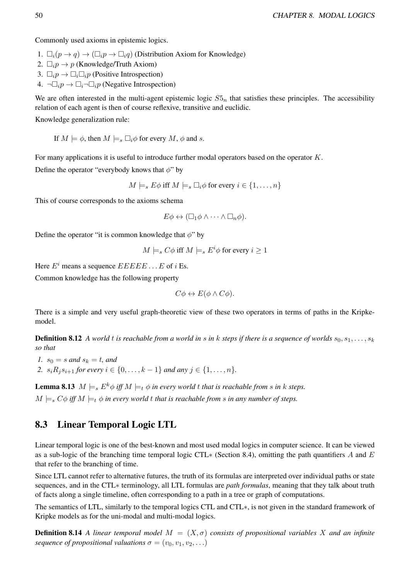Commonly used axioms in epistemic logics.

- 1.  $\Box_i(p \to q) \to (\Box_i p \to \Box_i q)$  (Distribution Axiom for Knowledge)
- 2.  $\square_i p \to p$  (Knowledge/Truth Axiom)
- 3.  $\Box_i p \rightarrow \Box_i \Box_i p$  (Positive Introspection)
- 4.  $\neg\Box_i p \rightarrow \Box_i \neg\Box_i p$  (Negative Introspection)

We are often interested in the multi-agent epistemic logic  $S5<sub>n</sub>$  that satisfies these principles. The accessibility relation of each agent is then of course reflexive, transitive and euclidic.

Knowledge generalization rule:

If  $M \models \phi$ , then  $M \models_s \Box_i \phi$  for every  $M$ ,  $\phi$  and s.

For many applications it is useful to introduce further modal operators based on the operator K.

Define the operator "everybody knows that  $\phi$ " by

$$
M \models_s E\phi \text{ iff } M \models_s \Box_i \phi \text{ for every } i \in \{1, \dots, n\}
$$

This of course corresponds to the axioms schema

$$
E\phi \leftrightarrow (\Box_1 \phi \wedge \cdots \wedge \Box_n \phi).
$$

Define the operator "it is common knowledge that  $\phi$ " by

 $M \models_s C\phi$  iff  $M \models_s E^i\phi$  for every  $i \geq 1$ 

Here  $E^i$  means a sequence  $EEEE$ ... E of i Es.

Common knowledge has the following property

$$
C\phi \leftrightarrow E(\phi \wedge C\phi).
$$

There is a simple and very useful graph-theoretic view of these two operators in terms of paths in the Kripkemodel.

**Definition 8.12** A world t is reachable from a world in s in k steps if there is a sequence of worlds  $s_0, s_1, \ldots, s_k$ *so that*

- *1.*  $s_0 = s$  *and*  $s_k = t$ *, and*
- 2.  $s_i R_i s_{i+1}$  *for every*  $i \in \{0, ..., k-1\}$  *and any*  $j \in \{1, ..., n\}$ *.*

**Lemma 8.13**  $M \models_{s} E^{k} \phi$  *iff*  $M \models_{t} \phi$  *in every world t that is reachable from s in k steps.*  $M \models_{s} C\phi$  *iff*  $M \models_{t} \phi$  *in every world* t *that is reachable from s in any number of steps.* 

## 8.3 Linear Temporal Logic LTL

Linear temporal logic is one of the best-known and most used modal logics in computer science. It can be viewed as a sub-logic of the branching time temporal logic CTL\* (Section 8.4), omitting the path quantifiers A and E that refer to the branching of time.

Since LTL cannot refer to alternative futures, the truth of its formulas are interpreted over individual paths or state sequences, and in the CTL∗ terminology, all LTL formulas are *path formulas*, meaning that they talk about truth of facts along a single timeline, often corresponding to a path in a tree or graph of computations.

The semantics of LTL, similarly to the temporal logics CTL and CTL∗, is not given in the standard framework of Kripke models as for the uni-modal and multi-modal logics.

**Definition 8.14** *A linear temporal model*  $M = (X, \sigma)$  *consists of propositional variables* X *and an infinite sequence of propositional valuations*  $\sigma = (v_0, v_1, v_2, \ldots)$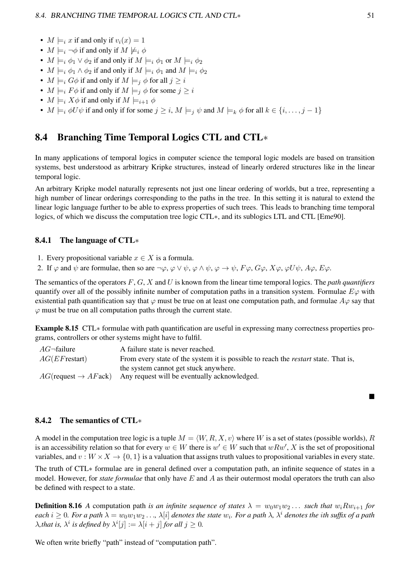- $M \models_i x$  if and only if  $v_i(x) = 1$
- $M \models_i \neg \phi$  if and only if  $M \not\models_i \phi$
- $M \models_i \phi_1 \lor \phi_2$  if and only if  $M \models_i \phi_1$  or  $M \models_i \phi_2$
- $M \models_i \phi_1 \land \phi_2$  if and only if  $M \models_i \phi_1$  and  $M \models_i \phi_2$
- $M \models_i G\phi$  if and only if  $M \models_i \phi$  for all  $j \geq i$
- $M \models_i F \phi$  if and only if  $M \models_i \phi$  for some  $j \geq i$
- $M \models_i X \phi$  if and only if  $M \models_{i+1} \phi$
- $M \models_i \phi U \psi$  if and only if for some  $j \geq i$ ,  $M \models_i \psi$  and  $M \models_k \phi$  for all  $k \in \{i, \ldots, j-1\}$

## 8.4 Branching Time Temporal Logics CTL and CTL∗

In many applications of temporal logics in computer science the temporal logic models are based on transition systems, best understood as arbitrary Kripke structures, instead of linearly ordered structures like in the linear temporal logic.

An arbitrary Kripke model naturally represents not just one linear ordering of worlds, but a tree, representing a high number of linear orderings corresponding to the paths in the tree. In this setting it is natural to extend the linear logic language further to be able to express properties of such trees. This leads to branching time temporal logics, of which we discuss the computation tree logic CTL∗, and its sublogics LTL and CTL [Eme90].

#### 8.4.1 The language of CTL∗

- 1. Every propositional variable  $x \in X$  is a formula.
- 2. If  $\varphi$  and  $\psi$  are formulae, then so are  $\neg \varphi$ ,  $\varphi \lor \psi$ ,  $\varphi \land \psi$ ,  $\varphi \rightarrow \psi$ ,  $F\varphi$ ,  $G\varphi$ ,  $X\varphi$ ,  $\varphi U\psi$ ,  $A\varphi$ ,  $E\varphi$ .

The semantics of the operators F, G, X and U is known from the linear time temporal logics. The *path quantifiers* quantify over all of the possibly infinite number of computation paths in a transition system. Formulae  $E\varphi$  with existential path quantification say that  $\varphi$  must be true on at least one computation path, and formulae  $A\varphi$  say that  $\varphi$  must be true on all computation paths through the current state.

Example 8.15 CTL∗ formulae with path quantification are useful in expressing many correctness properties programs, controllers or other systems might have to fulfil.

| $AG$ -failure    | A failure state is never reached.                                                         |
|------------------|-------------------------------------------------------------------------------------------|
| $AG(EF$ restart) | From every state of the system it is possible to reach the <i>restart</i> state. That is, |
|                  | the system cannot get stuck anywhere.                                                     |
|                  | $AG$ (request $\rightarrow AF$ ack) Any request will be eventually acknowledged.          |

#### 8.4.2 The semantics of CTL∗

A model in the computation tree logic is a tuple  $M = \langle W, R, X, v \rangle$  where W is a set of states (possible worlds), R is an accessibility relation so that for every  $w \in W$  there is  $w' \in W$  such that  $wRw'$ , X is the set of propositional variables, and  $v : W \times X \to \{0, 1\}$  is a valuation that assigns truth values to propositional variables in every state.

The truth of CTL∗ formulae are in general defined over a computation path, an infinite sequence of states in a model. However, for *state formulae* that only have E and A as their outermost modal operators the truth can also be defined with respect to a state.

**Definition 8.16** *A* computation path *is an infinite sequence of states*  $\lambda = w_0w_1w_2...$  *such that*  $w_iRw_{i+1}$  *for*  $each$  i  $\geq 0$ . For a path  $\lambda = w_0w_1w_2\dots$ ,  $\lambda[i]$  denotes the state  $w_i$ . For a path  $\lambda$ ,  $\lambda^i$  denotes the ith suffix of a path  $\lambda$ *, that is,*  $\lambda^i$  *is defined by*  $\lambda^i[j] := \lambda[i+j]$  *for all*  $j \geq 0$ *.* 

We often write briefly "path" instead of "computation path".

■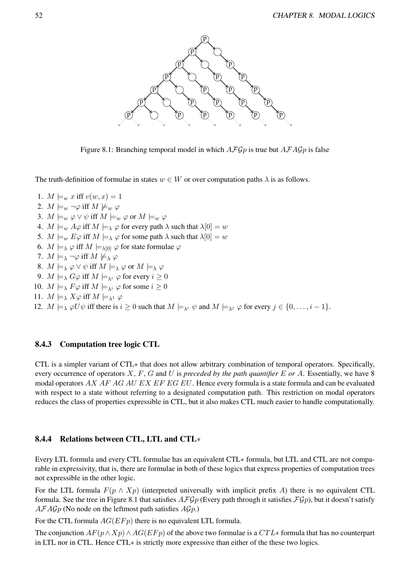

Figure 8.1: Branching temporal model in which  $A\mathcal{F}Gp$  is true but  $A\mathcal{F}A\mathcal{G}p$  is false

The truth-definition of formulae in states  $w \in W$  or over computation paths  $\lambda$  is as follows.

1.  $M \models_w x \text{ iff } v(w, x) = 1$ 2.  $M \models_w \neg \varphi$  iff  $M \not\models_w \varphi$ 3.  $M \models_w \varphi \vee \psi$  iff  $M \models_w \varphi$  or  $M \models_w \varphi$ 4.  $M \models_w A\varphi$  iff  $M \models_\lambda \varphi$  for every path  $\lambda$  such that  $\lambda[0] = w$ 5.  $M \models_w E\varphi$  iff  $M \models_\lambda \varphi$  for some path  $\lambda$  such that  $\lambda[0] = w$ 6.  $M \models_{\lambda} \varphi$  iff  $M \models_{\lambda[0]} \varphi$  for state formulae  $\varphi$ 7.  $M \models_{\lambda} \neg \varphi$  iff  $M \not\models_{\lambda} \varphi$ 8.  $M \models_{\lambda} \varphi \vee \psi$  iff  $M \models_{\lambda} \varphi$  or  $M \models_{\lambda} \varphi$ 9.  $M \models_{\lambda} G\varphi$  iff  $M \models_{\lambda} \varphi$  for every  $i \geq 0$ 10.  $M \models_{\lambda} F \varphi$  iff  $M \models_{\lambda} i \varphi$  for some  $i \geq 0$ 11.  $M \models_{\lambda} X\varphi$  iff  $M \models_{\lambda^1} \varphi$ 12.  $M \models_{\lambda} \varphi U \psi$  iff there is  $i \geq 0$  such that  $M \models_{\lambda} \psi$  and  $M \models_{\lambda} \varphi$  for every  $j \in \{0, \ldots, i-1\}.$ 

#### 8.4.3 Computation tree logic CTL

CTL is a simpler variant of CTL∗ that does not allow arbitrary combination of temporal operators. Specifically, every occurrence of operators X, F, G and U is *preceded by the path quantifier* E *or* A. Essentially, we have 8 modal operators AX AF AG AU EX EF EG EU. Hence every formula is a state formula and can be evaluated with respect to a state without referring to a designated computation path. This restriction on modal operators reduces the class of properties expressible in CTL, but it also makes CTL much easier to handle computationally.

#### 8.4.4 Relations between CTL, LTL and CTL∗

Every LTL formula and every CTL formulae has an equivalent CTL∗ formula, but LTL and CTL are not comparable in expressivity, that is, there are formulae in both of these logics that express properties of computation trees not expressible in the other logic.

For the LTL formula  $F(p \wedge Xp)$  (interpreted universally with implicit prefix A) there is no equivalent CTL formula. See the tree in Figure 8.1 that satisfies  $\mathcal{AFGp}$  (Every path through it satisfies  $\mathcal{FGp}$ ), but it doesn't satisfy  $AFAGp$  (No node on the leftmost path satisfies  $AGp$ .)

For the CTL formula  $AG(EFp)$  there is no equivalent LTL formula.

The conjunction  $AF(p \wedge Xp) \wedge AG(EFp)$  of the above two formulae is a  $CTL*$  formula that has no counterpart in LTL nor in CTL. Hence CTL∗ is strictly more expressive than either of the these two logics.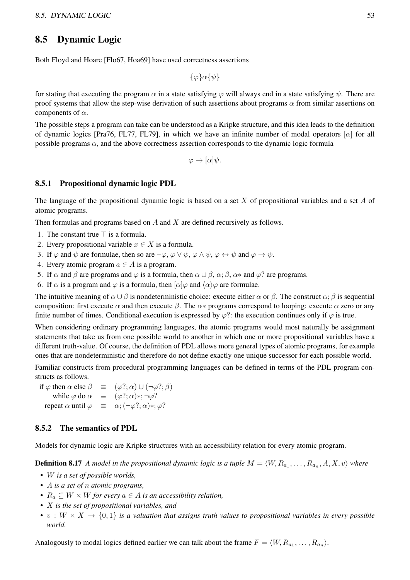## 8.5 Dynamic Logic

Both Floyd and Hoare [Flo67, Hoa69] have used correctness assertions

 $\{\varphi\}\alpha\{\psi\}$ 

for stating that executing the program  $\alpha$  in a state satisfying  $\varphi$  will always end in a state satisfying  $\psi$ . There are proof systems that allow the step-wise derivation of such assertions about programs  $\alpha$  from similar assertions on components of  $\alpha$ .

The possible steps a program can take can be understood as a Kripke structure, and this idea leads to the definition of dynamic logics [Pra76, FL77, FL79], in which we have an infinite number of modal operators [ $\alpha$ ] for all possible programs  $\alpha$ , and the above correctness assertion corresponds to the dynamic logic formula

 $\varphi \to [\alpha]\psi$ .

#### 8.5.1 Propositional dynamic logic PDL

The language of the propositional dynamic logic is based on a set X of propositional variables and a set A of atomic programs.

Then formulas and programs based on  $A$  and  $X$  are defined recursively as follows.

- 1. The constant true  $\top$  is a formula.
- 2. Every propositional variable  $x \in X$  is a formula.
- 3. If  $\varphi$  and  $\psi$  are formulae, then so are  $\neg \varphi$ ,  $\varphi \lor \psi$ ,  $\varphi \land \psi$ ,  $\varphi \leftrightarrow \psi$  and  $\varphi \rightarrow \psi$ .
- 4. Every atomic program  $a \in A$  is a program.
- 5. If  $\alpha$  and  $\beta$  are programs and  $\varphi$  is a formula, then  $\alpha \cup \beta$ ,  $\alpha$ ;  $\beta$ ,  $\alpha$ \* and  $\varphi$ ? are programs.
- 6. If  $\alpha$  is a program and  $\varphi$  is a formula, then  $\alpha | \varphi$  and  $\langle \alpha \rangle \varphi$  are formulae.

The intuitive meaning of  $\alpha \cup \beta$  is nondeterministic choice: execute either  $\alpha$  or  $\beta$ . The construct  $\alpha$ ;  $\beta$  is sequential composition: first execute  $\alpha$  and then execute  $\beta$ . The  $\alpha*$  programs correspond to looping: execute  $\alpha$  zero or any finite number of times. Conditional execution is expressed by  $\varphi$ ?: the execution continues only if  $\varphi$  is true.

When considering ordinary programming languages, the atomic programs would most naturally be assignment statements that take us from one possible world to another in which one or more propositional variables have a different truth-value. Of course, the definition of PDL allows more general types of atomic programs, for example ones that are nondeterministic and therefore do not define exactly one unique successor for each possible world.

Familiar constructs from procedural programming languages can be defined in terms of the PDL program constructs as follows.

if  $\varphi$  then  $\alpha$  else  $\beta \equiv (\varphi?; \alpha) \cup (\neg \varphi?; \beta)$ while  $\varphi$  do  $\alpha \equiv (\varphi?; \alpha) *; \neg \varphi?$ repeat  $\alpha$  until  $\varphi \equiv \alpha$ ;  $(\neg \varphi?; \alpha)$ \*;  $\varphi?$ 

#### 8.5.2 The semantics of PDL

Models for dynamic logic are Kripke structures with an accessibility relation for every atomic program.

**Definition 8.17** A model in the propositional dynamic logic is a tuple  $M = \langle W, R_{a_1}, \ldots, R_{a_n}, A, X, v \rangle$  where

- W *is a set of possible worlds,*
- A *is a set of* n *atomic programs,*
- $R_a \subseteq W \times W$  *for every*  $a \in A$  *is an accessibility relation,*
- X *is the set of propositional variables, and*
- $v: W \times X \rightarrow \{0,1\}$  *is a valuation that assigns truth values to propositional variables in every possible world.*

Analogously to modal logics defined earlier we can talk about the frame  $F = \langle W, R_{a_1}, \dots, R_{a_n} \rangle$ .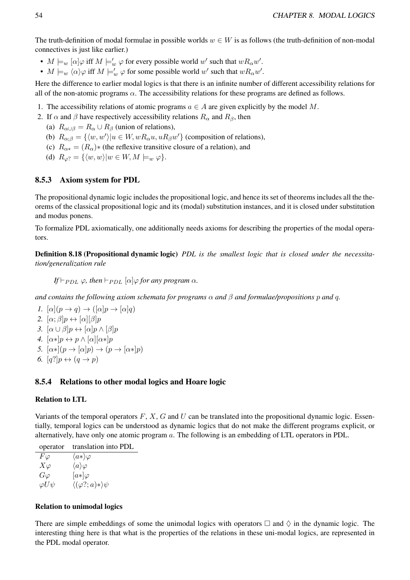The truth-definition of modal formulae in possible worlds  $w \in W$  is as follows (the truth-definition of non-modal connectives is just like earlier.)

- $M \models_w [\alpha] \varphi$  iff  $M \models'_w \varphi$  for every possible world w' such that  $wR_\alpha w'$ .
- $M \models_w \langle \alpha \rangle \varphi$  iff  $M \models'_w \varphi$  for some possible world w' such that  $wR_\alpha w'$ .

Here the difference to earlier modal logics is that there is an infinite number of different accessibility relations for all of the non-atomic programs  $\alpha$ . The accessibility relations for these programs are defined as follows.

- 1. The accessibility relations of atomic programs  $a \in A$  are given explicitly by the model M.
- 2. If  $\alpha$  and  $\beta$  have respectively accessibility relations  $R_{\alpha}$  and  $R_{\beta}$ , then
	- (a)  $R_{\alpha\cup\beta} = R_{\alpha} \cup R_{\beta}$  (union of relations),
	- (b)  $R_{\alpha;\beta} = \{ \langle w, w' \rangle | u \in W, wR_{\alpha}u, uR_{\beta}w' \}$  (composition of relations),
	- (c)  $R_{\alpha*} = (R_{\alpha})*$  (the reflexive transitive closure of a relation), and
	- (d)  $R_{\varphi}$ ? = { $\langle w, w \rangle | w \in W, M \models_w \varphi$  }.

#### 8.5.3 Axiom system for PDL

The propositional dynamic logic includes the propositional logic, and hence its set of theorems includes all the theorems of the classical propositional logic and its (modal) substitution instances, and it is closed under substitution and modus ponens.

To formalize PDL axiomatically, one additionally needs axioms for describing the properties of the modal operators.

Definition 8.18 (Propositional dynamic logic) *PDL is the smallest logic that is closed under the necessitation/generalization rule*

*If*  $\vdash_{PDL}$   $\varphi$ *, then*  $\vdash_{PDL} [\alpha] \varphi$  *for any program*  $\alpha$ *.* 

*and contains the following axiom schemata for programs* α *and* β *and formulae/propositions* p *and* q*.*

*1.*  $[\alpha](p \rightarrow q) \rightarrow ([\alpha]p \rightarrow [\alpha]q)$ 2.  $[\alpha; \beta]p \leftrightarrow [\alpha][\beta]p$ *3.*  $[\alpha \cup \beta]p \leftrightarrow [\alpha]p \wedge [\beta]p$ *4.*  $[\alpha *]p \leftrightarrow p \wedge [\alpha][\alpha *]p$ *5.*  $[\alpha *](p \rightarrow [\alpha]p) \rightarrow (p \rightarrow [\alpha *]p)$ 6.  $[q?]p \leftrightarrow (q \rightarrow p)$ 

#### 8.5.4 Relations to other modal logics and Hoare logic

#### Relation to LTL

Variants of the temporal operators  $F, X, G$  and  $U$  can be translated into the propositional dynamic logic. Essentially, temporal logics can be understood as dynamic logics that do not make the different programs explicit, or alternatively, have only one atomic program a. The following is an embedding of LTL operators in PDL.

| operator        | translation into PDL                      |
|-----------------|-------------------------------------------|
| $F\varphi$      | $\langle a*\rangle\varphi$                |
| $X\varphi$      | $\langle a \rangle \varphi$               |
| $G\varphi$      | $[a*]\varphi$                             |
| $\varphi U\psi$ | $\langle (\varphi?; a) \ast \rangle \psi$ |

#### Relation to unimodal logics

There are simple embeddings of some the unimodal logics with operators  $\Box$  and  $\Diamond$  in the dynamic logic. The interesting thing here is that what is the properties of the relations in these uni-modal logics, are represented in the PDL modal operator.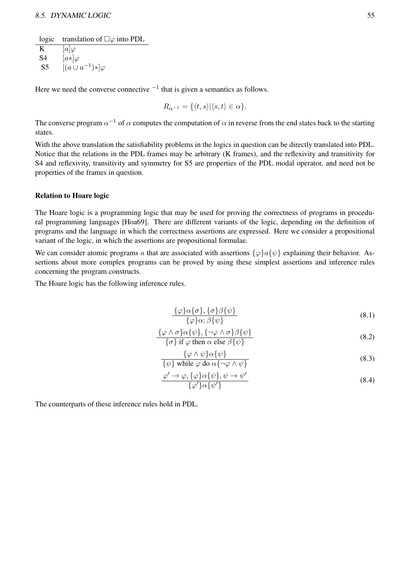logic translation of  $\square \varphi$  into PDL

 $\overline{K}$  [a] $\varphi$ S4  $[a*]\varphi$ S5  $[(a \cup a^{-1})^*] \varphi$ 

Here we need the converse connective  $^{-1}$  that is given a semantics as follows.

$$
R_{\alpha^{-1}} = \{ \langle t, s \rangle | \langle s, t \rangle \in \alpha \}.
$$

The converse program  $\alpha^{-1}$  of  $\alpha$  computes the computation of  $\alpha$  in reverse from the end states back to the starting states.

With the above translation the satisfiability problems in the logics in question can be directly translated into PDL. Notice that the relations in the PDL frames may be arbitrary (K frames), and the reflexivity and transitivity for S4 and reflexivity, transitivity and symmetry for S5 are properties of the PDL modal operator, and need not be properties of the frames in question.

#### Relation to Hoare logic

The Hoare logic is a programming logic that may be used for proving the correctness of programs in procedural programming languages [Hoa69]. There are different variants of the logic, depending on the definition of programs and the language in which the correctness assertions are expressed. Here we consider a propositional variant of the logic, in which the assertions are propositional formulae.

We can consider atomic programs a that are associated with assertions  $\{\varphi\}a\{\psi\}$  explaining their behavior. Assertions about more complex programs can be proved by using these simplest assertions and inference rules concerning the program constructs.

The Hoare logic has the following inference rules.

$$
\frac{\{\varphi\}\alpha\{\sigma\},\{\sigma\}\beta\{\psi\}}{\{\varphi\}\alpha;\beta\{\psi\}}
$$
\n(8.1)

$$
\frac{\{\varphi \wedge \sigma\} \alpha \{\psi\}, \{\neg \varphi \wedge \sigma\} \beta \{\psi\}}{\{\sigma\} \text{ if } \varphi \text{ then } \alpha \text{ else } \beta \{\psi\}}
$$
\n(8.2)

$$
\frac{\{\varphi \wedge \psi\} \alpha \{\psi\}}{\{\psi\} \text{ while } \varphi \text{ do } \alpha \{\neg \varphi \wedge \psi\}}
$$
\n(8.3)

$$
\frac{\varphi' \to \varphi, \{\varphi\} \alpha \{\psi\}, \psi \to \psi'}{\{\varphi'\} \alpha \{\psi'\}}
$$
\n(8.4)

The counterparts of these inference rules hold in PDL.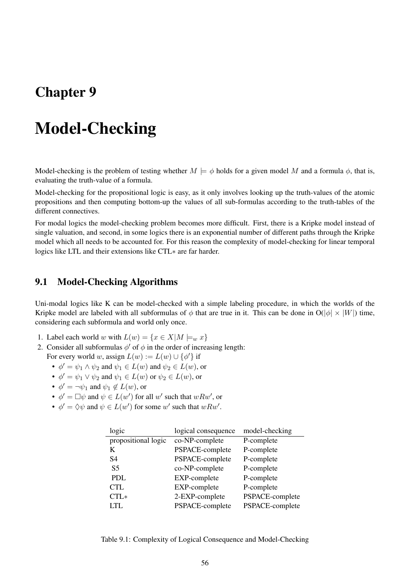## Chapter 9

# Model-Checking

Model-checking is the problem of testing whether  $M \models \phi$  holds for a given model M and a formula  $\phi$ , that is, evaluating the truth-value of a formula.

Model-checking for the propositional logic is easy, as it only involves looking up the truth-values of the atomic propositions and then computing bottom-up the values of all sub-formulas according to the truth-tables of the different connectives.

For modal logics the model-checking problem becomes more difficult. First, there is a Kripke model instead of single valuation, and second, in some logics there is an exponential number of different paths through the Kripke model which all needs to be accounted for. For this reason the complexity of model-checking for linear temporal logics like LTL and their extensions like CTL∗ are far harder.

## 9.1 Model-Checking Algorithms

Uni-modal logics like K can be model-checked with a simple labeling procedure, in which the worlds of the Kripke model are labeled with all subformulas of  $\phi$  that are true in it. This can be done in  $O(|\phi| \times |W|)$  time, considering each subformula and world only once.

- 1. Label each world w with  $L(w) = \{x \in X | M \models_w x\}$
- 2. Consider all subformulas  $\phi'$  of  $\phi$  in the order of increasing length: For every world w, assign  $L(w) := L(w) \cup {\phi'}$  if
	- $\phi' = \psi_1 \wedge \psi_2$  and  $\psi_1 \in L(w)$  and  $\psi_2 \in L(w)$ , or
	- $\phi' = \psi_1 \vee \psi_2$  and  $\psi_1 \in L(w)$  or  $\psi_2 \in L(w)$ , or
	- $\phi' = \neg \psi_1$  and  $\psi_1 \notin L(w)$ , or
	- $\phi' = \Box \psi$  and  $\psi \in L(w')$  for all w' such that  $wRw'$ , or
	- $\phi' = \Diamond \psi$  and  $\psi \in L(w')$  for some w' such that  $wRw'$ .

| logic               | logical consequence | model-checking  |
|---------------------|---------------------|-----------------|
| propositional logic | co-NP-complete      | P-complete      |
| K                   | PSPACE-complete     | P-complete      |
| S4                  | PSPACE-complete     | P-complete      |
| S <sub>5</sub>      | co-NP-complete      | P-complete      |
| <b>PDL</b>          | EXP-complete        | P-complete      |
| <b>CTL</b>          | EXP-complete        | P-complete      |
| $CTL*$              | 2-EXP-complete      | PSPACE-complete |
| <b>LTL</b>          | PSPACE-complete     | PSPACE-complete |

Table 9.1: Complexity of Logical Consequence and Model-Checking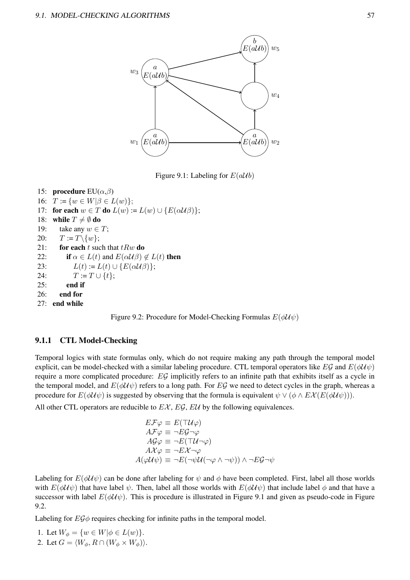

Figure 9.1: Labeling for  $E(a\mathcal{U}b)$ 

15: **procedure**  $EU(\alpha,\beta)$ 16:  $T := \{w \in W | \beta \in L(w)\};$ 17: for each  $w \in T$  do  $L(w) := L(w) \cup {E(\alpha \mathcal{U}\beta)}$ ; 18: while  $T \neq \emptyset$  do 19: take any  $w \in T$ ; 20:  $T := T \setminus \{w\};$ 21: for each t such that  $tRw$  do 22: if  $\alpha \in L(t)$  and  $E(\alpha \mathcal{U}\beta) \notin L(t)$  then 23:  $L(t) := L(t) \cup \{E(\alpha \mathcal{U}\beta)\};$ 24:  $T := T \cup \{t\}$ : 25: end if 26: end for 27: end while



#### 9.1.1 CTL Model-Checking

Temporal logics with state formulas only, which do not require making any path through the temporal model explicit, can be model-checked with a similar labeling procedure. CTL temporal operators like EG and  $E(\phi \mathcal{U}\psi)$ require a more complicated procedure: EG implicitly refers to an infinite path that exhibits itself as a cycle in the temporal model, and  $E(\phi U \psi)$  refers to a long path. For EG we need to detect cycles in the graph, whereas a procedure for  $E(\phi \mathcal{U}\psi)$  is suggested by observing that the formula is equivalent  $\psi \vee (\phi \wedge E \mathcal{X}(E(\phi \mathcal{U}\psi)))$ .

All other CTL operators are reducible to  $E\mathcal{X}$ ,  $E\mathcal{G}$ ,  $E\mathcal{U}$  by the following equivalences.

$$
E\mathcal{F}\varphi \equiv E(\mathcal{T}U\varphi)
$$
  
\n
$$
A\mathcal{F}\varphi \equiv \neg E\mathcal{G}\neg\varphi
$$
  
\n
$$
A\mathcal{G}\varphi \equiv \neg E(\mathcal{T}U\neg\varphi)
$$
  
\n
$$
A\mathcal{X}\varphi \equiv \neg E\mathcal{X}\neg\varphi
$$
  
\n
$$
A(\varphi U\psi) \equiv \neg E(\neg\psi U(\neg\varphi \land \neg\psi)) \land \neg E\mathcal{G}\neg\psi
$$

Labeling for  $E(\phi U \psi)$  can be done after labeling for  $\psi$  and  $\phi$  have been completed. First, label all those worlds with  $E(\phi \mathcal{U}\psi)$  that have label  $\psi$ . Then, label all those worlds with  $E(\phi \mathcal{U}\psi)$  that include label  $\phi$  and that have a successor with label  $E(\phi \mathcal{U}\psi)$ . This is procedure is illustrated in Figure 9.1 and given as pseudo-code in Figure 9.2.

Labeling for  $E\mathcal{G}\phi$  requires checking for infinite paths in the temporal model.

1. Let  $W_{\phi} = \{ w \in W | \phi \in L(w) \}.$ 2. Let  $G = \langle W_{\phi}, R \cap (W_{\phi} \times W_{\phi}) \rangle$ .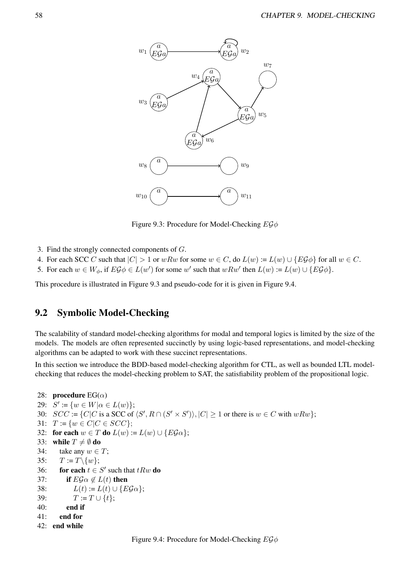

Figure 9.3: Procedure for Model-Checking  $EG\phi$ 

- 3. Find the strongly connected components of G.
- 4. For each SCC C such that  $|C| > 1$  or wRw for some  $w \in C$ , do  $L(w) := L(w) \cup \{E \mathcal{G} \phi\}$  for all  $w \in C$ .
- 5. For each  $w \in W_{\phi}$ , if  $E \mathcal{G} \phi \in L(w')$  for some w' such that  $wRw'$  then  $L(w) := L(w) \cup \{E \mathcal{G} \phi\}$ .

This procedure is illustrated in Figure 9.3 and pseudo-code for it is given in Figure 9.4.

## 9.2 Symbolic Model-Checking

The scalability of standard model-checking algorithms for modal and temporal logics is limited by the size of the models. The models are often represented succinctly by using logic-based representations, and model-checking algorithms can be adapted to work with these succinct representations.

In this section we introduce the BDD-based model-checking algorithm for CTL, as well as bounded LTL modelchecking that reduces the model-checking problem to SAT, the satisfiability problem of the propositional logic.

```
28: procedure EG(\alpha)29: S' := \{w \in W | \alpha \in L(w)\};30: SCC := \{C|C \text{ is a SCC of } \langle S', R \cap (S' \times S') \rangle, |C| \geq 1 \text{ or there is } w \in C \text{ with } wRw\};31: T := \{w \in C | C \in SCC\};\32: for each w \in T do L(w) := L(w) \cup {E \mathcal{G} \alpha};
33: while T \neq \emptyset do
34: take any w \in T;
35: T := T \setminus \{w\};36: for each t \in S' such that tRw do
37: if E \mathcal{G} \alpha \notin L(t) then
38: L(t) := L(t) \cup \{E \mathcal{G} \alpha\};39: T := T \cup \{t\};40: end if
41: end for
42: end while
```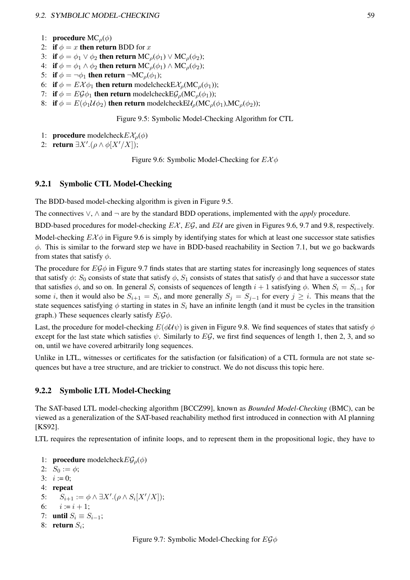#### 9.2. SYMBOLIC MODEL-CHECKING 59

- 1: **procedure**  $MC<sub>o</sub>(\phi)$
- 2: if  $\phi = x$  then return BDD for x
- 3: if  $\phi = \phi_1 \vee \phi_2$  then return MC<sub>*o*</sub>( $\phi_1$ )  $\vee$  MC<sub>*o*</sub>( $\phi_2$ );
- 4: if  $\phi = \phi_1 \wedge \phi_2$  then return MC<sub>*ρ*</sub>( $\phi_1$ )  $\wedge$  MC<sub>*ρ*</sub>( $\phi_2$ );
- 5: if  $\phi = \neg \phi_1$  then return  $\neg MC_\rho(\phi_1)$ ;
- 6: if  $\phi = E\mathcal{X}\phi_1$  then return modelcheck $E\mathcal{X}_{\rho}(\text{MC}_{\rho}(\phi_1))$ ;
- 7: if  $\phi = E \mathcal{G} \phi_1$  then return modelcheck  $E \mathcal{G}_{\rho}(\mathsf{MC}_{\rho}(\phi_1))$ ;
- 8: if  $\phi = E(\phi_1 \mathcal{U} \phi_2)$  then return modelcheck  $E\mathcal{U}_o(MC_o(\phi_1), MC_o(\phi_2))$ ;

Figure 9.5: Symbolic Model-Checking Algorithm for CTL

- 1: **procedure** modelcheck $E X<sub>o</sub>(\phi)$
- 2: return  $\exists X'.(\rho \wedge \phi[X'/X]);$

Figure 9.6: Symbolic Model-Checking for  $E X \phi$ 

#### 9.2.1 Symbolic CTL Model-Checking

The BDD-based model-checking algorithm is given in Figure 9.5.

The connectives ∨, ∧ and ¬ are by the standard BDD operations, implemented with the *apply* procedure.

BDD-based procedures for model-checking  $EX$ ,  $EG$ , and  $EU$  are given in Figures 9.6, 9.7 and 9.8, respectively.

Model-checking  $E\chi\phi$  in Figure 9.6 is simply by identifying states for which at least one successor state satisfies ϕ. This is similar to the forward step we have in BDD-based reachability in Section 7.1, but we go backwards from states that satisfy  $\phi$ .

The procedure for  $EG\phi$  in Figure 9.7 finds states that are starting states for increasingly long sequences of states that satisfy  $\phi$ :  $S_0$  consists of state that satisfy  $\phi$ ,  $S_1$  consists of states that satisfy  $\phi$  and that have a successor state that satisfies  $\phi$ , and so on. In general  $S_i$  consists of sequences of length  $i + 1$  satisfying  $\phi$ . When  $S_i = S_{i-1}$  for some *i*, then it would also be  $S_{i+1} = S_i$ , and more generally  $S_j = S_{j-1}$  for every  $j \geq i$ . This means that the state sequences satisfying  $\phi$  starting in states in  $S_i$  have an infinite length (and it must be cycles in the transition graph.) These sequences clearly satisfy  $E\mathcal{G}\phi$ .

Last, the procedure for model-checking  $E(\phi U \psi)$  is given in Figure 9.8. We find sequences of states that satisfy  $\phi$ except for the last state which satisfies  $\psi$ . Similarly to EG, we first find sequences of length 1, then 2, 3, and so on, until we have covered arbitrarily long sequences.

Unlike in LTL, witnesses or certificates for the satisfaction (or falsification) of a CTL formula are not state sequences but have a tree structure, and are trickier to construct. We do not discuss this topic here.

#### 9.2.2 Symbolic LTL Model-Checking

The SAT-based LTL model-checking algorithm [BCCZ99], known as *Bounded Model-Checking* (BMC), can be viewed as a generalization of the SAT-based reachability method first introduced in connection with AI planning [KS92].

LTL requires the representation of infinite loops, and to represent them in the propositional logic, they have to

```
1: procedure modelcheckE\mathcal{G}_{\rho}(\phi)
```

```
2: S_0 := \phi;
3: i := 0;
4: repeat
5: S_{i+1} := \phi \wedge \exists X'.(\rho \wedge S_i[X'/X]);6: i := i + 1;7: until S_i \equiv S_{i-1};
8: return S_i;
```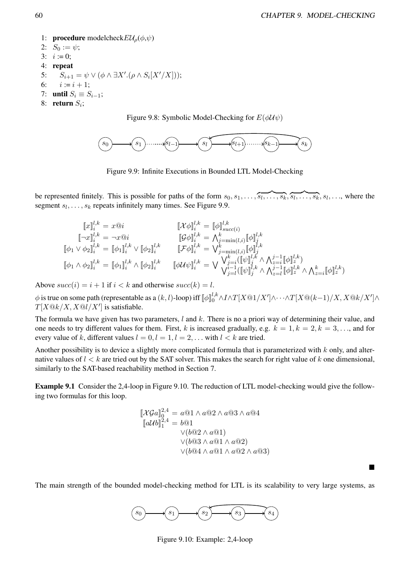■

1: **procedure** modelcheck $EU_o(\phi, \psi)$ 2:  $S_0 := \psi$ ; 3:  $i := 0$ ; 4: repeat 5:  $S_{i+1} = \psi \vee (\phi \wedge \exists X'.(\rho \wedge S_i[X'/X]))$ ; 6:  $i := i + 1$ ; 7: until  $S_i \equiv S_{i-1}$ ; 8: return  $S_i$ ;

Figure 9.8: Symbolic Model-Checking for  $E(\phi \mathcal{U} \psi)$ 



Figure 9.9: Infinite Executions in Bounded LTL Model-Checking

be represented finitely. This is possible for paths of the form  $s_0, s_1, \ldots, \overline{s_l, \ldots, s_k, s_l, \ldots, s_k, s_l, \ldots}$ , where the segment  $s_l, \ldots, s_k$  repeats infinitely many times. See Figure 9.9.

$$
\begin{aligned}\n\llbracket x \rrbracket_i^{l,k} &= x \t{0} i & \llbracket \mathcal{X} \phi \rrbracket_i^{l,k} &= \llbracket \phi \rrbracket_{succ(i)}^{l,k} \\
\llbracket \neg x \rrbracket_i^{l,k} &= \neg x \t{0} i & \llbracket \mathcal{G} \phi \rrbracket_i^{l,k} &= \Lambda_{j=\min(l,i)}^k \llbracket \phi \rrbracket_{j}^{l,k} \\
\llbracket \phi_1 \vee \phi_2 \rrbracket_i^{l,k} &= \llbracket \phi_1 \rrbracket_{i}^{l,k} \vee \llbracket \phi_2 \rrbracket_{i}^{l,k} & \llbracket \mathcal{F} \phi \rrbracket_{i}^{l,k} &= \bigvee_{j=\min(l,i)}^k \llbracket \phi \rrbracket_{j}^{l,k} \\
\llbracket \phi_1 \wedge \phi_2 \rrbracket_{i}^{l,k} &= \llbracket \phi_1 \rrbracket_{i}^{l,k} \wedge \llbracket \phi_2 \rrbracket_{i}^{l,k} & \llbracket \phi \mathcal{U} \psi \rrbracket_{i}^{l,k} &= \bigvee_{j=l}^k \llbracket \psi \rrbracket_{j}^{l,k} \wedge \Lambda_{z=i}^{j-1} \llbracket \phi \rrbracket_{z}^{l,k} \wedge \Lambda_{z=i}^{k} \llbracket \phi \rrbracket_{z}^{l,k} \end{aligned}
$$

Above  $succ(i) = i + 1$  if  $i < k$  and otherwise  $succ(k) = l$ .

 $\phi$  is true on some path (representable as a  $(k,l)$ -loop) iff  $[\![\phi]\!]_0^{l,k}\wedge I\wedge T[X@1/X']\wedge\cdots\wedge T[X@(k-1)/X,X@k/X']\wedge$  $T[X@k/X, X@l/X']$  is satisfiable.

The formula we have given has two parameters,  $l$  and  $k$ . There is no a priori way of determining their value, and one needs to try different values for them. First, k is increased gradually, e.g.  $k = 1, k = 2, k = 3, \ldots$ , and for every value of k, different values  $l = 0, l = 1, l = 2, \dots$  with  $l < k$  are tried.

Another possibility is to device a slightly more complicated formula that is parameterized with  $k$  only, and alternative values of  $l < k$  are tried out by the SAT solver. This makes the search for right value of k one dimensional, similarly to the SAT-based reachability method in Section 7.

Example 9.1 Consider the 2,4-loop in Figure 9.10. The reduction of LTL model-checking would give the following two formulas for this loop.

$$
\begin{aligned} \n\left[\mathcal{X} \mathcal{G}a\right]_{0}^{2,4} &= a@1 \wedge a@2 \wedge a@3 \wedge a@4\\ \n\left[a \mathcal{U}b\right]_{1}^{2,4} &= b@1\\ \n\vee(b@2 \wedge a@1)\\ \n\vee(b@3 \wedge a@1 \wedge a@2)\\ \n\vee(b@4 \wedge a@1 \wedge a@2 \wedge a@3) \n\end{aligned}
$$

The main strength of the bounded model-checking method for LTL is its scalability to very large systems, as



Figure 9.10: Example: 2,4-loop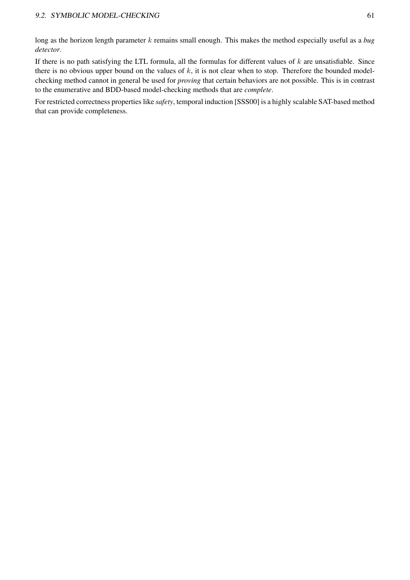long as the horizon length parameter k remains small enough. This makes the method especially useful as a *bug detector*.

If there is no path satisfying the LTL formula, all the formulas for different values of  $k$  are unsatisfiable. Since there is no obvious upper bound on the values of  $k$ , it is not clear when to stop. Therefore the bounded modelchecking method cannot in general be used for *proving* that certain behaviors are not possible. This is in contrast to the enumerative and BDD-based model-checking methods that are *complete*.

For restricted correctness properties like *safety*, temporal induction [SSS00] is a highly scalable SAT-based method that can provide completeness.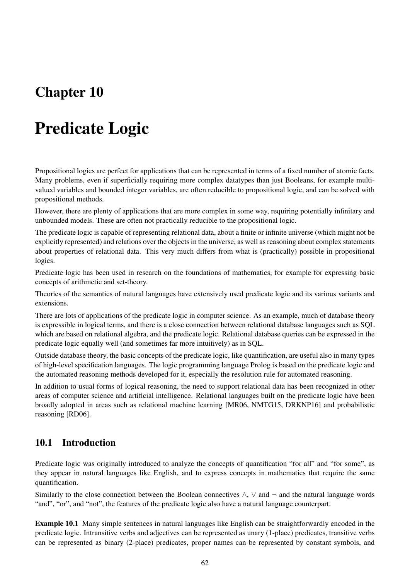## Chapter 10

# Predicate Logic

Propositional logics are perfect for applications that can be represented in terms of a fixed number of atomic facts. Many problems, even if superficially requiring more complex datatypes than just Booleans, for example multivalued variables and bounded integer variables, are often reducible to propositional logic, and can be solved with propositional methods.

However, there are plenty of applications that are more complex in some way, requiring potentially infinitary and unbounded models. These are often not practically reducible to the propositional logic.

The predicate logic is capable of representing relational data, about a finite or infinite universe (which might not be explicitly represented) and relations over the objects in the universe, as well as reasoning about complex statements about properties of relational data. This very much differs from what is (practically) possible in propositional logics.

Predicate logic has been used in research on the foundations of mathematics, for example for expressing basic concepts of arithmetic and set-theory.

Theories of the semantics of natural languages have extensively used predicate logic and its various variants and extensions.

There are lots of applications of the predicate logic in computer science. As an example, much of database theory is expressible in logical terms, and there is a close connection between relational database languages such as SQL which are based on relational algebra, and the predicate logic. Relational database queries can be expressed in the predicate logic equally well (and sometimes far more intuitively) as in SQL.

Outside database theory, the basic concepts of the predicate logic, like quantification, are useful also in many types of high-level specification languages. The logic programming language Prolog is based on the predicate logic and the automated reasoning methods developed for it, especially the resolution rule for automated reasoning.

In addition to usual forms of logical reasoning, the need to support relational data has been recognized in other areas of computer science and artificial intelligence. Relational languages built on the predicate logic have been broadly adopted in areas such as relational machine learning [MR06, NMTG15, DRKNP16] and probabilistic reasoning [RD06].

## 10.1 Introduction

Predicate logic was originally introduced to analyze the concepts of quantification "for all" and "for some", as they appear in natural languages like English, and to express concepts in mathematics that require the same quantification.

Similarly to the close connection between the Boolean connectives  $\wedge$ ,  $\vee$  and  $\neg$  and the natural language words "and", "or", and "not", the features of the predicate logic also have a natural language counterpart.

Example 10.1 Many simple sentences in natural languages like English can be straightforwardly encoded in the predicate logic. Intransitive verbs and adjectives can be represented as unary (1-place) predicates, transitive verbs can be represented as binary (2-place) predicates, proper names can be represented by constant symbols, and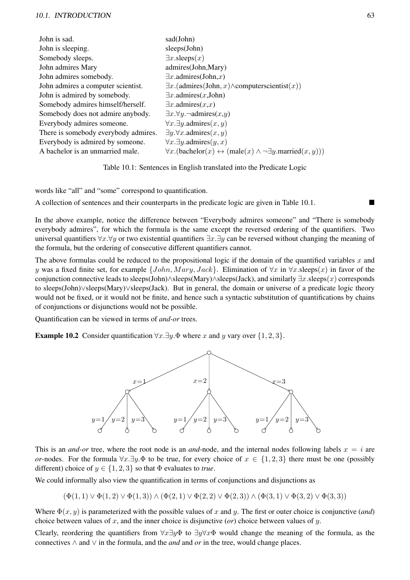#### 10.1. INTRODUCTION 63

| John is sad.                         | sad(John)                                                                                          |
|--------------------------------------|----------------------------------------------------------------------------------------------------|
| John is sleeping.                    | sleeps(John)                                                                                       |
| Somebody sleeps.                     | $\exists x.\text{sleeps}(x)$                                                                       |
| John admires Mary                    | admires(John, Mary)                                                                                |
| John admires somebody.               | $\exists x$ .admires(John,x)                                                                       |
| John admires a computer scientist.   | $\exists x.$ (admires(John, x) $\wedge$ computerscientist $(x)$ )                                  |
| John is admired by somebody.         | $\exists x$ .admires $(x,$ John)                                                                   |
| Somebody admires himself/herself.    | $\exists x$ .admires $(x,x)$                                                                       |
| Somebody does not admire anybody.    | $\exists x. \forall y. \neg \text{admires}(x, y)$                                                  |
| Everybody admires someone.           | $\forall x.\exists y.\text{admires}(x,y)$                                                          |
| There is somebody everybody admires. | $\exists y. \forall x. \text{admires}(x, y)$                                                       |
| Everybody is admired by someone.     | $\forall x. \exists y. \text{admires}(y, x)$                                                       |
| A bachelor is an unmarried male.     | $\forall x.$ (bachelor(x) $\leftrightarrow$ (male(x) $\land \neg \exists y.\text{married}(x,y))$ ) |
|                                      |                                                                                                    |

Table 10.1: Sentences in English translated into the Predicate Logic

words like "all" and "some" correspond to quantification.

A collection of sentences and their counterparts in the predicate logic are given in Table 10.1.

In the above example, notice the difference between "Everybody admires someone" and "There is somebody everybody admires", for which the formula is the same except the reversed ordering of the quantifiers. Two universal quantifiers  $\forall x.\forall y$  or two existential quantifiers  $\exists x.\exists y$  can be reversed without changing the meaning of the formula, but the ordering of consecutive different quantifiers cannot.

The above formulas could be reduced to the propositional logic if the domain of the quantified variables  $x$  and y was a fixed finite set, for example  $\{John, Mary, Jack\}$ . Elimination of  $\forall x$  in  $\forall x$ . sleeps(x) in favor of the conjunction connective leads to sleeps(John)∧sleeps(Mary)∧sleeps(Jack), and similarly ∃x.sleeps(x) corresponds to sleeps(John)∨sleeps(Mary)∨sleeps(Jack). But in general, the domain or universe of a predicate logic theory would not be fixed, or it would not be finite, and hence such a syntactic substitution of quantifications by chains of conjunctions or disjunctions would not be possible.

Quantification can be viewed in terms of *and-or* trees.

**Example 10.2** Consider quantification  $\forall x.\exists y.\Phi$  where x and y vary over {1, 2, 3}.



This is an *and-or* tree, where the root node is an *and-*node, and the internal nodes following labels  $x = i$  are *or*-nodes. For the formula  $\forall x.\exists y.\Phi$  to be true, for every choice of  $x \in \{1,2,3\}$  there must be one (possibly different) choice of  $y \in \{1, 2, 3\}$  so that  $\Phi$  evaluates to *true*.

We could informally also view the quantification in terms of conjunctions and disjunctions as

$$
(\Phi(1,1) \vee \Phi(1,2) \vee \Phi(1,3)) \wedge (\Phi(2,1) \vee \Phi(2,2) \vee \Phi(2,3)) \wedge (\Phi(3,1) \vee \Phi(3,2) \vee \Phi(3,3))
$$

Where  $\Phi(x, y)$  is parameterized with the possible values of x and y. The first or outer choice is conjunctive (*and*) choice between values of x, and the inner choice is disjunctive (*or*) choice between values of  $y$ .

Clearly, reordering the quantifiers from  $\forall x \exists y \Phi$  to  $\exists y \forall x \Phi$  would change the meaning of the formula, as the connectives ∧ and ∨ in the formula, and the *and* and *or* in the tree, would change places.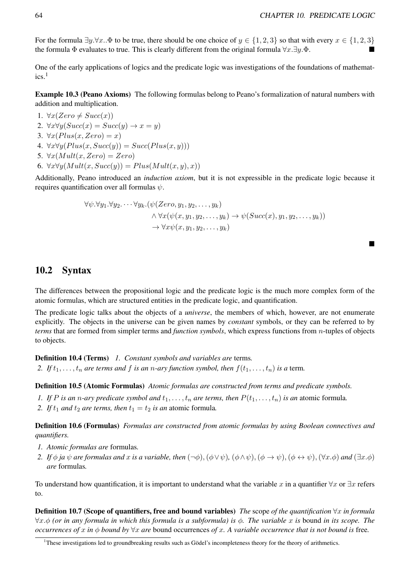■

For the formula  $\exists y.\forall x.\cdot\Phi$  to be true, there should be one choice of  $y \in \{1,2,3\}$  so that with every  $x \in \{1,2,3\}$ the formula  $\Phi$  evaluates to true. This is clearly different from the original formula  $\forall x.\exists y.\Phi$ .

One of the early applications of logics and the predicate logic was investigations of the foundations of mathemat- $\text{ics}$ <sup>1</sup>

Example 10.3 (Peano Axioms) The following formulas belong to Peano's formalization of natural numbers with addition and multiplication.

- 1.  $\forall x(Zero \neq Succ(x))$ 2.  $\forall x \forall y (Succ(x) = Succ(y) \rightarrow x = y)$ 3.  $\forall x (Plus(x, Zero) = x)$
- 4.  $\forall x \forall y (Plus(x, Succ(y)) = Succ(Plus(x, y)))$
- 5.  $\forall x (Mult(x, Zero) = Zero)$
- 6.  $\forall x \forall y (Mult(x, Succ(y))) = Plus(Mult(x, y), x))$

Additionally, Peano introduced an *induction axiom*, but it is not expressible in the predicate logic because it requires quantification over all formulas  $\psi$ .

$$
\forall \psi. \forall y_1. \forall y_2. \dots \forall y_k. (\psi(Zero, y_1, y_2, \dots, y_k)) \n\land \forall x(\psi(x, y_1, y_2, \dots, y_k) \rightarrow \psi(Succ(x), y_1, y_2, \dots, y_k)) \n\rightarrow \forall x \psi(x, y_1, y_2, \dots, y_k)
$$

## 10.2 Syntax

The differences between the propositional logic and the predicate logic is the much more complex form of the atomic formulas, which are structured entities in the predicate logic, and quantification.

The predicate logic talks about the objects of a *universe*, the members of which, however, are not enumerate explicitly. The objects in the universe can be given names by *constant* symbols, or they can be referred to by *terms* that are formed from simpler terms and *function symbols*, which express functions from n-tuples of objects to objects.

Definition 10.4 (Terms) *1. Constant symbols and variables are* terms*.* 2. If  $t_1, \ldots, t_n$  are terms and f is an *n*-ary function symbol, then  $f(t_1, \ldots, t_n)$  is a term.

Definition 10.5 (Atomic Formulas) *Atomic formulas are constructed from terms and predicate symbols.*

- *1.* If P is an n-ary predicate symbol and  $t_1, \ldots, t_n$  are terms, then  $P(t_1, \ldots, t_n)$  is an atomic formula.
- 2. If  $t_1$  *and*  $t_2$  *are terms, then*  $t_1 = t_2$  *is an* atomic formula.

Definition 10.6 (Formulas) *Formulas are constructed from atomic formulas by using Boolean connectives and quantifiers.*

- *1. Atomic formulas are* formulas*.*
- *2. If*  $\phi$  *ja*  $\psi$  *are formulas and* x *is a variable, then*  $(\neg \phi)$ ,  $(\phi \lor \psi)$ ,  $(\phi \land \psi)$ ,  $(\phi \rightarrow \psi)$ ,  $(\phi \leftrightarrow \psi)$ ,  $(\forall x.\phi)$  *and*  $(\exists x.\phi)$ *are* formulas*.*

To understand how quantification, it is important to understand what the variable x in a quantifier  $\forall x$  or  $\exists x$  refers to.

Definition 10.7 (Scope of quantifiers, free and bound variables) *The* scope *of the quantification* ∀x *in formula* ∀x.ϕ *(or in any formula in which this formula is a subformula) is* ϕ*. The variable* x *is* bound *in its scope. The occurrences of* x *in*  $\phi$  *bound by*  $\forall x$  *are* bound occurrences *of* x. A variable occurrence that is not bound is free.

<sup>&</sup>lt;sup>1</sup>These investigations led to groundbreaking results such as Gödel's incompleteness theory for the theory of arithmetics.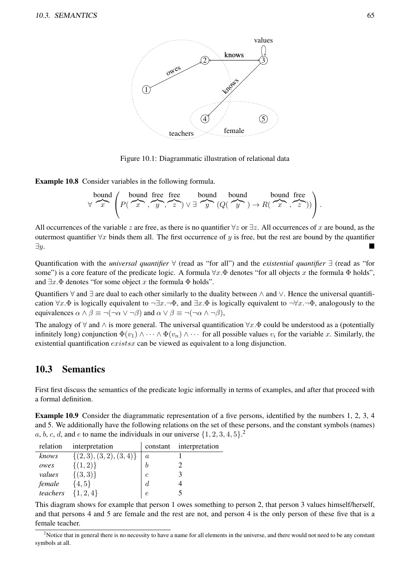

Figure 10.1: Diagrammatic illustration of relational data

Example 10.8 Consider variables in the following formula.

$$
\forall \quad \forall \quad \mathcal{F} \quad \left(P(\overbrace{x}^{x}, \overbrace{y}^{y}, \overbrace{z}^{x}) \vee \exists \quad \mathcal{F} \quad (Q(\overbrace{y}^{y}) \rightarrow R(\overbrace{x}^{x}, \overbrace{z}^{y}))\right).
$$

All occurrences of the variable z are free, as there is no quantifier  $\forall z$  or  $\exists z$ . All occurrences of x are bound, as the outermost quantifier  $\forall x$  binds them all. The first occurrence of y is free, but the rest are bound by the quantifier  $\exists y.$ 

Quantification with the *universal quantifier* ∀ (read as "for all") and the *existential quantifier* ∃ (read as "for some") is a core feature of the predicate logic. A formula  $\forall x \cdot \Phi$  denotes "for all objects x the formula  $\Phi$  holds", and  $\exists x.\Phi$  denotes "for some object x the formula  $\Phi$  holds".

Quantifiers  $\forall$  and ∃ are dual to each other similarly to the duality between  $\land$  and  $\lor$ . Hence the universal quantification  $\forall x.\Phi$  is logically equivalent to  $\neg \exists x.\neg \Phi$ , and  $\exists x.\Phi$  is logically equivalent to  $\neg \forall x.\neg \Phi$ , analogously to the equivalences  $\alpha \wedge \beta \equiv \neg(\neg \alpha \vee \neg \beta)$  and  $\alpha \vee \beta \equiv \neg(\neg \alpha \wedge \neg \beta)$ ,

The analogy of  $\forall$  and  $\wedge$  is more general. The universal quantification  $\forall x.\Phi$  could be understood as a (potentially infinitely long) conjunction  $\Phi(v_1) \wedge \cdots \wedge \Phi(v_n) \wedge \cdots$  for all possible values  $v_i$  for the variable x. Similarly, the existential quantification *existsx* can be viewed as equivalent to a long disjunction.

## 10.3 Semantics

First first discuss the semantics of the predicate logic informally in terms of examples, and after that proceed with a formal definition.

Example 10.9 Consider the diagrammatic representation of a five persons, identified by the numbers 1, 2, 3, 4 and 5. We additionally have the following relations on the set of these persons, and the constant symbols (names) a, b, c, d, and e to name the individuals in our universe  $\{1, 2, 3, 4, 5\}$ .

| relation | interpretation             | constant         | interpretation |
|----------|----------------------------|------------------|----------------|
| knows    | $\{(2,3), (3,2), (3,4)\}\$ | $\boldsymbol{a}$ |                |
| owes     | $\{(1,2)\}\$               |                  |                |
| values   | $\{(3,3)\}\$               | $\overline{c}$   |                |
| female   | $\{4, 5\}$                 | $\overline{d}$   |                |
| teachers | $\{1, 2, 4\}$              | e                |                |

This diagram shows for example that person 1 owes something to person 2, that person 3 values himself/herself, and that persons 4 and 5 are female and the rest are not, and person 4 is the only person of these five that is a female teacher.

 $2$ Notice that in general there is no necessity to have a name for all elements in the universe, and there would not need to be any constant symbols at all.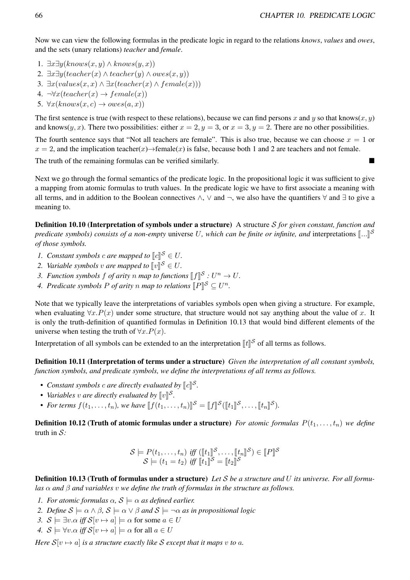Now we can view the following formulas in the predicate logic in regard to the relations *knows*, *values* and *owes*, and the sets (unary relations) *teacher* and *female*.

- 1.  $\exists x \exists y (knows(x, y) \land knows(y, x))$
- 2.  $\exists x \exists y (teacher(x) \land teacher(y) \land owes(x, y))$
- 3.  $\exists x (values(x, x) \land \exists x (teacher(x) \land female(x)))$
- 4.  $\neg \forall x (teacher(x) \rightarrow female(x))$
- 5.  $\forall x (knows(x, c) \rightarrow owes(a, x))$

The first sentence is true (with respect to these relations), because we can find persons x and y so that knows(x, y) and knows $(y, x)$ . There two possibilities: either  $x = 2$ ,  $y = 3$ , or  $x = 3$ ,  $y = 2$ . There are no other possibilities.

The fourth sentence says that "Not all teachers are female". This is also true, because we can choose  $x = 1$  or  $x = 2$ , and the implication teacher(x) $\rightarrow$ female(x) is false, because both 1 and 2 are teachers and not female.

The truth of the remaining formulas can be verified similarly.

Next we go through the formal semantics of the predicate logic. In the propositional logic it was sufficient to give a mapping from atomic formulas to truth values. In the predicate logic we have to first associate a meaning with all terms, and in addition to the Boolean connectives  $\wedge$ ,  $\vee$  and  $\neg$ , we also have the quantifiers  $\forall$  and  $\exists$  to give a meaning to.

Definition 10.10 (Interpretation of symbols under a structure) A structure S *for given constant, function and predicate symbols) consists of a non-empty* universe U, which can be finite or infinite, and interpretations  $[\![...]\!]$ <sup>S</sup> *of those symbols.*

- *1.* Constant symbols c are mapped to  $\llbracket c \rrbracket^S \in U$ .<br>
2. *Variable mapped to*  $\llbracket w \rrbracket^S \in U$ .
- *2. Variable symbols v are mapped to*  $[v]^{\mathcal{S}} \in U$ .
- 3. Function symbols f of arity n map to functions  $[[f]]^S : U^n \to U$ .
- *4. Predicate symbols*  $P$  *of arity*  $n$  *map to relations*  $[$  $P$  $]$  $S \subseteq U^n$ .

Note that we typically leave the interpretations of variables symbols open when giving a structure. For example, when evaluating  $\forall x.P(x)$  under some structure, that structure would not say anything about the value of x. It is only the truth-definition of quantified formulas in Definition 10.13 that would bind different elements of the universe when testing the truth of  $\forall x.P(x)$ .

Interpretation of all symbols can be extended to an the interpretation  $[[t]]^S$  of all terms as follows.

Definition 10.11 (Interpretation of terms under a structure) *Given the interpretation of all constant symbols, function symbols, and predicate symbols, we define the interpretations of all terms as follows.*

- *Constant symbols c are directly evaluated by*  $[[c]]^S$ .
- *Variables v are directly evaluated by*  $[\![v]\!]$ S *.*
- For terms  $f(t_1,\ldots,t_n)$ , we have  $[[f(t_1,\ldots,t_n)]^S = [[f]]^S([f_1]]^S,\ldots,[f_n]]^S$ .

**Definition 10.12 (Truth of atomic formulas under a structure)** For atomic formulas  $P(t_1, \ldots, t_n)$  we define truth in S*:*

$$
\mathcal{S} \models P(t_1, \dots, t_n) \text{ iff } (\llbracket t_1 \rrbracket^{\mathcal{S}}, \dots, \llbracket t_n \rrbracket^{\mathcal{S}}) \in \llbracket P \rrbracket^{\mathcal{S}} \mathcal{S} \models (t_1 = t_2) \text{ iff } \llbracket t_1 \rrbracket^{\mathcal{S}} = \llbracket t_2 \rrbracket^{\mathcal{S}}
$$

Definition 10.13 (Truth of formulas under a structure) *Let* S *be a structure and* U *its universe. For all formulas* α *and* β *and variables* v *we define the truth of formulas in the structure as follows.*

- *1. For atomic formulas*  $\alpha$ ,  $S \models \alpha$  *as defined earlier.*
- *2. Define*  $S \models \alpha \land \beta$ ,  $S \models \alpha \lor \beta$  *and*  $S \models \neg \alpha$  *as in propositional logic*
- *3.*  $S \models \exists v \cdot \alpha \text{ iff } S[v \mapsto a] \models \alpha \text{ for some } a \in U$
- *4.*  $S \models \forall v \cdot \alpha \text{ iff } S[v \mapsto a] \models \alpha \text{ for all } a \in U$

*Here*  $S[v \mapsto a]$  *is a structure exactly like* S *except that it maps* v *to a*.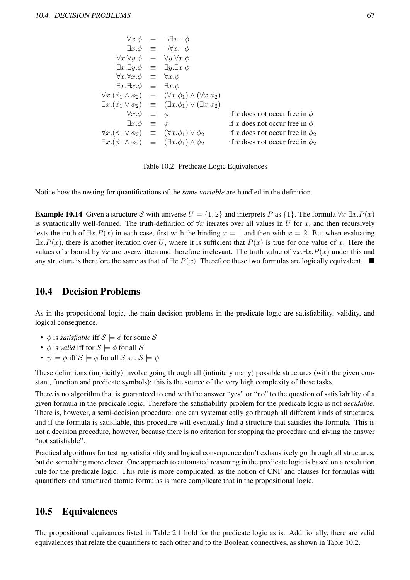|                                                                         | $\forall x.\phi \equiv \neg \exists x.\neg \phi$                                         |                                      |
|-------------------------------------------------------------------------|------------------------------------------------------------------------------------------|--------------------------------------|
|                                                                         | $\exists x.\phi \equiv \neg \forall x.\neg \phi$                                         |                                      |
|                                                                         | $\forall x. \forall y. \phi \equiv \forall y. \forall x. \phi$                           |                                      |
|                                                                         | $\exists x.\exists y.\phi \equiv \exists y.\exists x.\phi$                               |                                      |
| $\forall x.\forall x.\phi \equiv \forall x.\phi$                        |                                                                                          |                                      |
| $\exists x.\exists x.\phi \equiv \exists x.\phi$                        |                                                                                          |                                      |
|                                                                         | $\forall x.(\phi_1 \wedge \phi_2) \equiv (\forall x. \phi_1) \wedge (\forall x. \phi_2)$ |                                      |
|                                                                         | $\exists x.(\phi_1 \vee \phi_2) \equiv (\exists x. \phi_1) \vee (\exists x. \phi_2)$     |                                      |
| $\forall x.\phi \equiv \phi$                                            |                                                                                          | if x does not occur free in $\phi$   |
| $\exists x.\phi \equiv \phi$                                            |                                                                                          | if x does not occur free in $\phi$   |
| $\forall x.(\phi_1 \vee \phi_2) \equiv (\forall x. \phi_1) \vee \phi_2$ |                                                                                          | if x does not occur free in $\phi_2$ |
|                                                                         | $\exists x. (\phi_1 \wedge \phi_2) \equiv (\exists x. \phi_1) \wedge \phi_2$             | if x does not occur free in $\phi_2$ |

Table 10.2: Predicate Logic Equivalences

Notice how the nesting for quantifications of the *same variable* are handled in the definition.

**Example 10.14** Given a structure S with universe  $U = \{1, 2\}$  and interprets P as  $\{1\}$ . The formula  $\forall x \exists x \cdot P(x)$ is syntactically well-formed. The truth-definition of  $\forall x$  iterates over all values in U for x, and then recursively tests the truth of  $\exists x.P(x)$  in each case, first with the binding  $x = 1$  and then with  $x = 2$ . But when evaluating  $\exists x.P(x)$ , there is another iteration over U, where it is sufficient that  $P(x)$  is true for one value of x. Here the values of x bound by  $\forall x$  are overwritten and therefore irrelevant. The truth value of  $\forall x.\exists x.P(x)$  under this and any structure is therefore the same as that of  $\exists x.P(x)$ . Therefore these two formulas are logically equivalent.  $\blacksquare$ 

## 10.4 Decision Problems

As in the propositional logic, the main decision problems in the predicate logic are satisfiability, validity, and logical consequence.

- $\phi$  is *satisfiable* iff  $S \models \phi$  for some S
- $\phi$  is *valid* iff for  $S \models \phi$  for all S
- $\psi \models \phi$  iff  $\mathcal{S} \models \phi$  for all  $\mathcal{S}$  s.t.  $\mathcal{S} \models \psi$

These definitions (implicitly) involve going through all (infinitely many) possible structures (with the given constant, function and predicate symbols): this is the source of the very high complexity of these tasks.

There is no algorithm that is guaranteed to end with the answer "yes" or "no" to the question of satisfiability of a given formula in the predicate logic. Therefore the satisfiability problem for the predicate logic is not *decidable*. There is, however, a semi-decision procedure: one can systematically go through all different kinds of structures, and if the formula is satisfiable, this procedure will eventually find a structure that satisfies the formula. This is not a decision procedure, however, because there is no criterion for stopping the procedure and giving the answer "not satisfiable".

Practical algorithms for testing satisfiability and logical consequence don't exhaustively go through all structures, but do something more clever. One approach to automated reasoning in the predicate logic is based on a resolution rule for the predicate logic. This rule is more complicated, as the notion of CNF and clauses for formulas with quantifiers and structured atomic formulas is more complicate that in the propositional logic.

## 10.5 Equivalences

The propositional equivances listed in Table 2.1 hold for the predicate logic as is. Additionally, there are valid equivalences that relate the quantifiers to each other and to the Boolean connectives, as shown in Table 10.2.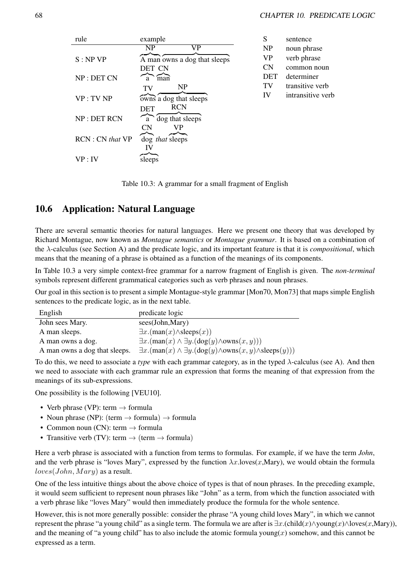| rule                    | example                      | S          | sentence          |
|-------------------------|------------------------------|------------|-------------------|
|                         | VP<br>N <sub>P</sub>         | NP         | noun phrase       |
| S: NP VP                | A man owns a dog that sleeps | <b>VP</b>  | verb phrase       |
|                         | DET CN                       | <b>CN</b>  | common noun       |
| NP: DET CN              | man<br>a                     | <b>DET</b> | determiner        |
|                         | N <sub>P</sub><br>TV         | TV         | transitive verb   |
| VP: TV NP               | owns a dog that sleeps       | IV         | intransitive verb |
|                         | <b>RCN</b><br>DET            |            |                   |
| NP: DET RCN             | dog that sleeps<br>a         |            |                   |
|                         | VP<br>CN                     |            |                   |
| <b>RCN</b> : CN that VP | dog that sleeps              |            |                   |
|                         | IV                           |            |                   |
| VP: IV                  | sleeps                       |            |                   |

Table 10.3: A grammar for a small fragment of English

## 10.6 Application: Natural Language

There are several semantic theories for natural languages. Here we present one theory that was developed by Richard Montague, now known as *Montague semantics* or *Montague grammar*. It is based on a combination of the λ-calculus (see Section A) and the predicate logic, and its important feature is that it is *compositional*, which means that the meaning of a phrase is obtained as a function of the meanings of its components.

In Table 10.3 a very simple context-free grammar for a narrow fragment of English is given. The *non-terminal* symbols represent different grammatical categories such as verb phrases and noun phrases.

Our goal in this section is to present a simple Montague-style grammar [Mon70, Mon73] that maps simple English sentences to the predicate logic, as in the next table.

| English                       | predicate logic                                                                  |
|-------------------------------|----------------------------------------------------------------------------------|
| John sees Mary.               | sees(John, Mary)                                                                 |
| A man sleeps.                 | $\exists x. (man(x) \land \text{sleeps}(x))$                                     |
| A man owns a dog.             | $\exists x. (man(x) \land \exists y. (dog(y) \land owns(x, y)))$                 |
| A man owns a dog that sleeps. | $\exists x. (man(x) \land \exists y. (dog(y) \land owns(x, y) \land sleeps(y)))$ |

To do this, we need to associate a *type* with each grammar category, as in the typed λ-calculus (see A). And then we need to associate with each grammar rule an expression that forms the meaning of that expression from the meanings of its sub-expressions.

One possibility is the following [VEU10].

- Verb phrase (VP): term  $\rightarrow$  formula
- Noun phrase (NP): (term  $\rightarrow$  formula)  $\rightarrow$  formula
- Common noun (CN): term  $\rightarrow$  formula
- Transitive verb (TV): term  $\rightarrow$  (term  $\rightarrow$  formula)

Here a verb phrase is associated with a function from terms to formulas. For example, if we have the term *John*, and the verb phrase is "loves Mary", expressed by the function  $\lambda x$ .loves(x,Mary), we would obtain the formula  $loves(John, Mary)$  as a result.

One of the less intuitive things about the above choice of types is that of noun phrases. In the preceding example, it would seem sufficient to represent noun phrases like "John" as a term, from which the function associated with a verb phrase like "loves Mary" would then immediately produce the formula for the whole sentence.

However, this is not more generally possible: consider the phrase "A young child loves Mary", in which we cannot represent the phrase "a young child" as a single term. The formula we are after is  $\exists x.(\text{child}(x) \land \text{young}(x) \land \text{loves}(x,\text{Mary})),$ and the meaning of "a young child" has to also include the atomic formula young(x) somehow, and this cannot be expressed as a term.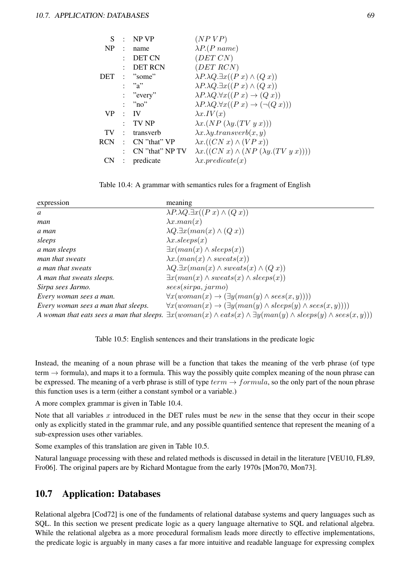| S         | $\bullet$            | NP VP              | (NP VP)                                                                      |
|-----------|----------------------|--------------------|------------------------------------------------------------------------------|
| <b>NP</b> | $\ddot{\phantom{a}}$ | name               | $\lambda P.(P name)$                                                         |
|           |                      | DET CN             | (DET CN)                                                                     |
|           |                      | <b>DET RCN</b>     | (DET RCN)                                                                    |
|           |                      | DEF: "some"        | $\lambda P \cdot \lambda Q \cdot \exists x ((P x) \wedge (Q x))$             |
|           |                      | : "a"              | $\lambda P \cdot \lambda Q \cdot \exists x ((P x) \wedge (Q x))$             |
|           |                      | : "every"          | $\lambda P \cdot \lambda Q \cdot \forall x ((P x) \rightarrow (Q x))$        |
|           |                      | : "no"             | $\lambda P \cdot \lambda Q \cdot \forall x ((P x) \rightarrow (\neg (Q x)))$ |
| VP.       |                      | $\cdot$ IV         | $\lambda x.IV(x)$                                                            |
|           | ۰                    | TV NP              | $\lambda x.(NP(\lambda y.(TV y x)))$                                         |
| TV.       | $\mathcal{L}$        | transverb          | $\lambda x.\lambda y. transverb(x, y)$                                       |
|           |                      | RCN : CN "that" VP | $\lambda x. ((CN x) \wedge (VP x))$                                          |
|           | $\ddot{\phantom{a}}$ | CN "that" NP TV    | $\lambda x. ((CN x) \wedge (NP (\lambda y. (TV y x))))$                      |
| CN        | $\ddot{\cdot}$       | predicate          | $\lambda x. predicate(x)$                                                    |



| expression                          | meaning                                                                                                                                   |
|-------------------------------------|-------------------------------------------------------------------------------------------------------------------------------------------|
| a                                   | $\lambda P \cdot \lambda Q \cdot \exists x ((P x) \wedge (Q x))$                                                                          |
| man                                 | $\lambda x \cdot man(x)$                                                                                                                  |
| a man                               | $\lambda Q. \exists x (man(x) \wedge (Q x))$                                                                                              |
| sleeps                              | $\lambda x.sleepes(x)$                                                                                                                    |
| a man sleeps                        | $\exists x (man(x) \land sleeps(x))$                                                                                                      |
| man that sweats                     | $\lambda x.(man(x) \wedge sweats(x))$                                                                                                     |
| a man that sweats                   | $\lambda Q. \exists x (man(x) \land sweats(x) \land (Qx))$                                                                                |
| A man that sweats sleeps.           | $\exists x (man(x) \land sweats(x) \land sleeps(x))$                                                                                      |
| Sirpa sees Jarmo.                   | sees(sirpa, jarmo)                                                                                                                        |
| Every woman sees a man.             | $\forall x(woman(x) \rightarrow (\exists y(man(y) \land sees(x, y))))$                                                                    |
| Every woman sees a man that sleeps. | $\forall x(woman(x) \rightarrow (\exists y(man(y) \land sleep(y) \land sees(x, y))))$                                                     |
|                                     | A woman that eats sees a man that sleeps. $\exists x (woman(x) \land eats(x) \land \exists y (man(y) \land sleep(s(y) \land sees(x, y)))$ |

Table 10.5: English sentences and their translations in the predicate logic

Instead, the meaning of a noun phrase will be a function that takes the meaning of the verb phrase (of type term  $\rightarrow$  formula), and maps it to a formula. This way the possibly quite complex meaning of the noun phrase can be expressed. The meaning of a verb phrase is still of type  $term \rightarrow formula$ , so the only part of the noun phrase this function uses is a term (either a constant symbol or a variable.)

A more complex grammar is given in Table 10.4.

Note that all variables x introduced in the DET rules must be *new* in the sense that they occur in their scope only as explicitly stated in the grammar rule, and any possible quantified sentence that represent the meaning of a sub-expression uses other variables.

Some examples of this translation are given in Table 10.5.

Natural language processing with these and related methods is discussed in detail in the literature [VEU10, FL89, Fro06]. The original papers are by Richard Montague from the early 1970s [Mon70, Mon73].

## 10.7 Application: Databases

Relational algebra [Cod72] is one of the fundaments of relational database systems and query languages such as SQL. In this section we present predicate logic as a query language alternative to SQL and relational algebra. While the relational algebra as a more procedural formalism leads more directly to effective implementations, the predicate logic is arguably in many cases a far more intuitive and readable language for expressing complex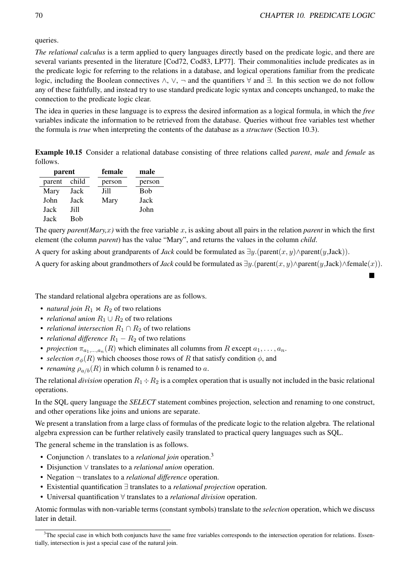queries.

*The relational calculus* is a term applied to query languages directly based on the predicate logic, and there are several variants presented in the literature [Cod72, Cod83, LP77]. Their commonalities include predicates as in the predicate logic for referring to the relations in a database, and logical operations familiar from the predicate logic, including the Boolean connectives ∧, ∨, ¬ and the quantifiers ∀ and ∃. In this section we do not follow any of these faithfully, and instead try to use standard predicate logic syntax and concepts unchanged, to make the connection to the predicate logic clear.

The idea in queries in these language is to express the desired information as a logical formula, in which the *free* variables indicate the information to be retrieved from the database. Queries without free variables test whether the formula is *true* when interpreting the contents of the database as a *structure* (Section 10.3).

Example 10.15 Consider a relational database consisting of three relations called *parent*, *male* and *female* as follows.

| parent |             | female | male   |
|--------|-------------|--------|--------|
| parent | child       | person | person |
| Mary   | Jack        | Jill   | Bob    |
| John   | Jack        | Mary   | Jack   |
| Jack   | Jill        |        | John   |
| Jack   | <b>B</b> ob |        |        |

The query *parent*( $Mary, x$ ) with the free variable x, is asking about all pairs in the relation *parent* in which the first element (the column *parent*) has the value "Mary", and returns the values in the column *child*.

A query for asking about grandparents of *Jack* could be formulated as ∃y.(parent(x, y)∧parent(y,Jack)).

A query for asking about grandmothers of *Jack* could be formulated as  $\exists y.$ (parent(x, y)∧parent(y,Jack)∧female(x)).

The standard relational algebra operations are as follows.

- *natural join*  $R_1 \Join R_2$  of two relations
- *relational union*  $R_1 \cup R_2$  of two relations
- *relational intersection*  $R_1 \cap R_2$  of two relations
- *relational difference*  $R_1 R_2$  of two relations
- *projection*  $\pi_{a_1,...,a_n}(R)$  which eliminates all columns from R except  $a_1,...,a_n$ .
- *selection*  $\sigma_{\phi}(R)$  which chooses those rows of R that satisfy condition  $\phi$ , and
- *renaming*  $\rho_{a/b}(R)$  in which column b is renamed to a.

The relational *division* operation  $R_1 \div R_2$  is a complex operation that is usually not included in the basic relational operations.

In the SQL query language the *SELECT* statement combines projection, selection and renaming to one construct, and other operations like joins and unions are separate.

We present a translation from a large class of formulas of the predicate logic to the relation algebra. The relational algebra expression can be further relatively easily translated to practical query languages such as SQL.

The general scheme in the translation is as follows.

- Conjunction ∧ translates to a *relational join* operation.<sup>3</sup>
- Disjunction ∨ translates to a *relational union* operation.
- Negation ¬ translates to a *relational difference* operation.
- Existential quantification ∃ translates to a *relational projection* operation.
- Universal quantification ∀ translates to a *relational division* operation.

Atomic formulas with non-variable terms (constant symbols) translate to the *selection* operation, which we discuss later in detail.

 $3$ The special case in which both conjuncts have the same free variables corresponds to the intersection operation for relations. Essentially, intersection is just a special case of the natural join.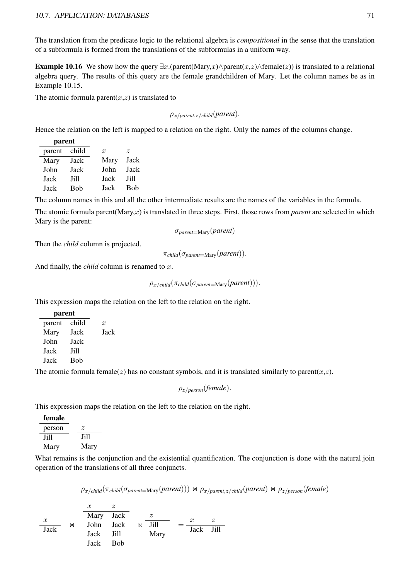The translation from the predicate logic to the relational algebra is *compositional* in the sense that the translation of a subformula is formed from the translations of the subformulas in a uniform way.

**Example 10.16** We show how the query  $\exists x.$ (parent(Mary,x)∧parent(x,z)∧female(z)) is translated to a relational algebra query. The results of this query are the female grandchildren of Mary. Let the column names be as in Example 10.15.

The atomic formula parent $(x, z)$  is translated to

$$
\rho_{x/parent,z/child}(parent)
$$
.

Hence the relation on the left is mapped to a relation on the right. Only the names of the columns change.

| parent |       |               |      |
|--------|-------|---------------|------|
| parent | child | $\mathcal{X}$ | z    |
| Mary   | Jack  | Mary          | Jack |
| John   | Jack  | John          | Jack |
| Jack   | Jill  | Jack          | Jill |
| Jack   | Bob   | Jack          | Bob  |

The column names in this and all the other intermediate results are the names of the variables in the formula.

The atomic formula parent(Mary,x) is translated in three steps. First, those rows from *parent* are selected in which Mary is the parent:

σ*parent*=Mary(*parent*)

Then the *child* column is projected.

π*child*(σ*parent*=Mary(*parent*)).

And finally, the *child* column is renamed to x.

ρx/*child*(π*child*(σ*parent*=Mary(*parent*))).

This expression maps the relation on the left to the relation on the right.

| pai ciit |       |                  |  |
|----------|-------|------------------|--|
| parent   | child | $\boldsymbol{x}$ |  |
| Mary     | Jack  | Jack             |  |
| John     | Jack  |                  |  |
| Jack     | Jill  |                  |  |
| Jack     | Bob   |                  |  |

parent

The atomic formula female(z) has no constant symbols, and it is translated similarly to parent(x,z).

ρz/*person*(*female*).

This expression maps the relation on the left to the relation on the right.

| female |      |
|--------|------|
| person | z.   |
| Jill   | Jill |
| Mary   | Mary |

What remains is the conjunction and the existential quantification. The conjunction is done with the natural join operation of the translations of all three conjuncts.

 $\rho_{x/child}(\pi_{child}(\sigma_{parent=Mary}(parent))) \bowtie \rho_{x/parent,z/child}(parent) \bowtie \rho_{z/person}(female)$ 

 $\boldsymbol{x}$  $\bowtie$  $x \qquad z$ Mary Jack John Jack Jack Jill Jack Bob  $\mathbb{R}$ z Jill Mary  $=\frac{x}{\sqrt{2}}$ Jack Jill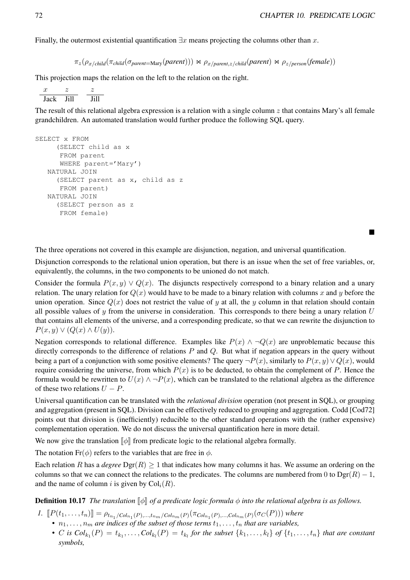Finally, the outermost existential quantification  $\exists x$  means projecting the columns other than x.

 $\pi_z(\rho_{x/child}(\pi_{child}(\sigma_{parent=Marv}(parent))) \Join \rho_{x/parent,z/child}(parent) \Join \rho_{z/person}(female))$ 

This projection maps the relation on the left to the relation on the right.

 $x \t z$ Jack Jill z Jill

The result of this relational algebra expression is a relation with a single column  $z$  that contains Mary's all female grandchildren. An automated translation would further produce the following SQL query.

```
SELECT x FROM
     (SELECT child as x
     FROM parent
     WHERE parent='Mary')
  NATURAL JOIN
     (SELECT parent as x, child as z
     FROM parent)
  NATURAL JOIN
     (SELECT person as z
     FROM female)
```
The three operations not covered in this example are disjunction, negation, and universal quantification.

Disjunction corresponds to the relational union operation, but there is an issue when the set of free variables, or, equivalently, the columns, in the two components to be unioned do not match.

Consider the formula  $P(x, y) \vee Q(x)$ . The disjuncts respectively correspond to a binary relation and a unary relation. The unary relation for  $Q(x)$  would have to be made to a binary relation with columns x and y before the union operation. Since  $Q(x)$  does not restrict the value of y at all, the y column in that relation should contain all possible values of  $\gamma$  from the universe in consideration. This corresponds to there being a unary relation  $U$ that contains all elements of the universe, and a corresponding predicate, so that we can rewrite the disjunction to  $P(x, y) \vee (Q(x) \wedge U(y)).$ 

Negation corresponds to relational difference. Examples like  $P(x) \wedge \neg Q(x)$  are unproblematic because this directly corresponds to the difference of relations  $P$  and  $Q$ . But what if negation appears in the query without being a part of a conjunction with some positive elements? The query  $\neg P(x)$ , similarly to  $P(x, y) \vee Q(x)$ , would require considering the universe, from which  $P(x)$  is to be deducted, to obtain the complement of P. Hence the formula would be rewritten to  $U(x) \wedge \neg P(x)$ , which can be translated to the relational algebra as the difference of these two relations  $U - P$ .

Universal quantification can be translated with the *relational division* operation (not present in SQL), or grouping and aggregation (present in SQL). Division can be effectively reduced to grouping and aggregation. Codd [Cod72] points out that division is (inefficiently) reducible to the other standard operations with the (rather expensive) complementation operation. We do not discuss the universal quantification here in more detail.

We now give the translation  $\llbracket \phi \rrbracket$  from predicate logic to the relational algebra formally.

The notation Fr( $\phi$ ) refers to the variables that are free in  $\phi$ .

Each relation R has a *degree*  $\text{Dgr}(R) \geq 1$  that indicates how many columns it has. We assume an ordering on the columns so that we can connect the relations to the predicates. The columns are numbered from 0 to  $Dgr(R) - 1$ , and the name of column i is given by  $Col_i(R)$ .

**Definition 10.17** *The translation*  $\llbracket \phi \rrbracket$  *of a predicate logic formula*  $\phi$  *into the relational algebra is as follows.* 

- *1.*  $[\![P(t_1, \ldots, t_n)]\!] = \rho_{t_{n_1}/Col_{n_1}(P), \ldots, t_{n_m}/Col_{n_m}(P)}(\pi_{Col_{n_1}(P), \ldots, Col_{n_m}(P)}(\sigma_C(P)))$  where
	- $n_1, \ldots, n_m$  are indices of the subset of those terms  $t_1, \ldots, t_n$  that are variables,
	- *C* is  $Col_{k_1}(P) = t_{k_1}, \ldots, Col_{k_l}(P) = t_{k_l}$  for the subset  $\{k_1, \ldots, k_l\}$  of  $\{t_1, \ldots, t_n\}$  that are constant *symbols,*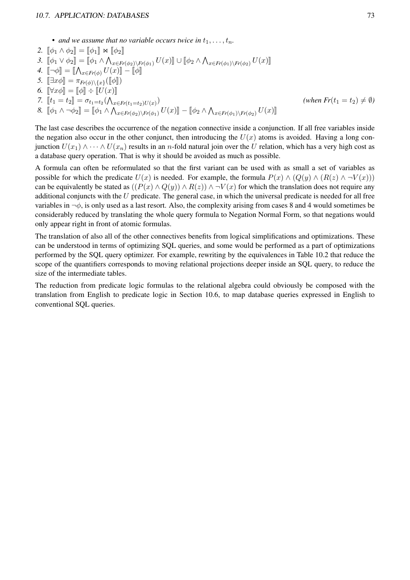#### 10.7. APPLICATION: DATABASES 73

• *and we assume that no variable occurs twice in*  $t_1, \ldots, t_n$ .

2. 
$$
\begin{aligned}\n\llbracket \phi_1 \wedge \phi_2 \rrbracket &= \llbracket \phi_1 \rrbracket \bowtie \llbracket \phi_2 \rrbracket \\
3. \quad & \llbracket \phi_1 \vee \phi_2 \rrbracket &= \llbracket \phi_1 \wedge \bigwedge_{x \in Fr(\phi_2) \backslash Fr(\phi_1)} U(x) \rrbracket \cup \llbracket \phi_2 \wedge \bigwedge_{x \in Fr(\phi_1) \backslash Fr(\phi_2)} U(x) \rrbracket \\
4. \quad & \llbracket \neg \phi \rrbracket &= \llbracket \bigwedge_{x \in Fr(\phi)} U(x) \rrbracket - \llbracket \phi \rrbracket \\
5. \quad & \llbracket \exists x \phi \rrbracket &= \pi_{Fr(\phi) \backslash \{x\}} (\llbracket \phi \rrbracket) \\
6. \quad & \llbracket \forall x \phi \rrbracket &= \llbracket \phi \rrbracket \div \llbracket U(x) \rrbracket \\
7. \quad & \llbracket t_1 = t_2 \rrbracket &= \sigma_{t_1 = t_2} (\bigwedge_{x \in Fr(t_1 = t_2) U(x)}) \\
8. \quad & \llbracket \phi_1 \wedge \neg \phi_2 \rrbracket &= \llbracket \phi_1 \wedge \bigwedge_{x \in Fr(\phi_2) \backslash Fr(\phi_1)} U(x) \rrbracket - \llbracket \phi_2 \wedge \bigwedge_{x \in Fr(\phi_1) \backslash Fr(\phi_2)} U(x) \rrbracket\n\end{aligned} \qquad (when \quad Fr(t_1 = t_2) \neq \emptyset)
$$

The last case describes the occurrence of the negation connective inside a conjunction. If all free variables inside the negation also occur in the other conjunct, then introducing the  $U(x)$  atoms is avoided. Having a long conjunction  $U(x_1) \wedge \cdots \wedge U(x_n)$  results in an n-fold natural join over the U relation, which has a very high cost as a database query operation. That is why it should be avoided as much as possible.

A formula can often be reformulated so that the first variant can be used with as small a set of variables as possible for which the predicate  $U(x)$  is needed. For example, the formula  $P(x) \wedge (Q(y) \wedge (R(z) \wedge \neg V(x)))$ can be equivalently be stated as  $((P(x) \wedge Q(y)) \wedge R(z)) \wedge \neg V(x)$  for which the translation does not require any additional conjuncts with the  $U$  predicate. The general case, in which the universal predicate is needed for all free variables in  $\neg \phi$ , is only used as a last resort. Also, the complexity arising from cases 8 and 4 would sometimes be considerably reduced by translating the whole query formula to Negation Normal Form, so that negations would only appear right in front of atomic formulas.

The translation of also all of the other connectives benefits from logical simplifications and optimizations. These can be understood in terms of optimizing SQL queries, and some would be performed as a part of optimizations performed by the SQL query optimizer. For example, rewriting by the equivalences in Table 10.2 that reduce the scope of the quantifiers corresponds to moving relational projections deeper inside an SQL query, to reduce the size of the intermediate tables.

The reduction from predicate logic formulas to the relational algebra could obviously be composed with the translation from English to predicate logic in Section 10.6, to map database queries expressed in English to conventional SQL queries.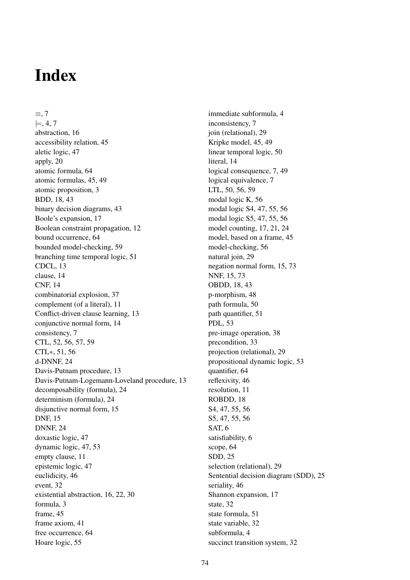# Index

≡, 7  $\models$ , 4, 7 abstraction, 16 accessibility relation, 45 aletic logic, 47 apply, 20 atomic formula, 64 atomic formulas, 45, 49 atomic proposition, 3 BDD, 18, 43 binary decision diagrams, 43 Boole's expansion, 17 Boolean constraint propagation, 12 bound occurrence, 64 bounded model-checking, 59 branching time temporal logic, 51 CDCL, 13 clause, 14 CNF, 14 combinatorial explosion, 37 complement (of a literal), 11 Conflict-driven clause learning, 13 conjunctive normal form, 14 consistency, 7 CTL, 52, 56, 57, 59 CTL∗, 51, 56 d-DNNF, 24 Davis-Putnam procedure, 13 Davis-Putnam-Logemann-Loveland procedure, 13 decomposability (formula), 24 determinism (formula), 24 disjunctive normal form, 15 DNF, 15 DNNF, 24 doxastic logic, 47 dynamic logic, 47, 53 empty clause, 11 epistemic logic, 47 euclidicity, 46 event, 32 existential abstraction, 16, 22, 30 formula, 3 frame, 45 frame axiom, 41 free occurrence, 64 Hoare logic, 55

immediate subformula, 4 inconsistency, 7 join (relational), 29 Kripke model, 45, 49 linear temporal logic, 50 literal, 14 logical consequence, 7, 49 logical equivalence, 7 LTL, 50, 56, 59 modal logic K, 56 modal logic S4, 47, 55, 56 modal logic S5, 47, 55, 56 model counting, 17, 21, 24 model, based on a frame, 45 model-checking, 56 natural join, 29 negation normal form, 15, 73 NNF, 15, 73 OBDD, 18, 43 p-morphism, 48 path formula, 50 path quantifier, 51 PDL, 53 pre-image operation, 38 precondition, 33 projection (relational), 29 propositional dynamic logic, 53 quantifier, 64 reflexivity, 46 resolution, 11 ROBDD, 18 S4, 47, 55, 56 S5, 47, 55, 56 SAT, 6 satisfiability, 6 scope, 64 SDD, 25 selection (relational), 29 Sentential decision diagram (SDD), 25 seriality, 46 Shannon expansion, 17 state, 32 state formula, 51 state variable, 32 subformula, 4 succinct transition system, 32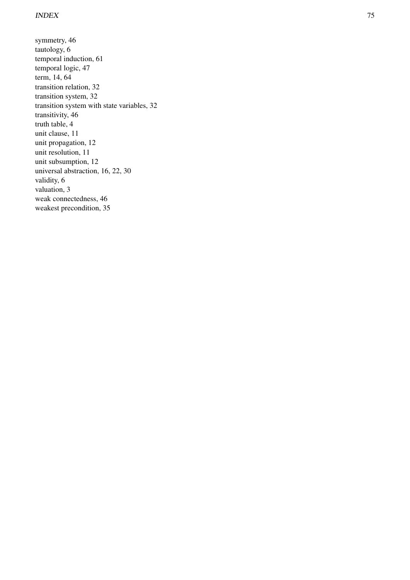symmetry, 46 tautology, 6 temporal induction, 61 temporal logic, 47 term, 14, 64 transition relation, 32 transition system, 32 transition system with state variables, 32 transitivity, 46 truth table, 4 unit clause, 11 unit propagation, 12 unit resolution, 11 unit subsumption, 12 universal abstraction, 16, 22, 30 validity, 6 valuation, 3 weak connectedness, 46 weakest precondition, 35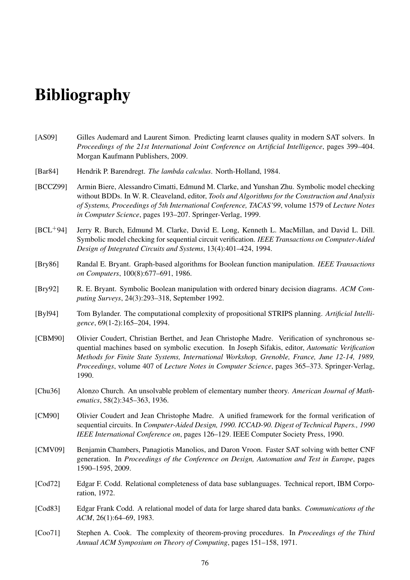# **Bibliography**

- [AS09] Gilles Audemard and Laurent Simon. Predicting learnt clauses quality in modern SAT solvers. In *Proceedings of the 21st International Joint Conference on Artificial Intelligence*, pages 399–404. Morgan Kaufmann Publishers, 2009.
- [Bar84] Hendrik P. Barendregt. *The lambda calculus*. North-Holland, 1984.
- [BCCZ99] Armin Biere, Alessandro Cimatti, Edmund M. Clarke, and Yunshan Zhu. Symbolic model checking without BDDs. In W. R. Cleaveland, editor, *Tools and Algorithms for the Construction and Analysis of Systems, Proceedings of 5th International Conference, TACAS'99*, volume 1579 of *Lecture Notes in Computer Science*, pages 193–207. Springer-Verlag, 1999.
- [BCL+94] Jerry R. Burch, Edmund M. Clarke, David E. Long, Kenneth L. MacMillan, and David L. Dill. Symbolic model checking for sequential circuit verification. *IEEE Transactions on Computer-Aided Design of Integrated Circuits and Systems*, 13(4):401–424, 1994.
- [Bry86] Randal E. Bryant. Graph-based algorithms for Boolean function manipulation. *IEEE Transactions on Computers*, 100(8):677–691, 1986.
- [Bry92] R. E. Bryant. Symbolic Boolean manipulation with ordered binary decision diagrams. *ACM Computing Surveys*, 24(3):293–318, September 1992.
- [Byl94] Tom Bylander. The computational complexity of propositional STRIPS planning. *Artificial Intelligence*, 69(1-2):165–204, 1994.
- [CBM90] Olivier Coudert, Christian Berthet, and Jean Christophe Madre. Verification of synchronous sequential machines based on symbolic execution. In Joseph Sifakis, editor, *Automatic Verification Methods for Finite State Systems, International Workshop, Grenoble, France, June 12-14, 1989, Proceedings*, volume 407 of *Lecture Notes in Computer Science*, pages 365–373. Springer-Verlag, 1990.
- [Chu36] Alonzo Church. An unsolvable problem of elementary number theory. *American Journal of Mathematics*, 58(2):345–363, 1936.
- [CM90] Olivier Coudert and Jean Christophe Madre. A unified framework for the formal verification of sequential circuits. In *Computer-Aided Design, 1990. ICCAD-90. Digest of Technical Papers., 1990 IEEE International Conference on*, pages 126–129. IEEE Computer Society Press, 1990.
- [CMV09] Benjamin Chambers, Panagiotis Manolios, and Daron Vroon. Faster SAT solving with better CNF generation. In *Proceedings of the Conference on Design, Automation and Test in Europe*, pages 1590–1595, 2009.
- [Cod72] Edgar F. Codd. Relational completeness of data base sublanguages. Technical report, IBM Corporation, 1972.
- [Cod83] Edgar Frank Codd. A relational model of data for large shared data banks. *Communications of the ACM*, 26(1):64–69, 1983.
- [Coo71] Stephen A. Cook. The complexity of theorem-proving procedures. In *Proceedings of the Third Annual ACM Symposium on Theory of Computing*, pages 151–158, 1971.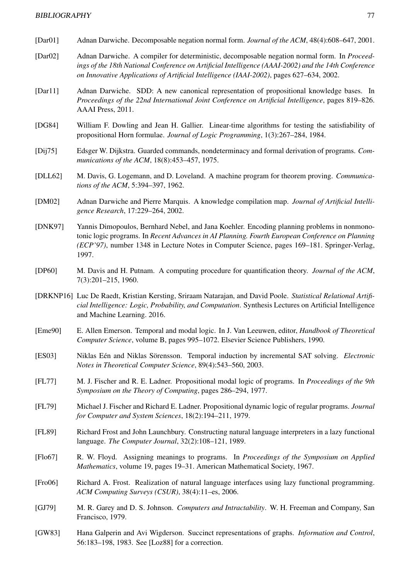- [Dar01] Adnan Darwiche. Decomposable negation normal form. *Journal of the ACM*, 48(4):608–647, 2001.
- [Dar02] Adnan Darwiche. A compiler for deterministic, decomposable negation normal form. In *Proceedings of the 18th National Conference on Artificial Intelligence (AAAI-2002) and the 14th Conference on Innovative Applications of Artificial Intelligence (IAAI-2002)*, pages 627–634, 2002.
- [Dar11] Adnan Darwiche. SDD: A new canonical representation of propositional knowledge bases. In *Proceedings of the 22nd International Joint Conference on Artificial Intelligence*, pages 819–826. AAAI Press, 2011.
- [DG84] William F. Dowling and Jean H. Gallier. Linear-time algorithms for testing the satisfiability of propositional Horn formulae. *Journal of Logic Programming*, 1(3):267–284, 1984.
- [Dij75] Edsger W. Dijkstra. Guarded commands, nondeterminacy and formal derivation of programs. *Communications of the ACM*, 18(8):453–457, 1975.
- [DLL62] M. Davis, G. Logemann, and D. Loveland. A machine program for theorem proving. *Communications of the ACM*, 5:394–397, 1962.
- [DM02] Adnan Darwiche and Pierre Marquis. A knowledge compilation map. *Journal of Artificial Intelligence Research*, 17:229–264, 2002.
- [DNK97] Yannis Dimopoulos, Bernhard Nebel, and Jana Koehler. Encoding planning problems in nonmonotonic logic programs. In *Recent Advances in AI Planning. Fourth European Conference on Planning (ECP'97)*, number 1348 in Lecture Notes in Computer Science, pages 169–181. Springer-Verlag, 1997.
- [DP60] M. Davis and H. Putnam. A computing procedure for quantification theory. *Journal of the ACM*, 7(3):201–215, 1960.
- [DRKNP16] Luc De Raedt, Kristian Kersting, Sriraam Natarajan, and David Poole. *Statistical Relational Artificial Intelligence: Logic, Probability, and Computation*. Synthesis Lectures on Artificial Intelligence and Machine Learning. 2016.
- [Eme90] E. Allen Emerson. Temporal and modal logic. In J. Van Leeuwen, editor, *Handbook of Theoretical Computer Science*, volume B, pages 995–1072. Elsevier Science Publishers, 1990.
- [ES03] Niklas Eén and Niklas Sörensson. Temporal induction by incremental SAT solving. *Electronic Notes in Theoretical Computer Science*, 89(4):543–560, 2003.
- [FL77] M. J. Fischer and R. E. Ladner. Propositional modal logic of programs. In *Proceedings of the 9th Symposium on the Theory of Computing*, pages 286–294, 1977.
- [FL79] Michael J. Fischer and Richard E. Ladner. Propositional dynamic logic of regular programs. *Journal for Computer and System Sciences*, 18(2):194–211, 1979.
- [FL89] Richard Frost and John Launchbury. Constructing natural language interpreters in a lazy functional language. *The Computer Journal*, 32(2):108–121, 1989.
- [Flo67] R. W. Floyd. Assigning meanings to programs. In *Proceedings of the Symposium on Applied Mathematics*, volume 19, pages 19–31. American Mathematical Society, 1967.
- [Fro06] Richard A. Frost. Realization of natural language interfaces using lazy functional programming. *ACM Computing Surveys (CSUR)*, 38(4):11–es, 2006.
- [GJ79] M. R. Garey and D. S. Johnson. *Computers and Intractability*. W. H. Freeman and Company, San Francisco, 1979.
- [GW83] Hana Galperin and Avi Wigderson. Succinct representations of graphs. *Information and Control*, 56:183–198, 1983. See [Loz88] for a correction.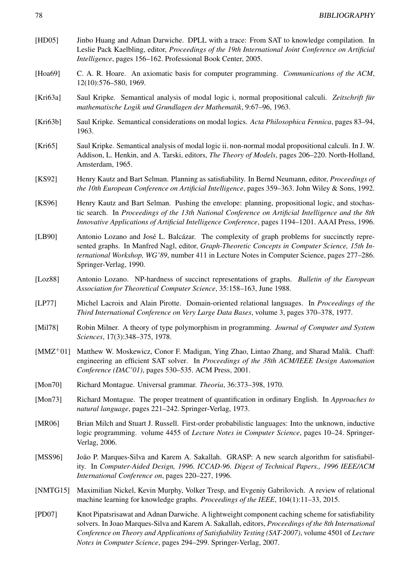- [HD05] Jinbo Huang and Adnan Darwiche. DPLL with a trace: From SAT to knowledge compilation. In Leslie Pack Kaelbling, editor, *Proceedings of the 19th International Joint Conference on Artificial Intelligence*, pages 156–162. Professional Book Center, 2005.
- [Hoa69] C. A. R. Hoare. An axiomatic basis for computer programming. *Communications of the ACM*, 12(10):576–580, 1969.
- [Kri63a] Saul Kripke. Semantical analysis of modal logic i, normal propositional calculi. *Zeitschrift für mathematische Logik und Grundlagen der Mathematik*, 9:67–96, 1963.
- [Kri63b] Saul Kripke. Semantical considerations on modal logics. *Acta Philosophica Fennica*, pages 83–94, 1963.
- [Kri65] Saul Kripke. Semantical analysis of modal logic ii. non-normal modal propositional calculi. In J. W. Addison, L. Henkin, and A. Tarski, editors, *The Theory of Models*, pages 206–220. North-Holland, Amsterdam, 1965.
- [KS92] Henry Kautz and Bart Selman. Planning as satisfiability. In Bernd Neumann, editor, *Proceedings of the 10th European Conference on Artificial Intelligence*, pages 359–363. John Wiley & Sons, 1992.
- [KS96] Henry Kautz and Bart Selman. Pushing the envelope: planning, propositional logic, and stochastic search. In *Proceedings of the 13th National Conference on Artificial Intelligence and the 8th Innovative Applications of Artificial Intelligence Conference*, pages 1194–1201. AAAI Press, 1996.
- [LB90] Antonio Lozano and José L. Balcázar. The complexity of graph problems for succinctly represented graphs. In Manfred Nagl, editor, *Graph-Theoretic Concepts in Computer Science, 15th International Workshop, WG'89*, number 411 in Lecture Notes in Computer Science, pages 277–286. Springer-Verlag, 1990.
- [Loz88] Antonio Lozano. NP-hardness of succinct representations of graphs. *Bulletin of the European Association for Theoretical Computer Science*, 35:158–163, June 1988.
- [LP77] Michel Lacroix and Alain Pirotte. Domain-oriented relational languages. In *Proceedings of the Third International Conference on Very Large Data Bases*, volume 3, pages 370–378, 1977.
- [Mil78] Robin Milner. A theory of type polymorphism in programming. *Journal of Computer and System Sciences*, 17(3):348–375, 1978.
- [MMZ+01] Matthew W. Moskewicz, Conor F. Madigan, Ying Zhao, Lintao Zhang, and Sharad Malik. Chaff: engineering an efficient SAT solver. In *Proceedings of the 38th ACM/IEEE Design Automation Conference (DAC'01)*, pages 530–535. ACM Press, 2001.
- [Mon70] Richard Montague. Universal grammar. *Theoria*, 36:373–398, 1970.
- [Mon73] Richard Montague. The proper treatment of quantification in ordinary English. In *Approaches to natural language*, pages 221–242. Springer-Verlag, 1973.
- [MR06] Brian Milch and Stuart J. Russell. First-order probabilistic languages: Into the unknown, inductive logic programming. volume 4455 of *Lecture Notes in Computer Science*, pages 10–24. Springer-Verlag, 2006.
- [MSS96] João P. Marques-Silva and Karem A. Sakallah. GRASP: A new search algorithm for satisfiability. In *Computer-Aided Design, 1996. ICCAD-96. Digest of Technical Papers., 1996 IEEE/ACM International Conference on*, pages 220–227, 1996.
- [NMTG15] Maximilian Nickel, Kevin Murphy, Volker Tresp, and Evgeniy Gabrilovich. A review of relational machine learning for knowledge graphs. *Proceedings of the IEEE*, 104(1):11–33, 2015.
- [PD07] Knot Pipatsrisawat and Adnan Darwiche. A lightweight component caching scheme for satisfiability solvers. In Joao Marques-Silva and Karem A. Sakallah, editors, *Proceedings of the 8th International Conference on Theory and Applications of Satisfiability Testing (SAT-2007)*, volume 4501 of *Lecture Notes in Computer Science*, pages 294–299. Springer-Verlag, 2007.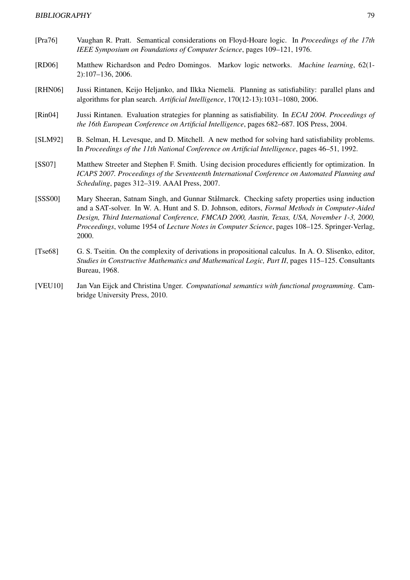- [Pra76] Vaughan R. Pratt. Semantical considerations on Floyd-Hoare logic. In *Proceedings of the 17th IEEE Symposium on Foundations of Computer Science*, pages 109–121, 1976.
- [RD06] Matthew Richardson and Pedro Domingos. Markov logic networks. *Machine learning*, 62(1- 2):107–136, 2006.
- [RHN06] Jussi Rintanen, Keijo Heljanko, and Ilkka Niemelä. Planning as satisfiability: parallel plans and algorithms for plan search. *Artificial Intelligence*, 170(12-13):1031–1080, 2006.
- [Rin04] Jussi Rintanen. Evaluation strategies for planning as satisfiability. In *ECAI 2004. Proceedings of the 16th European Conference on Artificial Intelligence*, pages 682–687. IOS Press, 2004.
- [SLM92] B. Selman, H. Levesque, and D. Mitchell. A new method for solving hard satisfiability problems. In *Proceedings of the 11th National Conference on Artificial Intelligence*, pages 46–51, 1992.
- [SS07] Matthew Streeter and Stephen F. Smith. Using decision procedures efficiently for optimization. In *ICAPS 2007. Proceedings of the Seventeenth International Conference on Automated Planning and Scheduling*, pages 312–319. AAAI Press, 2007.
- [SSS00] Mary Sheeran, Satnam Singh, and Gunnar Stålmarck. Checking safety properties using induction and a SAT-solver. In W. A. Hunt and S. D. Johnson, editors, *Formal Methods in Computer-Aided Design, Third International Conference, FMCAD 2000, Austin, Texas, USA, November 1-3, 2000, Proceedings*, volume 1954 of *Lecture Notes in Computer Science*, pages 108–125. Springer-Verlag, 2000.
- [Tse68] G. S. Tseitin. On the complexity of derivations in propositional calculus. In A. O. Slisenko, editor, *Studies in Constructive Mathematics and Mathematical Logic, Part II*, pages 115–125. Consultants Bureau, 1968.
- [VEU10] Jan Van Eijck and Christina Unger. *Computational semantics with functional programming*. Cambridge University Press, 2010.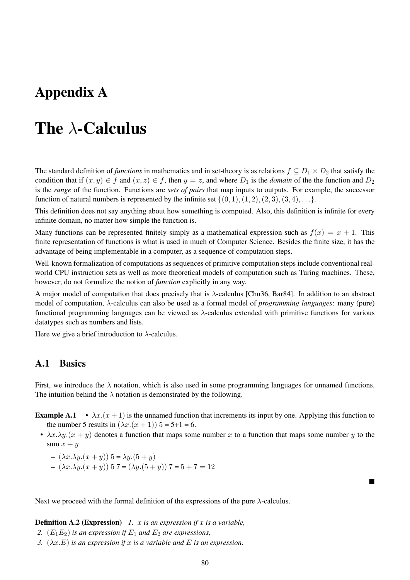## Appendix A

## The  $\lambda$ -Calculus

The standard definition of *functions* in mathematics and in set-theory is as relations  $f \subseteq D_1 \times D_2$  that satisfy the condition that if  $(x, y) \in f$  and  $(x, z) \in f$ , then  $y = z$ , and where  $D_1$  is the *domain* of the the function and  $D_2$ is the *range* of the function. Functions are *sets of pairs* that map inputs to outputs. For example, the successor function of natural numbers is represented by the infinite set  $\{(0, 1), (1, 2), (2, 3), (3, 4), \ldots\}.$ 

This definition does not say anything about how something is computed. Also, this definition is infinite for every infinite domain, no matter how simple the function is.

Many functions can be represented finitely simply as a mathematical expression such as  $f(x) = x + 1$ . This finite representation of functions is what is used in much of Computer Science. Besides the finite size, it has the advantage of being implementable in a computer, as a sequence of computation steps.

Well-known formalization of computations as sequences of primitive computation steps include conventional realworld CPU instruction sets as well as more theoretical models of computation such as Turing machines. These, however, do not formalize the notion of *function* explicitly in any way.

A major model of computation that does precisely that is λ-calculus [Chu36, Bar84]. In addition to an abstract model of computation, λ-calculus can also be used as a formal model of *programming languages*: many (pure) functional programming languages can be viewed as  $\lambda$ -calculus extended with primitive functions for various datatypes such as numbers and lists.

Here we give a brief introduction to  $\lambda$ -calculus.

## A.1 Basics

First, we introduce the  $\lambda$  notation, which is also used in some programming languages for unnamed functions. The intuition behind the  $\lambda$  notation is demonstrated by the following.

**Example A.1** •  $\lambda x.(x+1)$  is the unnamed function that increments its input by one. Applying this function to the number 5 results in  $(\lambda x.(x + 1))$  5 = 5+1 = 6.

•  $\lambda x.\lambda y.(x + y)$  denotes a function that maps some number x to a function that maps some number y to the sum  $x + y$ 

■

$$
- (\lambda x.\lambda y.(x+y)) 5 = \lambda y.(5+y)
$$

 $-(\lambda x.\lambda y.(x + y))$  5 7 =  $(\lambda y.(5 + y))$  7 = 5 + 7 = 12

Next we proceed with the formal definition of the expressions of the pure  $\lambda$ -calculus.

#### Definition A.2 (Expression) *1.* x *is an expression if* x *is a variable,*

- 2.  $(E_1E_2)$  *is an expression if*  $E_1$  *and*  $E_2$  *are expressions,*
- *3.*  $(\lambda x.E)$  *is an expression if* x *is a variable and* E *is an expression.*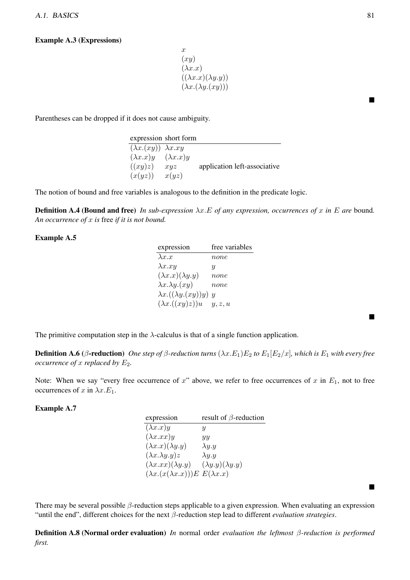#### Example A.3 (Expressions)

 $\boldsymbol{x}$  $(xy)$  $(\lambda x.x)$  $((\lambda x.x)(\lambda y.y))$  $(\lambda x.(\lambda y.(xy)))$ 

Parentheses can be dropped if it does not cause ambiguity.

|                                  | expression short form |                              |
|----------------------------------|-----------------------|------------------------------|
| $(\lambda x.(xy)) \lambda x. xy$ |                       |                              |
| $(\lambda x.x)y$                 | $(\lambda x.x)y$      |                              |
| ((xy)z)                          | xyz                   | application left-associative |
| (x(yz))                          | x(yz)                 |                              |

The notion of bound and free variables is analogous to the definition in the predicate logic.

**Definition A.4 (Bound and free)** In sub-expression  $\lambda x.E$  of any expression, occurrences of x in E are bound. *An occurrence of* x *is* free *if it is not bound.*

#### Example A.5

| expression                      | free variables            |
|---------------------------------|---------------------------|
| $\lambda x.x$                   | $_{none}$                 |
| $\lambda x . xy$                | U                         |
| $(\lambda x.x)(\lambda y.y)$    | none                      |
| $\lambda x.\lambda y.(xy)$      | none                      |
| $\lambda x.((\lambda y.(xy))y)$ | $\boldsymbol{\mathit{u}}$ |
| $(\lambda x.((xy)z))u$          | y, z, u                   |

The primitive computation step in the  $\lambda$ -calculus is that of a single function application.

**Definition A.6** (β-reduction) *One step of* β-reduction turns  $(λx.E_1)E_2$  to  $E_1[E_2/x]$ *, which is*  $E_1$  *with every free occurrence of x replaced by*  $E_2$ *.* 

Note: When we say "every free occurrence of x" above, we refer to free occurrences of x in  $E_1$ , not to free occurrences of x in  $\lambda x.E_1$ .

#### Example A.7

| expression                                     | result of $\beta$ -reduction |
|------------------------------------------------|------------------------------|
| $(\lambda x.x)y$                               | Ų                            |
| $(\lambda x . xx)y$                            | yy                           |
| $(\lambda x.x)(\lambda y.y)$                   | $\lambda y.y$                |
| $(\lambda x.\lambda y.y)z$                     | $\lambda y.y$                |
| $(\lambda x.xx)(\lambda y. y)$                 | $(\lambda y.y)(\lambda y.y)$ |
| $(\lambda x.(x(\lambda x.x)))E E(\lambda x.x)$ |                              |

There may be several possible  $\beta$ -reduction steps applicable to a given expression. When evaluating an expression "until the end", different choices for the next β-reduction step lead to different *evaluation strategies*.

Definition A.8 (Normal order evaluation) *In* normal order *evaluation the leftmost* β*-reduction is performed first.*

■

■

■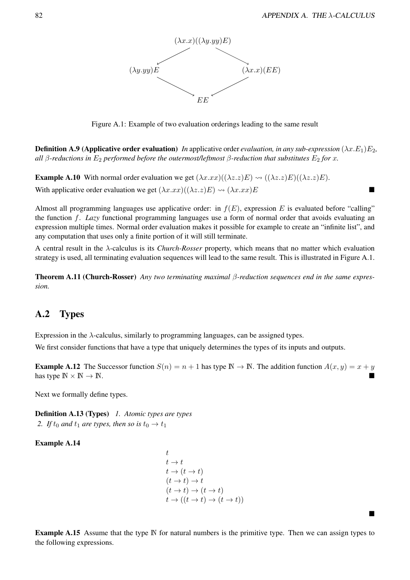

Figure A.1: Example of two evaluation orderings leading to the same result

**Definition A.9 (Applicative order evaluation)** In applicative order *evaluation, in any sub-expression*  $(\lambda x.E_1)E_2$ , *all* β-reductions in  $E_2$  *performed before the outermost/leftmost* β-reduction that substitutes  $E_2$  *for* x.

**Example A.10** With normal order evaluation we get  $(\lambda x.xx)((\lambda z. z)E) \rightsquigarrow ((\lambda z. z)E)((\lambda z. z)E)$ . With applicative order evaluation we get  $(\lambda x.xx)((\lambda z. z)E) \rightsquigarrow (\lambda x.xx)E$ 

Almost all programming languages use applicative order: in  $f(E)$ , expression E is evaluated before "calling" the function f. *Lazy* functional programming languages use a form of normal order that avoids evaluating an expression multiple times. Normal order evaluation makes it possible for example to create an "infinite list", and any computation that uses only a finite portion of it will still terminate.

A central result in the λ-calculus is its *Church-Rosser* property, which means that no matter which evaluation strategy is used, all terminating evaluation sequences will lead to the same result. This is illustrated in Figure A.1.

Theorem A.11 (Church-Rosser) *Any two terminating maximal* β*-reduction sequences end in the same expression.*

## A.2 Types

Expression in the λ-calculus, similarly to programming languages, can be assigned types.

We first consider functions that have a type that uniquely determines the types of its inputs and outputs.

**Example A.12** The Successor function  $S(n) = n + 1$  has type  $\mathbb{N} \to \mathbb{N}$ . The addition function  $A(x, y) = x + y$ has type  $\mathbb{N} \times \mathbb{N} \to \mathbb{N}$ .

Next we formally define types.

Definition A.13 (Types) *1. Atomic types are types* 2. *If*  $t_0$  *and*  $t_1$  *are types, then so is*  $t_0 \rightarrow t_1$ 

Example A.14

t  $t \to t$  $t \to (t \to t)$  $(t \to t) \to t$  $(t \to t) \to (t \to t)$  $t \to ((t \to t) \to (t \to t))$ 

Example A.15 Assume that the type N for natural numbers is the primitive type. Then we can assign types to the following expressions.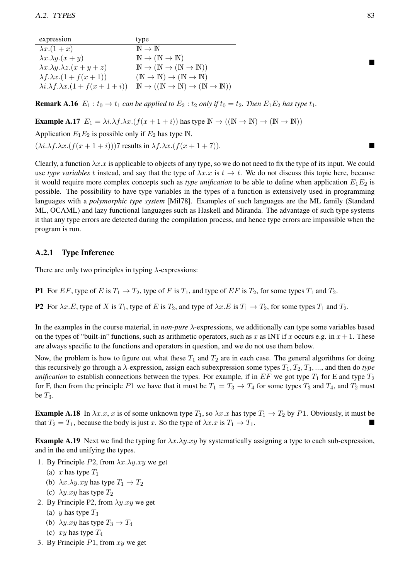| expression                                     | type                                                                           |
|------------------------------------------------|--------------------------------------------------------------------------------|
| $\lambda x.(1+x)$                              | $\mathbb{N} \to \mathbb{N}$                                                    |
| $\lambda x.\lambda y.(x+y)$                    | $\mathbb{N} \to (\mathbb{N} \to \mathbb{N})$                                   |
| $\lambda x.\lambda y.\lambda z.(x+y+z)$        | $\mathbb{N} \to (\mathbb{N} \to (\mathbb{N} \to \mathbb{N}))$                  |
| $\lambda f \cdot \lambda x \cdot (1 + f(x+1))$ | $(\mathbb{N} \to \mathbb{N}) \to (\mathbb{N} \to \mathbb{N})$                  |
| $\lambda i.\lambda f.\lambda x.(1+f(x+1+i))$   | $\mathbb{N} \to ((\mathbb{N} \to \mathbb{N}) \to (\mathbb{N} \to \mathbb{N}))$ |

**Remark A.16**  $E_1: t_0 \to t_1$  *can be applied to*  $E_2: t_2$  *only if*  $t_0 = t_2$ *. Then*  $E_1E_2$  *has type*  $t_1$ *.* 

**Example A.17**  $E_1 = \lambda i \cdot \lambda f \cdot \lambda x \cdot (f(x+1+i))$  has type  $\mathbb{N} \to ((\mathbb{N} \to \mathbb{N}) \to (\mathbb{N} \to \mathbb{N}))$ 

Application  $E_1E_2$  is possible only if  $E_2$  has type  $\mathbb N$ .

 $(\lambda i.\lambda f.\lambda x.(f(x+1+i)))$ 7 results in  $\lambda f.\lambda x.(f(x+1+7)).$ 

Clearly, a function  $\lambda x.x$  is applicable to objects of any type, so we do not need to fix the type of its input. We could use *type variables* t instead, and say that the type of  $\lambda x.x$  is  $t \to t$ . We do not discuss this topic here, because it would require more complex concepts such as *type unification* to be able to define when application  $E_1E_2$  is possible. The possibility to have type variables in the types of a function is extensively used in programming languages with a *polymorphic type system* [Mil78]. Examples of such languages are the ML family (Standard ML, OCAML) and lazy functional languages such as Haskell and Miranda. The advantage of such type systems it that any type errors are detected during the compilation process, and hence type errors are impossible when the program is run.

### A.2.1 Type Inference

There are only two principles in typing  $\lambda$ -expressions:

**P1** For EF, type of E is  $T_1 \rightarrow T_2$ , type of F is  $T_1$ , and type of EF is  $T_2$ , for some types  $T_1$  and  $T_2$ .

P2 For  $\lambda x.E$ , type of X is  $T_1$ , type of E is  $T_2$ , and type of  $\lambda x.E$  is  $T_1 \rightarrow T_2$ , for some types  $T_1$  and  $T_2$ .

In the examples in the course material, in *non-pure* λ-expressions, we additionally can type some variables based on the types of "built-in" functions, such as arithmetic operators, such as x as INT if x occurs e.g. in  $x + 1$ . These are always specific to the functions and operators in question, and we do not use them below.

Now, the problem is how to figure out what these  $T_1$  and  $T_2$  are in each case. The general algorithms for doing this recursively go through a  $\lambda$ -expression, assign each subexpression some types  $T_1, T_2, T_3, \ldots$ , and then do *type unification* to establish connections between the types. For example, if in  $EF$  we got type  $T_1$  for E and type  $T_2$ for F, then from the principle P1 we have that it must be  $T_1 = T_3 \rightarrow T_4$  for some types  $T_3$  and  $T_4$ , and  $T_2$  must be  $T_3$ .

**Example A.18** In  $\lambda x.x$ , x is of some unknown type  $T_1$ , so  $\lambda x.x$  has type  $T_1 \to T_2$  by P1. Obviously, it must be that  $T_2 = T_1$ , because the body is just x. So the type of  $\lambda x.x$  is  $T_1 \rightarrow T_1$ .

**Example A.19** Next we find the typing for  $\lambda x.\lambda y.xy$  by systematically assigning a type to each sub-expression, and in the end unifying the types.

- 1. By Principle  $P2$ , from  $\lambda x \cdot \lambda y \cdot xy$  we get
	- (a) x has type  $T_1$
	- (b)  $\lambda x.\lambda y.xy$  has type  $T_1 \rightarrow T_2$
	- (c)  $\lambda y . xy$  has type  $T_2$
- 2. By Principle P2, from  $\lambda y . xy$  we get
	- (a) y has type  $T_3$
	- (b)  $\lambda y . xy$  has type  $T_3 \rightarrow T_4$
	- (c)  $xy$  has type  $T_4$
- 3. By Principle  $P1$ , from  $xy$  we get

■